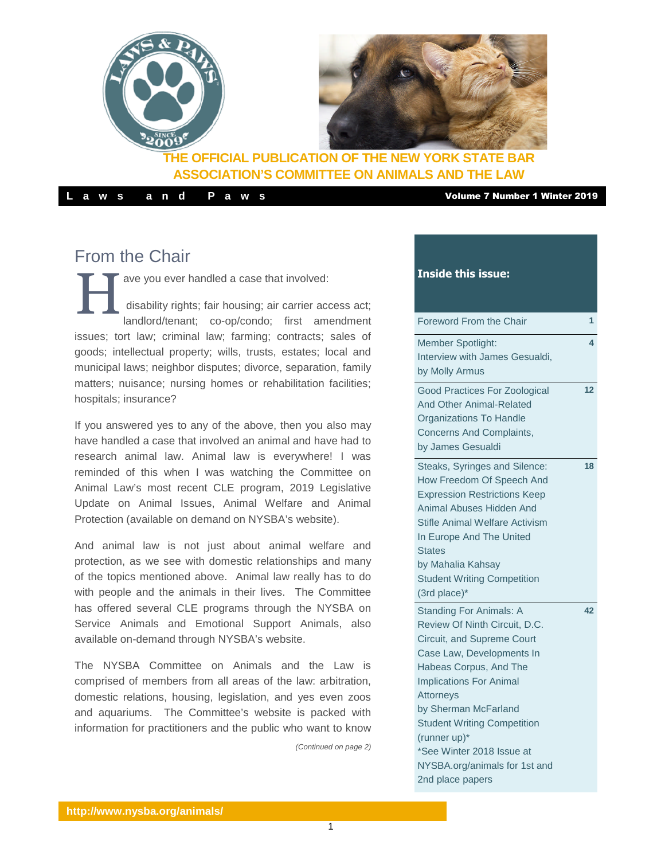

### **THE OFFICIAL PUBLICATION OF THE NEW YORK STATE BAR ASSOCIATION'S COMMITTEE ON ANIMALS AND THE LAW**

**L a w s a n d P a w s** Volume 7 Number 1 Winter 2019

# From the Chair

H ave you ever handled a case that involved: disability rights; fair housing; air carrier access act; landlord/tenant; co-op/condo; first amendment issues; tort law; criminal law; farming; contracts; sales of goods; intellectual property; wills, trusts, estates; local and municipal laws; neighbor disputes; divorce, separation, family matters; nuisance; nursing homes or rehabilitation facilities; hospitals; insurance?

If you answered yes to any of the above, then you also may have handled a case that involved an animal and have had to research animal law. Animal law is everywhere! I was reminded of this when I was watching the Committee on Animal Law's most recent CLE program, 2019 Legislative Update on Animal Issues, Animal Welfare and Animal Protection (available [on demand on NYSBA's website\)](https://www.nysba.org/store/detail.aspx?id=VGS91).

And animal law is not just about animal welfare and protection, as we see with domestic relationships and many of the topics mentioned above. Animal law really has to do with people and the animals in their lives. The Committee has offered several CLE programs through the NYSBA on [Service Animals and Emotional Support Animals,](https://www.nysba.org/store/detail.aspx?id=VGS91) also available on-demand through NYSBA's website.

The NYSBA Committee on Animals and the Law is comprised of members from all areas of the law: arbitration, domestic relations, housing, legislation, and yes even zoos and aquariums. The Committee's website is packed with information for practitioners and the public who want to know

*(Continued on page 2)*

### **Inside this issue:**

| Foreword From the Chair                                                                                                                                                                                                                                                                                                                                             | 1  |
|---------------------------------------------------------------------------------------------------------------------------------------------------------------------------------------------------------------------------------------------------------------------------------------------------------------------------------------------------------------------|----|
| Member Spotlight:<br>Interview with James Gesualdi,<br>by Molly Armus                                                                                                                                                                                                                                                                                               | 4  |
| <b>Good Practices For Zoological</b><br>And Other Animal-Related<br><b>Organizations To Handle</b><br>Concerns And Complaints,<br>by James Gesualdi                                                                                                                                                                                                                 | 12 |
| Steaks, Syringes and Silence:<br>How Freedom Of Speech And<br><b>Expression Restrictions Keep</b><br>Animal Abuses Hidden And<br>Stifle Animal Welfare Activism<br>In Europe And The United<br><b>States</b><br>by Mahalia Kahsay<br><b>Student Writing Competition</b><br>(3rd place)*                                                                             | 18 |
| <b>Standing For Animals: A</b><br>Review Of Ninth Circuit, D.C.<br>Circuit, and Supreme Court<br>Case Law, Developments In<br>Habeas Corpus, And The<br><b>Implications For Animal</b><br>Attorneys<br>by Sherman McFarland<br><b>Student Writing Competition</b><br>(runner up)*<br>*See Winter 2018 Issue at<br>NYSBA.org/animals for 1st and<br>2nd place papers | 42 |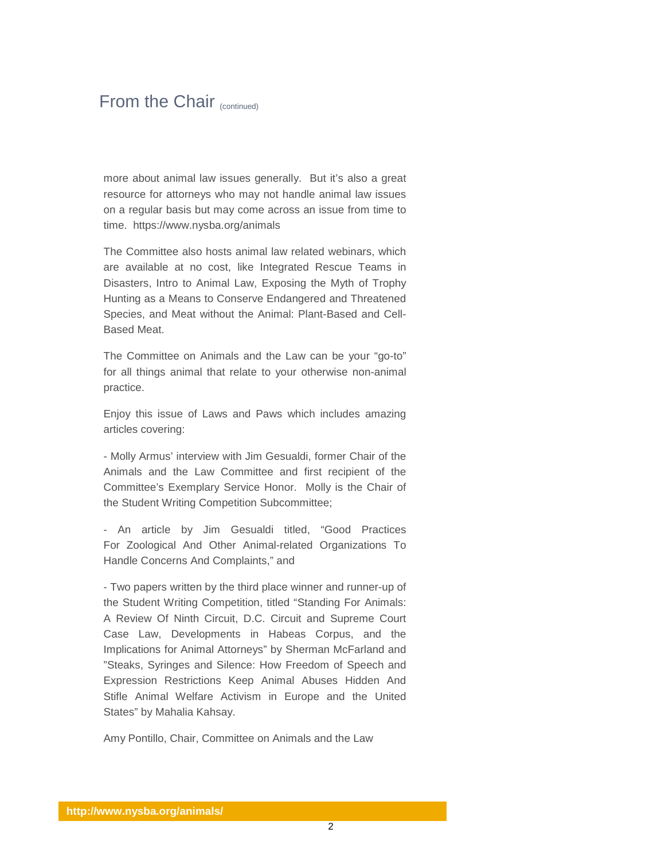## From the Chair (continued)

more about animal law issues generally. But it's also a great resource for attorneys who may not handle animal law issues on a regular basis but may come across an issue from time to time. https://www.nysba.org/animals

The Committee also hosts [animal law related webinars,](https://www.nysba.org/CustomTemplates/SecondaryStandard.aspx?id=95669) which are available at no cost, like Integrated Rescue Teams in Disasters, Intro to Animal Law, Exposing the Myth of Trophy Hunting as a Means to Conserve Endangered and Threatened Species, and Meat without the Animal: Plant-Based and Cell-Based Meat.

The Committee on Animals and the Law can be your "go-to" for all things animal that relate to your otherwise non-animal practice.

Enjoy this issue of Laws and Paws which includes amazing articles covering:

- Molly Armus' interview with Jim Gesualdi, former Chair of the Animals and the Law Committee and first recipient of the Committee's Exemplary Service Honor. Molly is the Chair of the Student Writing Competition Subcommittee;

- An article by Jim Gesualdi titled, "Good Practices For Zoological And Other Animal-related Organizations To Handle Concerns And Complaints," and

- Two papers written by the third place winner and runner-up of the Student Writing Competition, titled "Standing For Animals: A Review Of Ninth Circuit, D.C. Circuit and Supreme Court Case Law, Developments in Habeas Corpus, and the Implications for Animal Attorneys" by Sherman McFarland and "Steaks, Syringes and Silence: How Freedom of Speech and Expression Restrictions Keep Animal Abuses Hidden And Stifle Animal Welfare Activism in Europe and the United States" by Mahalia Kahsay.

Amy Pontillo, Chair, Committee on Animals and the Law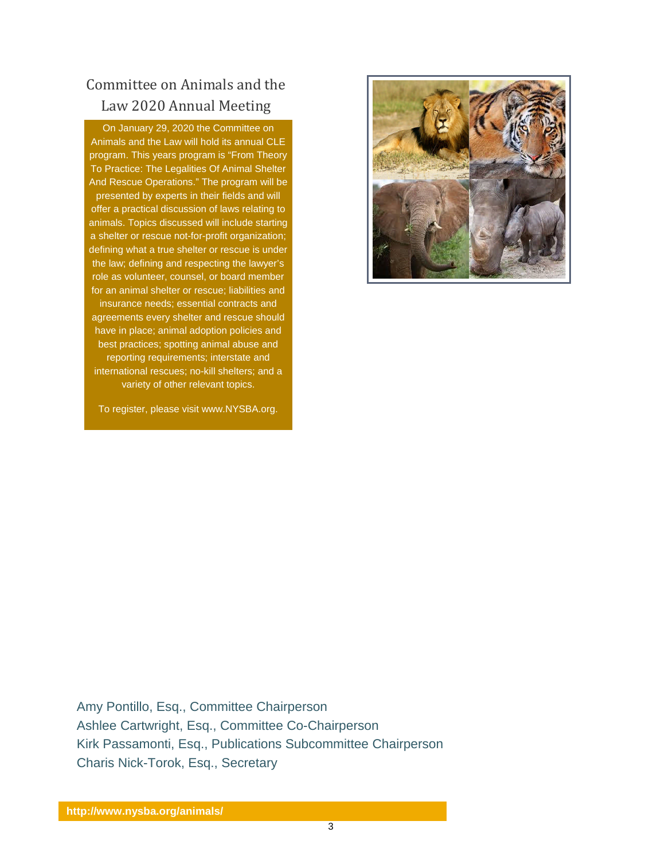# Committee on Animals and the Law 2020 Annual Meeting

On January 29, 2020 the Committee on Animals and the Law will hold its annual CLE program. This years program is "From Theory To Practice: The Legalities Of Animal Shelter And Rescue Operations." The program will be presented by experts in their fields and will offer a practical discussion of laws relating to animals. Topics discussed will include starting a shelter or rescue not-for-profit organization; defining what a true shelter or rescue is under the law; defining and respecting the lawyer's role as volunteer, counsel, or board member for an animal shelter or rescue; liabilities and insurance needs; essential contracts and agreements every shelter and rescue should have in place; animal adoption policies and best practices; spotting animal abuse and reporting requirements; interstate and international rescues; no-kill shelters; and a variety of other relevant topics.



To register, please visit www.NYSBA.org.

Amy Pontillo, Esq., Committee Chairperson Ashlee Cartwright, Esq., Committee Co-Chairperson Kirk Passamonti, Esq., Publications Subcommittee Chairperson Charis Nick-Torok, Esq., Secretary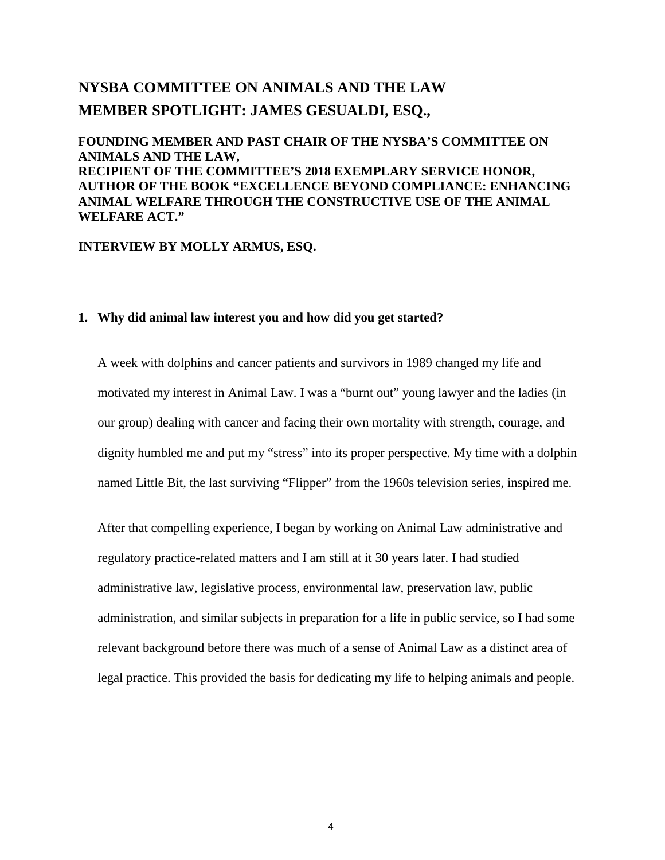# **NYSBA COMMITTEE ON ANIMALS AND THE LAW MEMBER SPOTLIGHT: JAMES GESUALDI, ESQ.,**

**FOUNDING MEMBER AND PAST CHAIR OF THE NYSBA'S COMMITTEE ON ANIMALS AND THE LAW, RECIPIENT OF THE COMMITTEE'S 2018 EXEMPLARY SERVICE HONOR, AUTHOR OF THE BOOK "EXCELLENCE BEYOND COMPLIANCE: ENHANCING ANIMAL WELFARE THROUGH THE CONSTRUCTIVE USE OF THE ANIMAL WELFARE ACT."**

### **INTERVIEW BY MOLLY ARMUS, ESQ.**

### **1. Why did animal law interest you and how did you get started?**

A week with dolphins and cancer patients and survivors in 1989 changed my life and motivated my interest in Animal Law. I was a "burnt out" young lawyer and the ladies (in our group) dealing with cancer and facing their own mortality with strength, courage, and dignity humbled me and put my "stress" into its proper perspective. My time with a dolphin named Little Bit, the last surviving "Flipper" from the 1960s television series, inspired me.

After that compelling experience, I began by working on Animal Law administrative and regulatory practice-related matters and I am still at it 30 years later. I had studied administrative law, legislative process, environmental law, preservation law, public administration, and similar subjects in preparation for a life in public service, so I had some relevant background before there was much of a sense of Animal Law as a distinct area of legal practice. This provided the basis for dedicating my life to helping animals and people.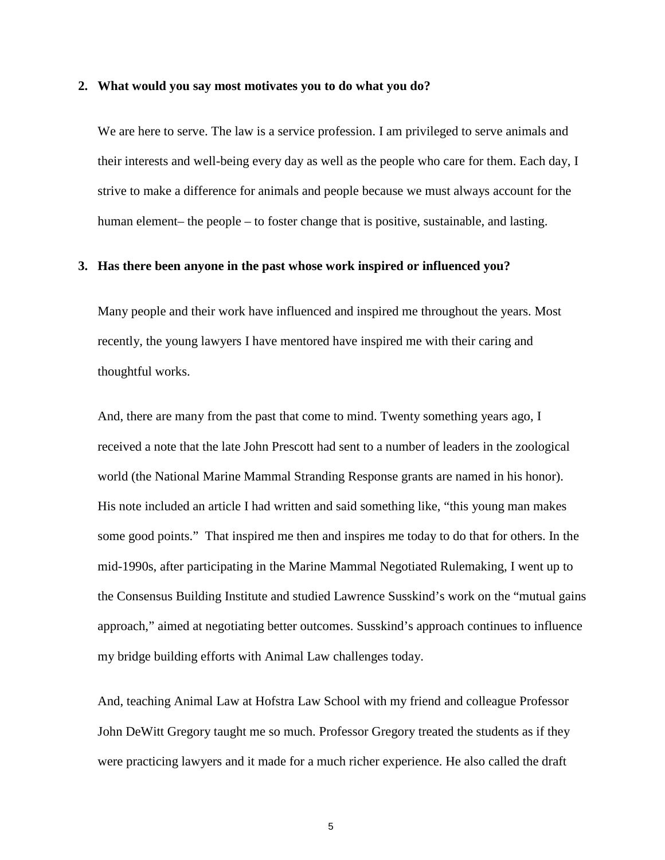#### **2. What would you say most motivates you to do what you do?**

We are here to serve. The law is a service profession. I am privileged to serve animals and their interests and well-being every day as well as the people who care for them. Each day, I strive to make a difference for animals and people because we must always account for the human element– the people – to foster change that is positive, sustainable, and lasting.

#### **3. Has there been anyone in the past whose work inspired or influenced you?**

Many people and their work have influenced and inspired me throughout the years. Most recently, the young lawyers I have mentored have inspired me with their caring and thoughtful works.

And, there are many from the past that come to mind. Twenty something years ago, I received a note that the late John Prescott had sent to a number of leaders in the zoological world (the National Marine Mammal Stranding Response grants are named in his honor). His note included an article I had written and said something like, "this young man makes some good points." That inspired me then and inspires me today to do that for others. In the mid-1990s, after participating in the Marine Mammal Negotiated Rulemaking, I went up to the Consensus Building Institute and studied Lawrence Susskind's work on the "mutual gains approach," aimed at negotiating better outcomes. Susskind's approach continues to influence my bridge building efforts with Animal Law challenges today.

And, teaching Animal Law at Hofstra Law School with my friend and colleague Professor John DeWitt Gregory taught me so much. Professor Gregory treated the students as if they were practicing lawyers and it made for a much richer experience. He also called the draft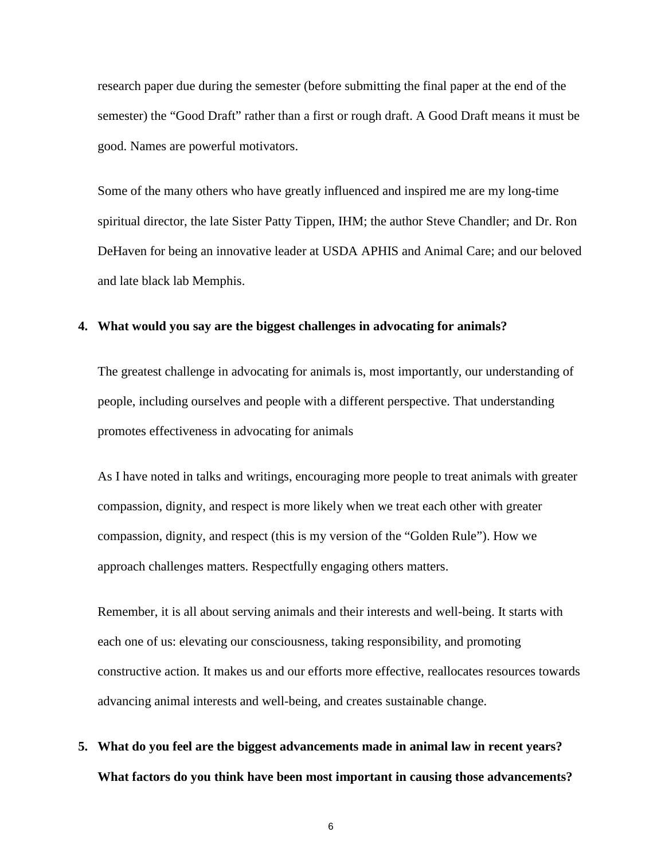research paper due during the semester (before submitting the final paper at the end of the semester) the "Good Draft" rather than a first or rough draft. A Good Draft means it must be good. Names are powerful motivators.

Some of the many others who have greatly influenced and inspired me are my long-time spiritual director, the late Sister Patty Tippen, IHM; the author Steve Chandler; and Dr. Ron DeHaven for being an innovative leader at USDA APHIS and Animal Care; and our beloved and late black lab Memphis.

### **4. What would you say are the biggest challenges in advocating for animals?**

The greatest challenge in advocating for animals is, most importantly, our understanding of people, including ourselves and people with a different perspective. That understanding promotes effectiveness in advocating for animals

As I have noted in talks and writings, encouraging more people to treat animals with greater compassion, dignity, and respect is more likely when we treat each other with greater compassion, dignity, and respect (this is my version of the "Golden Rule"). How we approach challenges matters. Respectfully engaging others matters.

Remember, it is all about serving animals and their interests and well-being. It starts with each one of us: elevating our consciousness, taking responsibility, and promoting constructive action. It makes us and our efforts more effective, reallocates resources towards advancing animal interests and well-being, and creates sustainable change.

**5. What do you feel are the biggest advancements made in animal law in recent years? What factors do you think have been most important in causing those advancements?**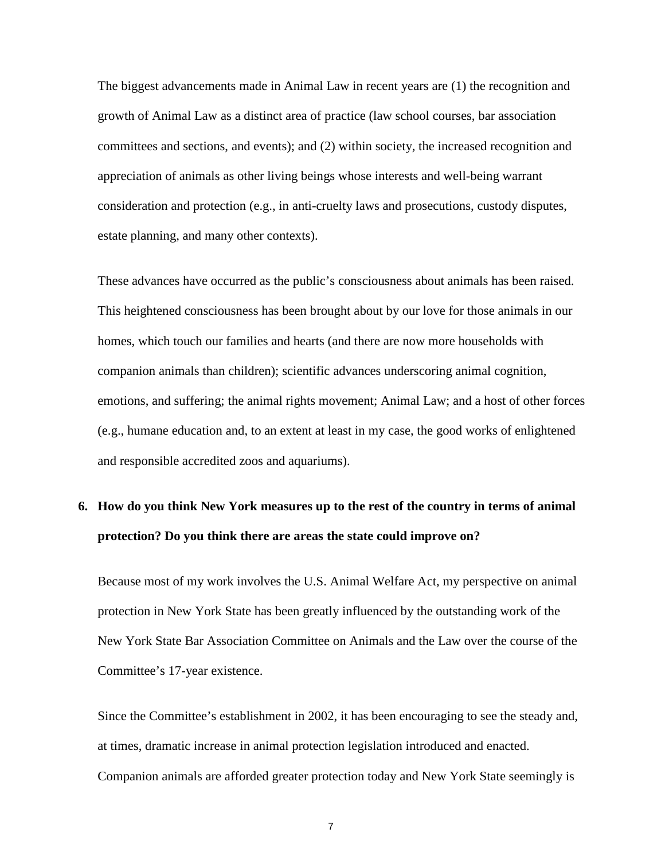The biggest advancements made in Animal Law in recent years are (1) the recognition and growth of Animal Law as a distinct area of practice (law school courses, bar association committees and sections, and events); and (2) within society, the increased recognition and appreciation of animals as other living beings whose interests and well-being warrant consideration and protection (e.g., in anti-cruelty laws and prosecutions, custody disputes, estate planning, and many other contexts).

These advances have occurred as the public's consciousness about animals has been raised. This heightened consciousness has been brought about by our love for those animals in our homes, which touch our families and hearts (and there are now more households with companion animals than children); scientific advances underscoring animal cognition, emotions, and suffering; the animal rights movement; Animal Law; and a host of other forces (e.g., humane education and, to an extent at least in my case, the good works of enlightened and responsible accredited zoos and aquariums).

# **6. How do you think New York measures up to the rest of the country in terms of animal protection? Do you think there are areas the state could improve on?**

Because most of my work involves the U.S. Animal Welfare Act, my perspective on animal protection in New York State has been greatly influenced by the outstanding work of the New York State Bar Association Committee on Animals and the Law over the course of the Committee's 17-year existence.

Since the Committee's establishment in 2002, it has been encouraging to see the steady and, at times, dramatic increase in animal protection legislation introduced and enacted. Companion animals are afforded greater protection today and New York State seemingly is

7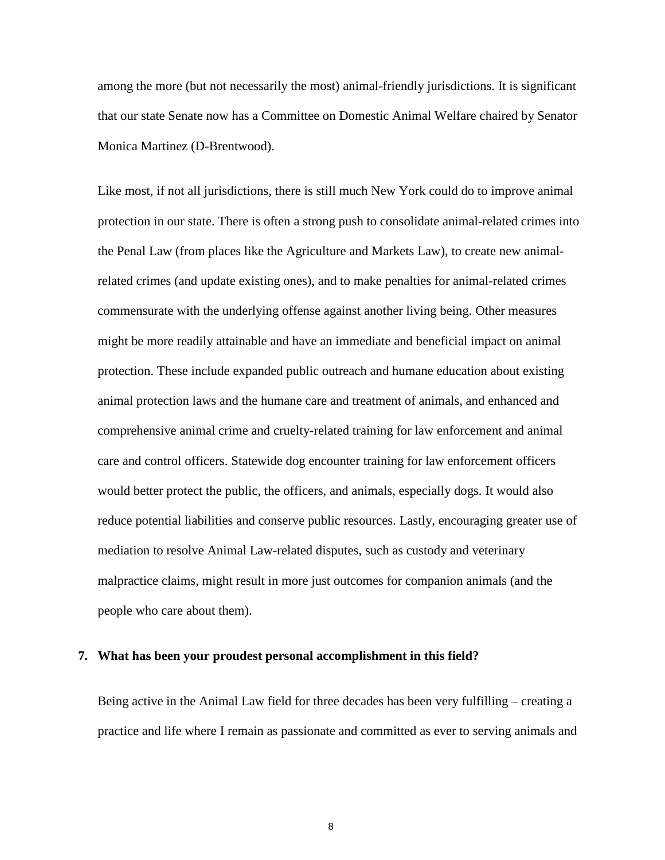among the more (but not necessarily the most) animal-friendly jurisdictions. It is significant that our state Senate now has a Committee on Domestic Animal Welfare chaired by Senator Monica Martinez (D-Brentwood).

Like most, if not all jurisdictions, there is still much New York could do to improve animal protection in our state. There is often a strong push to consolidate animal-related crimes into the Penal Law (from places like the Agriculture and Markets Law), to create new animalrelated crimes (and update existing ones), and to make penalties for animal-related crimes commensurate with the underlying offense against another living being. Other measures might be more readily attainable and have an immediate and beneficial impact on animal protection. These include expanded public outreach and humane education about existing animal protection laws and the humane care and treatment of animals, and enhanced and comprehensive animal crime and cruelty-related training for law enforcement and animal care and control officers. Statewide dog encounter training for law enforcement officers would better protect the public, the officers, and animals, especially dogs. It would also reduce potential liabilities and conserve public resources. Lastly, encouraging greater use of mediation to resolve Animal Law-related disputes, such as custody and veterinary malpractice claims, might result in more just outcomes for companion animals (and the people who care about them).

#### **7. What has been your proudest personal accomplishment in this field?**

Being active in the Animal Law field for three decades has been very fulfilling – creating a practice and life where I remain as passionate and committed as ever to serving animals and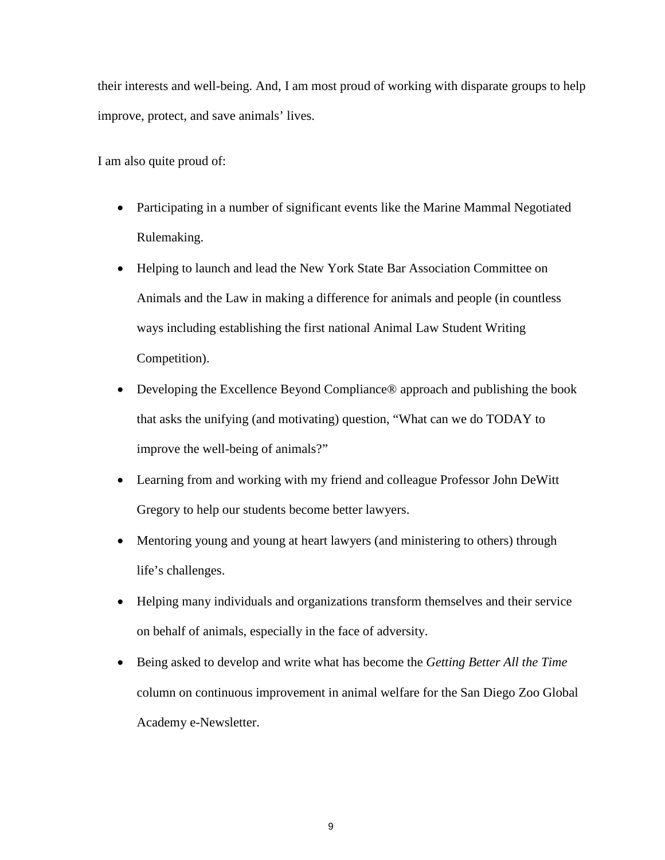their interests and well-being. And, I am most proud of working with disparate groups to help improve, protect, and save animals' lives.

I am also quite proud of:

- Participating in a number of significant events like the Marine Mammal Negotiated Rulemaking.
- Helping to launch and lead the New York State Bar Association Committee on Animals and the Law in making a difference for animals and people (in countless ways including establishing the first national Animal Law Student Writing Competition).
- Developing the Excellence Beyond Compliance® approach and publishing the book that asks the unifying (and motivating) question, "What can we do TODAY to improve the well-being of animals?"
- Learning from and working with my friend and colleague Professor John DeWitt Gregory to help our students become better lawyers.
- Mentoring young and young at heart lawyers (and ministering to others) through life's challenges.
- Helping many individuals and organizations transform themselves and their service on behalf of animals, especially in the face of adversity.
- Being asked to develop and write what has become the *Getting Better All the Time* column on continuous improvement in animal welfare for the San Diego Zoo Global Academy e-Newsletter.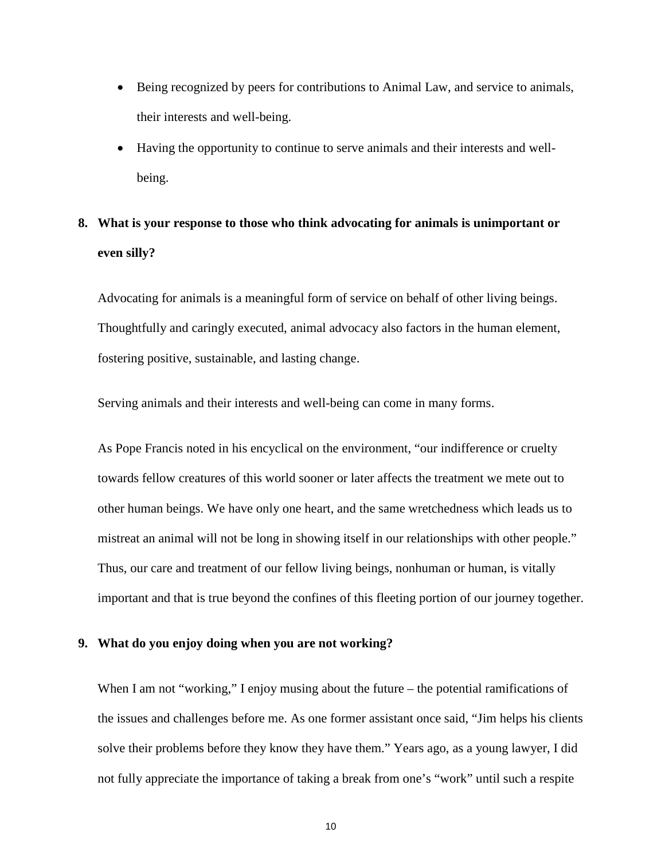- Being recognized by peers for contributions to Animal Law, and service to animals, their interests and well-being.
- Having the opportunity to continue to serve animals and their interests and wellbeing.

# **8. What is your response to those who think advocating for animals is unimportant or even silly?**

Advocating for animals is a meaningful form of service on behalf of other living beings. Thoughtfully and caringly executed, animal advocacy also factors in the human element, fostering positive, sustainable, and lasting change.

Serving animals and their interests and well-being can come in many forms.

As Pope Francis noted in his encyclical on the environment, "our indifference or cruelty towards fellow creatures of this world sooner or later affects the treatment we mete out to other human beings. We have only one heart, and the same wretchedness which leads us to mistreat an animal will not be long in showing itself in our relationships with other people." Thus, our care and treatment of our fellow living beings, nonhuman or human, is vitally important and that is true beyond the confines of this fleeting portion of our journey together.

#### **9. What do you enjoy doing when you are not working?**

When I am not "working," I enjoy musing about the future – the potential ramifications of the issues and challenges before me. As one former assistant once said, "Jim helps his clients solve their problems before they know they have them." Years ago, as a young lawyer, I did not fully appreciate the importance of taking a break from one's "work" until such a respite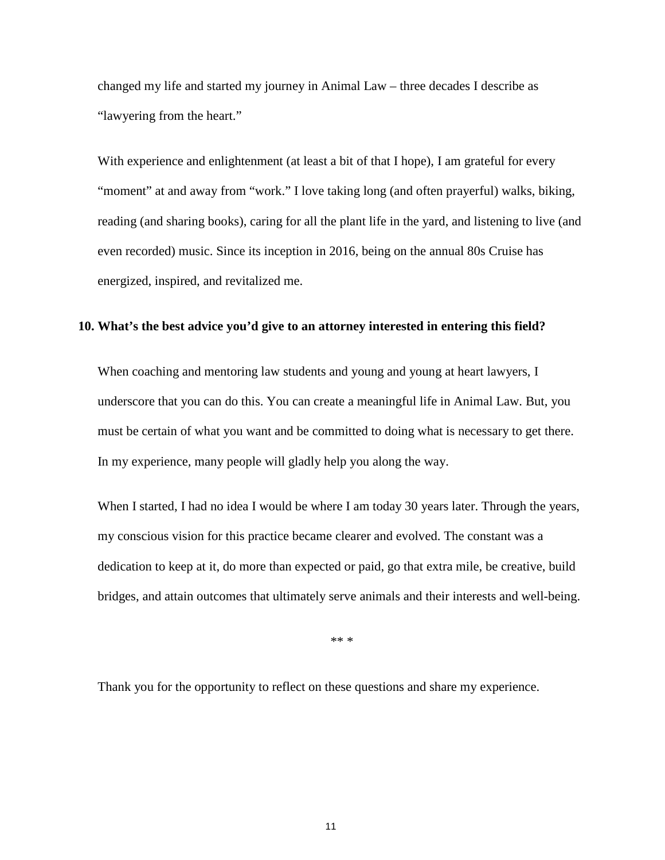changed my life and started my journey in Animal Law – three decades I describe as "lawyering from the heart."

With experience and enlightenment (at least a bit of that I hope), I am grateful for every "moment" at and away from "work." I love taking long (and often prayerful) walks, biking, reading (and sharing books), caring for all the plant life in the yard, and listening to live (and even recorded) music. Since its inception in 2016, being on the annual 80s Cruise has energized, inspired, and revitalized me.

### **10. What's the best advice you'd give to an attorney interested in entering this field?**

When coaching and mentoring law students and young and young at heart lawyers, I underscore that you can do this. You can create a meaningful life in Animal Law. But, you must be certain of what you want and be committed to doing what is necessary to get there. In my experience, many people will gladly help you along the way.

When I started, I had no idea I would be where I am today 30 years later. Through the years, my conscious vision for this practice became clearer and evolved. The constant was a dedication to keep at it, do more than expected or paid, go that extra mile, be creative, build bridges, and attain outcomes that ultimately serve animals and their interests and well-being.

\*\* \*

Thank you for the opportunity to reflect on these questions and share my experience.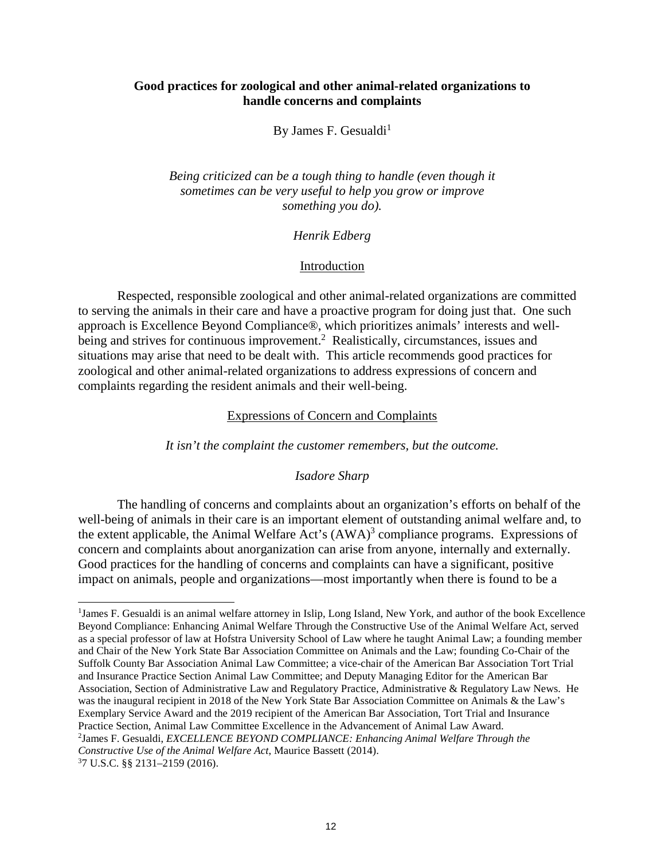### **Good practices for zoological and other animal-related organizations to handle concerns and complaints**

By James F. Gesualdi<sup>1</sup>

*Being criticized can be a tough thing to handle (even though it sometimes can be very useful to help you grow or improve something you do).*

### *Henrik Edberg*

### Introduction

Respected, responsible zoological and other animal-related organizations are committed to serving the animals in their care and have a proactive program for doing just that. One such approach is Excellence Beyond Compliance®, which prioritizes animals' interests and wellbeing and strives for continuous improvement.<sup>2</sup> Realistically, circumstances, issues and situations may arise that need to be dealt with. This article recommends good practices for zoological and other animal-related organizations to address expressions of concern and complaints regarding the resident animals and their well-being.

### Expressions of Concern and Complaints

*It isn't the complaint the customer remembers, but the outcome.*

### *Isadore Sharp*

The handling of concerns and complaints about an organization's efforts on behalf of the well-being of animals in their care is an important element of outstanding animal welfare and, to the extent applicable, the Animal Welfare Act's  $(AWA)^3$  compliance programs. Expressions of concern and complaints about anorganization can arise from anyone, internally and externally. Good practices for the handling of concerns and complaints can have a significant, positive impact on animals, people and organizations—most importantly when there is found to be a

<sup>&</sup>lt;sup>1</sup>James F. Gesualdi is an animal welfare attorney in Islip, Long Island, New York, and author of the book Excellence Beyond Compliance: Enhancing Animal Welfare Through the Constructive Use of the Animal Welfare Act, served as a special professor of law at Hofstra University School of Law where he taught Animal Law; a founding member and Chair of the New York State Bar Association Committee on Animals and the Law; founding Co-Chair of the Suffolk County Bar Association Animal Law Committee; a vice-chair of the American Bar Association Tort Trial and Insurance Practice Section Animal Law Committee; and Deputy Managing Editor for the American Bar Association, Section of Administrative Law and Regulatory Practice, Administrative & Regulatory Law News. He was the inaugural recipient in 2018 of the New York State Bar Association Committee on Animals & the Law's Exemplary Service Award and the 2019 recipient of the American Bar Association, Tort Trial and Insurance Practice Section, Animal Law Committee Excellence in the Advancement of Animal Law Award. 2 James F. Gesualdi, *EXCELLENCE BEYOND COMPLIANCE: Enhancing Animal Welfare Through the Constructive Use of the Animal Welfare Act*, Maurice Bassett (2014).

<sup>3</sup>7 U.S.C. §§ 2131–2159 (2016).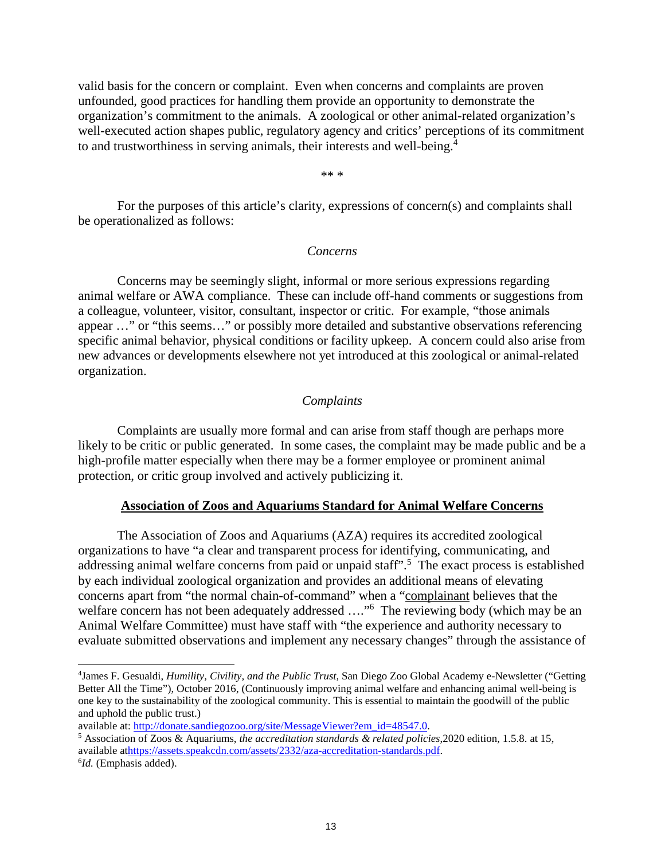valid basis for the concern or complaint. Even when concerns and complaints are proven unfounded, good practices for handling them provide an opportunity to demonstrate the organization's commitment to the animals. A zoological or other animal-related organization's well-executed action shapes public, regulatory agency and critics' perceptions of its commitment to and trustworthiness in serving animals, their interests and well-being.<sup>4</sup>

\*\* \*

For the purposes of this article's clarity, expressions of concern(s) and complaints shall be operationalized as follows:

### *Concerns*

Concerns may be seemingly slight, informal or more serious expressions regarding animal welfare or AWA compliance. These can include off-hand comments or suggestions from a colleague, volunteer, visitor, consultant, inspector or critic. For example, "those animals appear …" or "this seems…" or possibly more detailed and substantive observations referencing specific animal behavior, physical conditions or facility upkeep. A concern could also arise from new advances or developments elsewhere not yet introduced at this zoological or animal-related organization.

### *Complaints*

Complaints are usually more formal and can arise from staff though are perhaps more likely to be critic or public generated. In some cases, the complaint may be made public and be a high-profile matter especially when there may be a former employee or prominent animal protection, or critic group involved and actively publicizing it.

#### **Association of Zoos and Aquariums Standard for Animal Welfare Concerns**

The Association of Zoos and Aquariums (AZA) requires its accredited zoological organizations to have "a clear and transparent process for identifying, communicating, and addressing animal welfare concerns from paid or unpaid staff".<sup>5</sup> The exact process is established by each individual zoological organization and provides an additional means of elevating concerns apart from "the normal chain-of-command" when a "complainant believes that the welfare concern has not been adequately addressed ...."<sup>6</sup> The reviewing body (which may be an Animal Welfare Committee) must have staff with "the experience and authority necessary to evaluate submitted observations and implement any necessary changes" through the assistance of

<sup>4</sup> James F. Gesualdi, *Humility, Civility, and the Public Trust*, San Diego Zoo Global Academy e-Newsletter ("Getting Better All the Time"), October 2016, (Continuously improving animal welfare and enhancing animal well-being is one key to the sustainability of the zoological community. This is essential to maintain the goodwill of the public and uphold the public trust.)

available at: http://donate.sandiegozoo.org/site/MessageViewer?em\_id=48547.0.

<sup>5</sup> Association of Zoos & Aquariums, *the accreditation standards & related policies*,2020 edition, 1.5.8. at 15, available athttps://assets.speakcdn.com/assets/2332/aza-accreditation-standards.pdf.

<sup>6</sup> *Id.* (Emphasis added).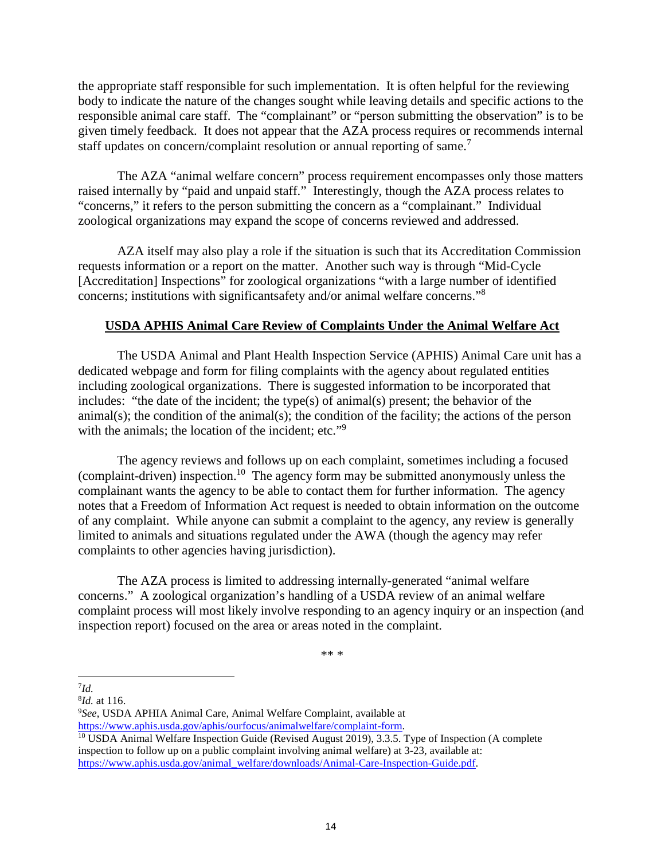the appropriate staff responsible for such implementation. It is often helpful for the reviewing body to indicate the nature of the changes sought while leaving details and specific actions to the responsible animal care staff. The "complainant" or "person submitting the observation" is to be given timely feedback. It does not appear that the AZA process requires or recommends internal staff updates on concern/complaint resolution or annual reporting of same.<sup>7</sup>

The AZA "animal welfare concern" process requirement encompasses only those matters raised internally by "paid and unpaid staff." Interestingly, though the AZA process relates to "concerns," it refers to the person submitting the concern as a "complainant." Individual zoological organizations may expand the scope of concerns reviewed and addressed.

AZA itself may also play a role if the situation is such that its Accreditation Commission requests information or a report on the matter. Another such way is through "Mid-Cycle [Accreditation] Inspections" for zoological organizations "with a large number of identified concerns; institutions with significantsafety and/or animal welfare concerns."<sup>8</sup>

### **USDA APHIS Animal Care Review of Complaints Under the Animal Welfare Act**

The USDA Animal and Plant Health Inspection Service (APHIS) Animal Care unit has a dedicated webpage and form for filing complaints with the agency about regulated entities including zoological organizations. There is suggested information to be incorporated that includes: "the date of the incident; the type(s) of animal(s) present; the behavior of the animal(s); the condition of the animal(s); the condition of the facility; the actions of the person with the animals; the location of the incident; etc."<sup>9</sup>

The agency reviews and follows up on each complaint, sometimes including a focused (complaint-driven) inspection.<sup>10</sup> The agency form may be submitted anonymously unless the complainant wants the agency to be able to contact them for further information. The agency notes that a Freedom of Information Act request is needed to obtain information on the outcome of any complaint. While anyone can submit a complaint to the agency, any review is generally limited to animals and situations regulated under the AWA (though the agency may refer complaints to other agencies having jurisdiction).

The AZA process is limited to addressing internally-generated "animal welfare concerns." A zoological organization's handling of a USDA review of an animal welfare complaint process will most likely involve responding to an agency inquiry or an inspection (and inspection report) focused on the area or areas noted in the complaint.

\*\* \*

7 *Id.*

<sup>8</sup> *Id.* at 116.

<sup>9</sup>*See*, USDA APHIA Animal Care, Animal Welfare Complaint, available at https://www.aphis.usda.gov/aphis/ourfocus/animalwelfare/complaint-form.

 $10$  USDA Animal Welfare Inspection Guide (Revised August 2019), 3.3.5. Type of Inspection (A complete inspection to follow up on a public complaint involving animal welfare) at 3-23, available at: https://www.aphis.usda.gov/animal\_welfare/downloads/Animal-Care-Inspection-Guide.pdf.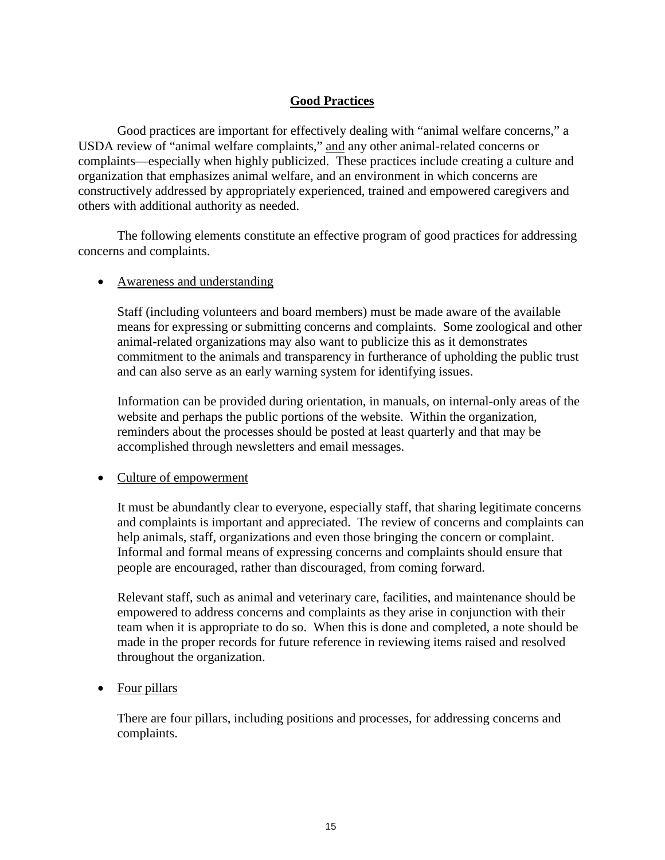### **Good Practices**

Good practices are important for effectively dealing with "animal welfare concerns," a USDA review of "animal welfare complaints," and any other animal-related concerns or complaints—especially when highly publicized. These practices include creating a culture and organization that emphasizes animal welfare, and an environment in which concerns are constructively addressed by appropriately experienced, trained and empowered caregivers and others with additional authority as needed.

The following elements constitute an effective program of good practices for addressing concerns and complaints.

### • Awareness and understanding

Staff (including volunteers and board members) must be made aware of the available means for expressing or submitting concerns and complaints. Some zoological and other animal-related organizations may also want to publicize this as it demonstrates commitment to the animals and transparency in furtherance of upholding the public trust and can also serve as an early warning system for identifying issues.

Information can be provided during orientation, in manuals, on internal-only areas of the website and perhaps the public portions of the website. Within the organization, reminders about the processes should be posted at least quarterly and that may be accomplished through newsletters and email messages.

### • Culture of empowerment

It must be abundantly clear to everyone, especially staff, that sharing legitimate concerns and complaints is important and appreciated. The review of concerns and complaints can help animals, staff, organizations and even those bringing the concern or complaint. Informal and formal means of expressing concerns and complaints should ensure that people are encouraged, rather than discouraged, from coming forward.

Relevant staff, such as animal and veterinary care, facilities, and maintenance should be empowered to address concerns and complaints as they arise in conjunction with their team when it is appropriate to do so. When this is done and completed, a note should be made in the proper records for future reference in reviewing items raised and resolved throughout the organization.

### • Four pillars

There are four pillars, including positions and processes, for addressing concerns and complaints.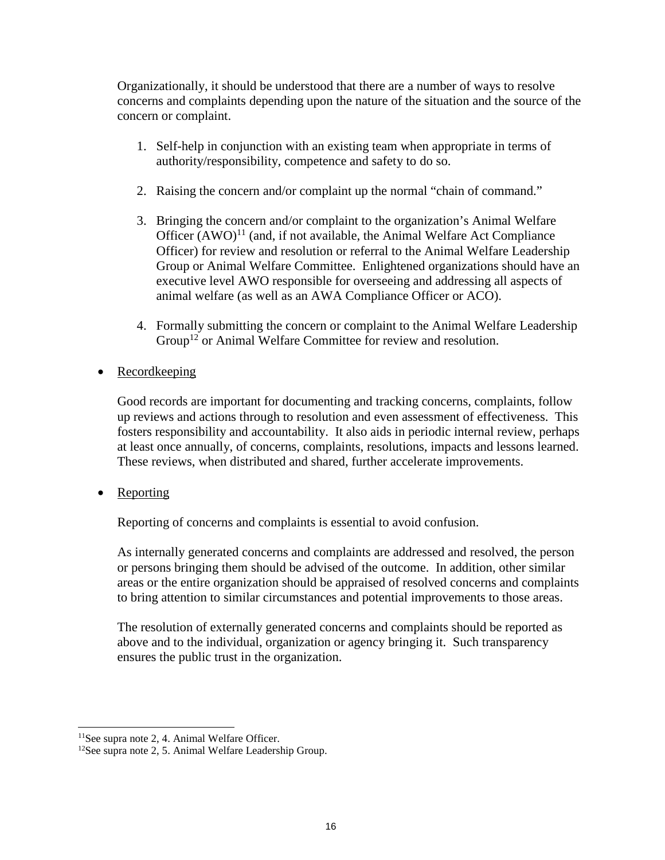Organizationally, it should be understood that there are a number of ways to resolve concerns and complaints depending upon the nature of the situation and the source of the concern or complaint.

- 1. Self-help in conjunction with an existing team when appropriate in terms of authority/responsibility, competence and safety to do so.
- 2. Raising the concern and/or complaint up the normal "chain of command."
- 3. Bringing the concern and/or complaint to the organization's Animal Welfare Officer  $(AWO)^{11}$  (and, if not available, the Animal Welfare Act Compliance Officer) for review and resolution or referral to the Animal Welfare Leadership Group or Animal Welfare Committee. Enlightened organizations should have an executive level AWO responsible for overseeing and addressing all aspects of animal welfare (as well as an AWA Compliance Officer or ACO).
- 4. Formally submitting the concern or complaint to the Animal Welfare Leadership Group<sup>12</sup> or Animal Welfare Committee for review and resolution.
- Recordkeeping

Good records are important for documenting and tracking concerns, complaints, follow up reviews and actions through to resolution and even assessment of effectiveness. This fosters responsibility and accountability. It also aids in periodic internal review, perhaps at least once annually, of concerns, complaints, resolutions, impacts and lessons learned. These reviews, when distributed and shared, further accelerate improvements.

• Reporting

Reporting of concerns and complaints is essential to avoid confusion.

As internally generated concerns and complaints are addressed and resolved, the person or persons bringing them should be advised of the outcome. In addition, other similar areas or the entire organization should be appraised of resolved concerns and complaints to bring attention to similar circumstances and potential improvements to those areas.

The resolution of externally generated concerns and complaints should be reported as above and to the individual, organization or agency bringing it. Such transparency ensures the public trust in the organization.

<sup>11</sup>See supra note 2, 4. Animal Welfare Officer.

<sup>12</sup>See supra note 2, 5. Animal Welfare Leadership Group.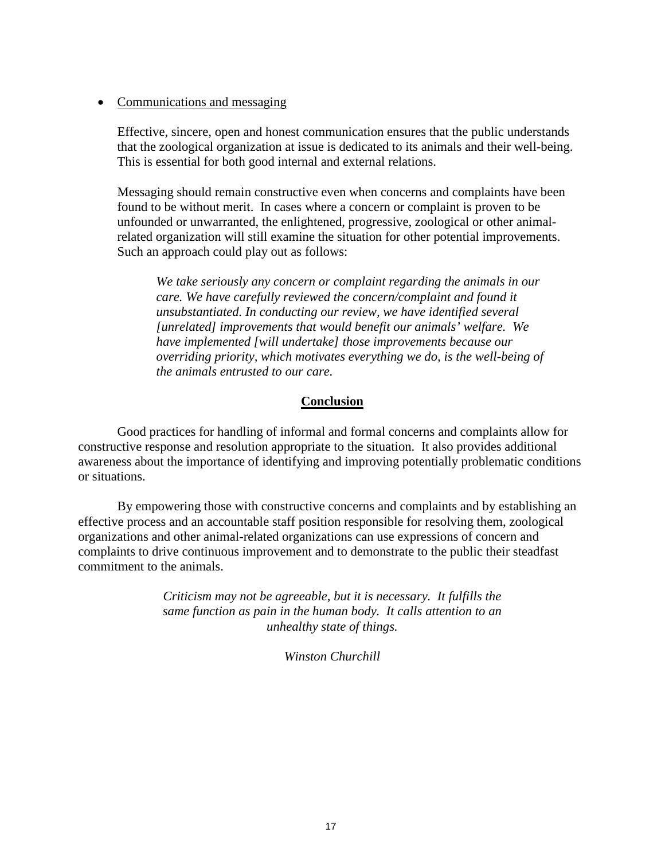### • Communications and messaging

Effective, sincere, open and honest communication ensures that the public understands that the zoological organization at issue is dedicated to its animals and their well-being. This is essential for both good internal and external relations.

Messaging should remain constructive even when concerns and complaints have been found to be without merit. In cases where a concern or complaint is proven to be unfounded or unwarranted, the enlightened, progressive, zoological or other animalrelated organization will still examine the situation for other potential improvements. Such an approach could play out as follows:

*We take seriously any concern or complaint regarding the animals in our care. We have carefully reviewed the concern/complaint and found it unsubstantiated. In conducting our review, we have identified several [unrelated] improvements that would benefit our animals' welfare. We have implemented [will undertake] those improvements because our overriding priority, which motivates everything we do, is the well-being of the animals entrusted to our care.*

### **Conclusion**

Good practices for handling of informal and formal concerns and complaints allow for constructive response and resolution appropriate to the situation. It also provides additional awareness about the importance of identifying and improving potentially problematic conditions or situations.

By empowering those with constructive concerns and complaints and by establishing an effective process and an accountable staff position responsible for resolving them, zoological organizations and other animal-related organizations can use expressions of concern and complaints to drive continuous improvement and to demonstrate to the public their steadfast commitment to the animals.

> *Criticism may not be agreeable, but it is necessary. It fulfills the same function as pain in the human body. It calls attention to an unhealthy state of things.*

> > *Winston Churchill*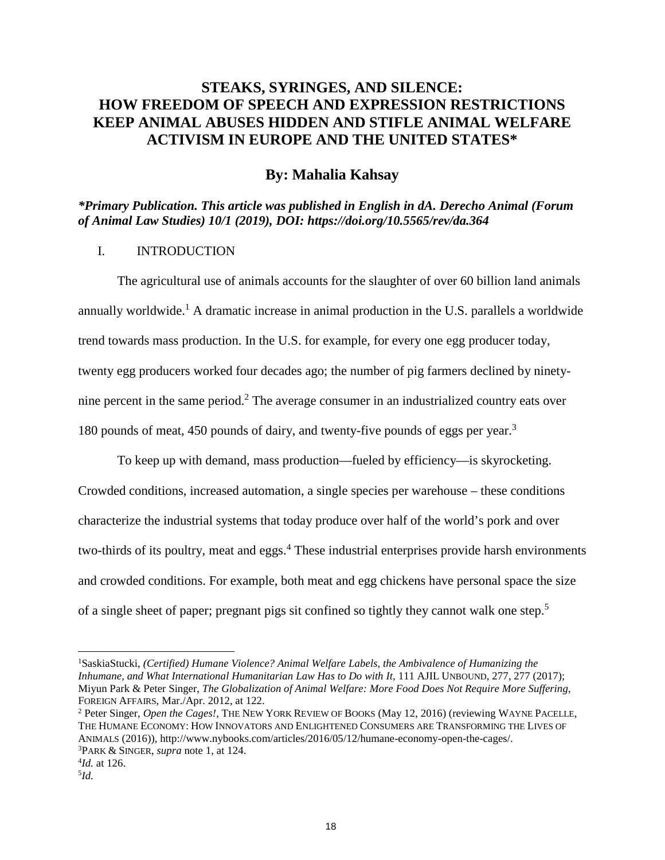### **STEAKS, SYRINGES, AND SILENCE: HOW FREEDOM OF SPEECH AND EXPRESSION RESTRICTIONS KEEP ANIMAL ABUSES HIDDEN AND STIFLE ANIMAL WELFARE ACTIVISM IN EUROPE AND THE UNITED STATES\***

### **By: Mahalia Kahsay**

*\*Primary Publication. This article was published in English in dA. Derecho Animal (Forum of Animal Law Studies) 10/1 (2019), DOI: https://doi.org/10.5565/rev/da.364*

### I. INTRODUCTION

The agricultural use of animals accounts for the slaughter of over 60 billion land animals annually worldwide.<sup>1</sup> A dramatic increase in animal production in the U.S. parallels a worldwide trend towards mass production. In the U.S. for example, for every one egg producer today, twenty egg producers worked four decades ago; the number of pig farmers declined by ninetynine percent in the same period.<sup>2</sup> The average consumer in an industrialized country eats over 180 pounds of meat, 450 pounds of dairy, and twenty-five pounds of eggs per year.<sup>3</sup>

To keep up with demand, mass production—fueled by efficiency—is skyrocketing. Crowded conditions, increased automation, a single species per warehouse – these conditions characterize the industrial systems that today produce over half of the world's pork and over two-thirds of its poultry, meat and eggs.<sup>4</sup> These industrial enterprises provide harsh environments and crowded conditions. For example, both meat and egg chickens have personal space the size of a single sheet of paper; pregnant pigs sit confined so tightly they cannot walk one step.<sup>5</sup>

<sup>2</sup> Peter Singer, *Open the Cages!*, THE NEW YORK REVIEW OF BOOKS (May 12, 2016) (reviewing WAYNE PACELLE, THE HUMANE ECONOMY: HOW INNOVATORS AND ENLIGHTENED CONSUMERS ARE TRANSFORMING THE LIVES OF ANIMALS (2016)), http://www.nybooks.com/articles/2016/05/12/humane-economy-open-the-cages/. <sup>3</sup>PARK & SINGER, *supra* note 1, at 124.

<sup>1</sup>SaskiaStucki, *(Certified) Humane Violence? Animal Welfare Labels, the Ambivalence of Humanizing the Inhumane, and What International Humanitarian Law Has to Do with It*, 111 AJIL UNBOUND, 277, 277 (2017); Miyun Park & Peter Singer, *The Globalization of Animal Welfare: More Food Does Not Require More Suffering*, FOREIGN AFFAIRS, Mar./Apr. 2012, at 122.

<sup>4</sup> *Id.* at 126.

<sup>5</sup> *Id.*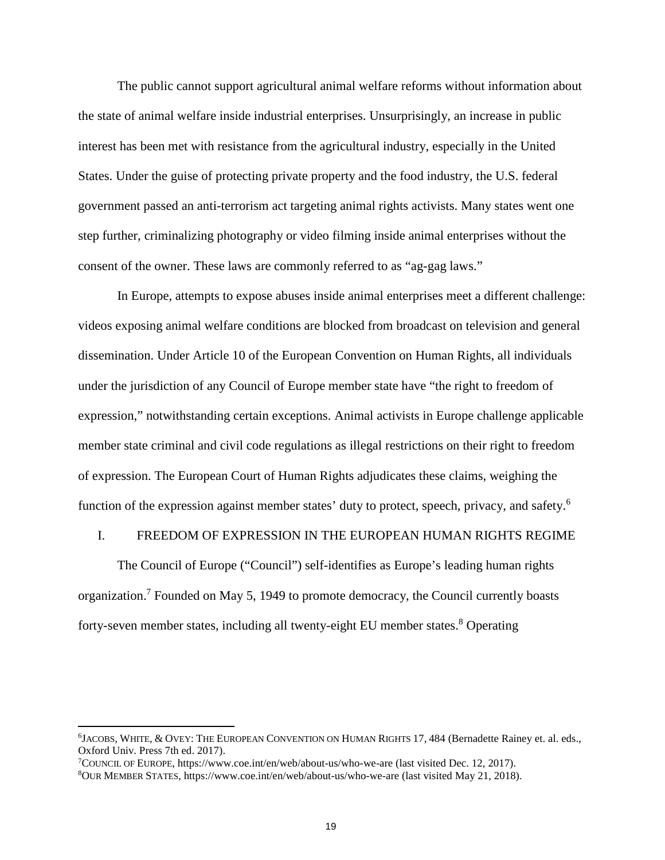The public cannot support agricultural animal welfare reforms without information about the state of animal welfare inside industrial enterprises. Unsurprisingly, an increase in public interest has been met with resistance from the agricultural industry, especially in the United States. Under the guise of protecting private property and the food industry, the U.S. federal government passed an anti-terrorism act targeting animal rights activists. Many states went one step further, criminalizing photography or video filming inside animal enterprises without the consent of the owner. These laws are commonly referred to as "ag-gag laws."

In Europe, attempts to expose abuses inside animal enterprises meet a different challenge: videos exposing animal welfare conditions are blocked from broadcast on television and general dissemination. Under Article 10 of the European Convention on Human Rights, all individuals under the jurisdiction of any Council of Europe member state have "the right to freedom of expression," notwithstanding certain exceptions. Animal activists in Europe challenge applicable member state criminal and civil code regulations as illegal restrictions on their right to freedom of expression. The European Court of Human Rights adjudicates these claims, weighing the function of the expression against member states' duty to protect, speech, privacy, and safety.<sup>6</sup>

#### I. FREEDOM OF EXPRESSION IN THE EUROPEAN HUMAN RIGHTS REGIME

The Council of Europe ("Council") self-identifies as Europe's leading human rights organization.<sup>7</sup> Founded on May 5, 1949 to promote democracy, the Council currently boasts forty-seven member states, including all twenty-eight EU member states.<sup>8</sup> Operating

<sup>6</sup> JACOBS, WHITE, & OVEY: THE EUROPEAN CONVENTION ON HUMAN RIGHTS 17, 484 (Bernadette Rainey et. al. eds., Oxford Univ. Press 7th ed. 2017).

<sup>7</sup>COUNCIL OF EUROPE, https://www.coe.int/en/web/about-us/who-we-are (last visited Dec. 12, 2017).

<sup>8</sup>OUR MEMBER STATES, https://www.coe.int/en/web/about-us/who-we-are (last visited May 21, 2018).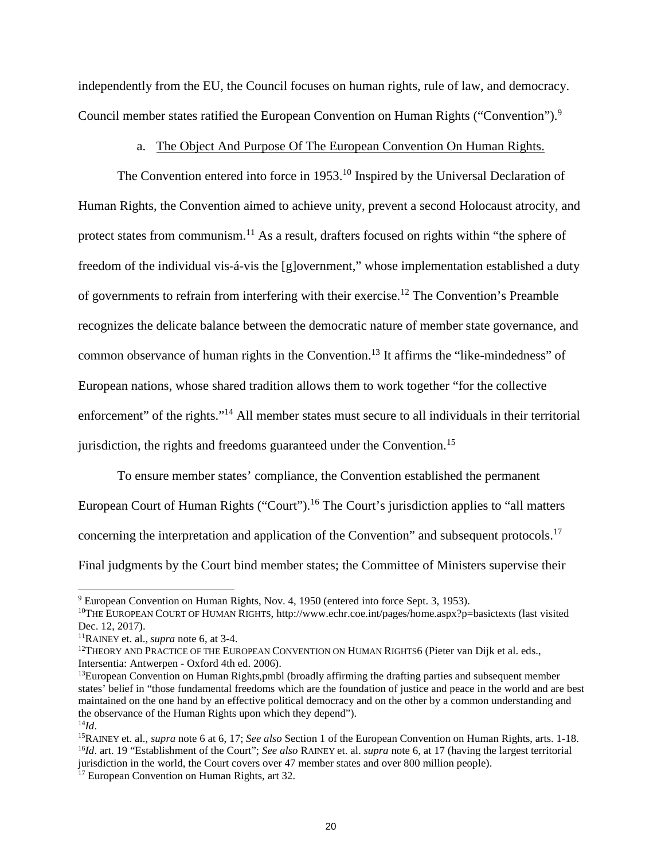independently from the EU, the Council focuses on human rights, rule of law, and democracy. Council member states ratified the European Convention on Human Rights ("Convention").<sup>9</sup>

### a. The Object And Purpose Of The European Convention On Human Rights.

The Convention entered into force in 1953.<sup>10</sup> Inspired by the Universal Declaration of Human Rights, the Convention aimed to achieve unity, prevent a second Holocaust atrocity, and protect states from communism.<sup>11</sup> As a result, drafters focused on rights within "the sphere of freedom of the individual vis-á-vis the [g]overnment," whose implementation established a duty of governments to refrain from interfering with their exercise.<sup>12</sup> The Convention's Preamble recognizes the delicate balance between the democratic nature of member state governance, and common observance of human rights in the Convention.<sup>13</sup> It affirms the "like-mindedness" of European nations, whose shared tradition allows them to work together "for the collective enforcement" of the rights."<sup>14</sup> All member states must secure to all individuals in their territorial jurisdiction, the rights and freedoms guaranteed under the Convention.<sup>15</sup>

To ensure member states' compliance, the Convention established the permanent European Court of Human Rights ("Court").<sup>16</sup> The Court's jurisdiction applies to "all matters concerning the interpretation and application of the Convention" and subsequent protocols.<sup>17</sup> Final judgments by the Court bind member states; the Committee of Ministers supervise their

<sup>9</sup> European Convention on Human Rights, Nov. 4, 1950 (entered into force Sept. 3, 1953).

<sup>10</sup>THE EUROPEAN COURT OF HUMAN RIGHTS, http://www.echr.coe.int/pages/home.aspx?p=basictexts (last visited Dec. 12, 2017).

<sup>11</sup>RAINEY et. al., *supra* note 6, at 3-4.

<sup>&</sup>lt;sup>12</sup>THEORY AND PRACTICE OF THE EUROPEAN CONVENTION ON HUMAN RIGHTS6 (Pieter van Dijk et al. eds., Intersentia: Antwerpen - Oxford 4th ed. 2006).

<sup>&</sup>lt;sup>13</sup>European Convention on Human Rights,pmbl (broadly affirming the drafting parties and subsequent member states' belief in "those fundamental freedoms which are the foundation of justice and peace in the world and are best maintained on the one hand by an effective political democracy and on the other by a common understanding and the observance of the Human Rights upon which they depend").

 $^{14}$ *Id*.

<sup>15</sup>RAINEY et. al., *supra* note 6 at 6, 17; *See also* Section 1 of the European Convention on Human Rights, arts. 1-18. <sup>16</sup>*Id*. art. 19 "Establishment of the Court"; *See also* RAINEY et. al. *supra* note 6, at 17 (having the largest territorial jurisdiction in the world, the Court covers over 47 member states and over 800 million people).

<sup>&</sup>lt;sup>17</sup> European Convention on Human Rights, art 32.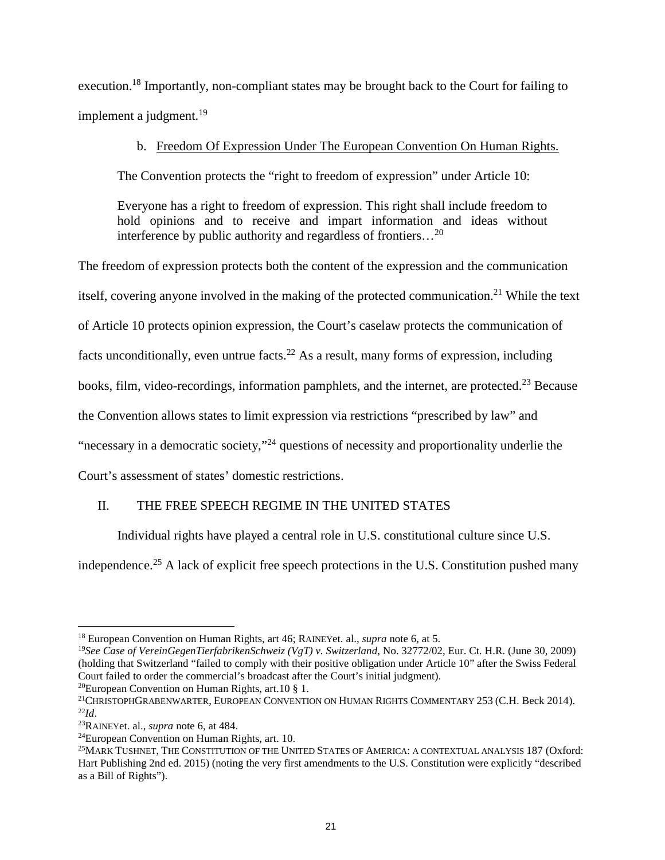execution.<sup>18</sup> Importantly, non-compliant states may be brought back to the Court for failing to implement a judgment.<sup>19</sup>

### b. Freedom Of Expression Under The European Convention On Human Rights.

The Convention protects the "right to freedom of expression" under Article 10:

Everyone has a right to freedom of expression. This right shall include freedom to hold opinions and to receive and impart information and ideas without interference by public authority and regardless of frontiers…<sup>20</sup>

The freedom of expression protects both the content of the expression and the communication itself, covering anyone involved in the making of the protected communication.<sup>21</sup> While the text of Article 10 protects opinion expression, the Court's caselaw protects the communication of facts unconditionally, even untrue facts.<sup>22</sup> As a result, many forms of expression, including books, film, video-recordings, information pamphlets, and the internet, are protected.<sup>23</sup> Because the Convention allows states to limit expression via restrictions "prescribed by law" and "necessary in a democratic society,"<sup>24</sup> questions of necessity and proportionality underlie the

Court's assessment of states' domestic restrictions.

### II. THE FREE SPEECH REGIME IN THE UNITED STATES

Individual rights have played a central role in U.S. constitutional culture since U.S.

independence.<sup>25</sup> A lack of explicit free speech protections in the U.S. Constitution pushed many

<sup>20</sup>European Convention on Human Rights, art. 10  $\S$  1.

<sup>18</sup> European Convention on Human Rights, art 46; RAINEYet. al., *supra* note 6, at 5.

<sup>19</sup>*See Case of VereinGegenTierfabrikenSchweiz (VgT) v. Switzerland*, No. 32772/02, Eur. Ct. H.R. (June 30, 2009) (holding that Switzerland "failed to comply with their positive obligation under Article 10" after the Swiss Federal Court failed to order the commercial's broadcast after the Court's initial judgment).

<sup>&</sup>lt;sup>21</sup>CHRISTOPHGRABENWARTER, EUROPEAN CONVENTION ON HUMAN RIGHTS COMMENTARY 253 (C.H. Beck 2014).  $^{22}Id.$ 

<sup>23</sup>RAINEYet. al., *supra* note 6, at 484.

<sup>24</sup>European Convention on Human Rights, art. 10.

<sup>25</sup>MARK TUSHNET, THE CONSTITUTION OF THE UNITED STATES OF AMERICA: A CONTEXTUAL ANALYSIS 187 (Oxford: Hart Publishing 2nd ed. 2015) (noting the very first amendments to the U.S. Constitution were explicitly "described as a Bill of Rights").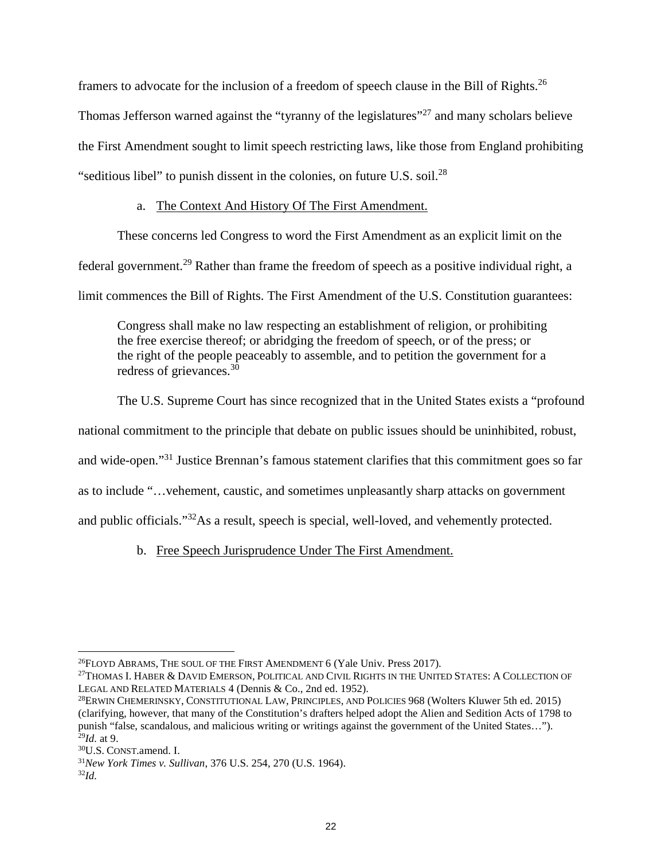framers to advocate for the inclusion of a freedom of speech clause in the Bill of Rights.<sup>26</sup> Thomas Jefferson warned against the "tyranny of the legislatures"<sup>27</sup> and many scholars believe the First Amendment sought to limit speech restricting laws, like those from England prohibiting "seditious libel" to punish dissent in the colonies, on future U.S. soil. $^{28}$ 

### a. The Context And History Of The First Amendment.

These concerns led Congress to word the First Amendment as an explicit limit on the

federal government.<sup>29</sup> Rather than frame the freedom of speech as a positive individual right, a

limit commences the Bill of Rights. The First Amendment of the U.S. Constitution guarantees:

Congress shall make no law respecting an establishment of religion, or prohibiting the free exercise thereof; or abridging the freedom of speech, or of the press; or the right of the people peaceably to assemble, and to petition the government for a redress of grievances. $3\overline{0}$ 

The U.S. Supreme Court has since recognized that in the United States exists a "profound

national commitment to the principle that debate on public issues should be uninhibited, robust,

and wide-open."<sup>31</sup> Justice Brennan's famous statement clarifies that this commitment goes so far

as to include "…vehement, caustic, and sometimes unpleasantly sharp attacks on government

and public officials."<sup>32</sup>As a result, speech is special, well-loved, and vehemently protected.

b. Free Speech Jurisprudence Under The First Amendment.

<sup>&</sup>lt;sup>26</sup>FLOYD ABRAMS, THE SOUL OF THE FIRST AMENDMENT 6 (Yale Univ. Press 2017).

<sup>&</sup>lt;sup>27</sup>THOMAS I. HABER & DAVID EMERSON, POLITICAL AND CIVIL RIGHTS IN THE UNITED STATES: A COLLECTION OF LEGAL AND RELATED MATERIALS 4 (Dennis & Co., 2nd ed. 1952).

<sup>28</sup>ERWIN CHEMERINSKY, CONSTITUTIONAL LAW, PRINCIPLES, AND POLICIES 968 (Wolters Kluwer 5th ed. 2015) (clarifying, however, that many of the Constitution's drafters helped adopt the Alien and Sedition Acts of 1798 to punish "false, scandalous, and malicious writing or writings against the government of the United States…"). <sup>29</sup>*Id.* at 9.

<sup>30</sup>U.S. CONST.amend. I.

<sup>31</sup>*New York Times v. Sullivan*, 376 U.S. 254, 270 (U.S. 1964).

<sup>32</sup>*Id.*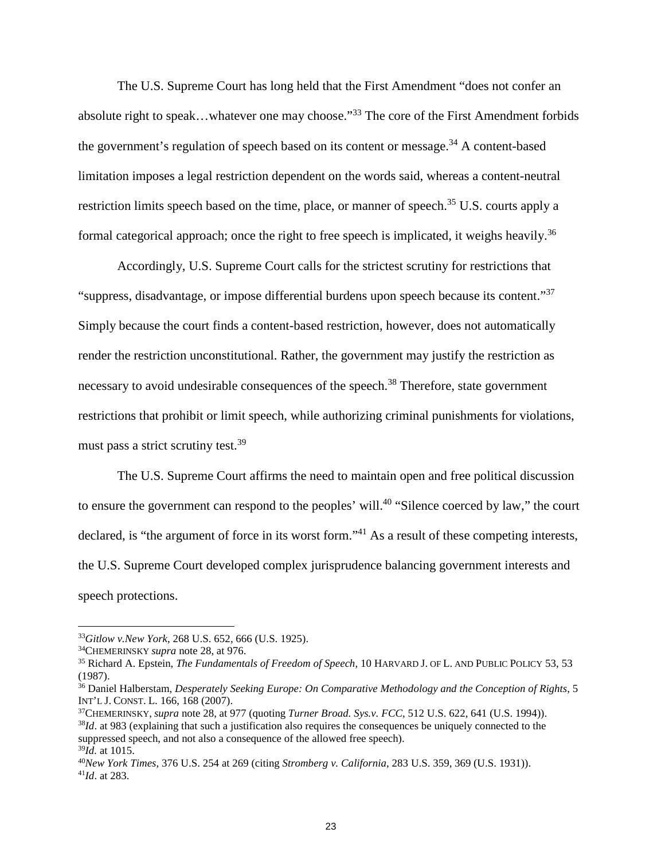The U.S. Supreme Court has long held that the First Amendment "does not confer an absolute right to speak…whatever one may choose."<sup>33</sup> The core of the First Amendment forbids the government's regulation of speech based on its content or message.<sup>34</sup> A content-based limitation imposes a legal restriction dependent on the words said, whereas a content-neutral restriction limits speech based on the time, place, or manner of speech.<sup>35</sup> U.S. courts apply a formal categorical approach; once the right to free speech is implicated, it weighs heavily.<sup>36</sup>

Accordingly, U.S. Supreme Court calls for the strictest scrutiny for restrictions that "suppress, disadvantage, or impose differential burdens upon speech because its content."<sup>37</sup> Simply because the court finds a content-based restriction, however, does not automatically render the restriction unconstitutional. Rather, the government may justify the restriction as necessary to avoid undesirable consequences of the speech.<sup>38</sup> Therefore, state government restrictions that prohibit or limit speech, while authorizing criminal punishments for violations, must pass a strict scrutiny test.<sup>39</sup>

The U.S. Supreme Court affirms the need to maintain open and free political discussion to ensure the government can respond to the peoples' will.<sup>40</sup> "Silence coerced by law," the court declared, is "the argument of force in its worst form."<sup>41</sup> As a result of these competing interests, the U.S. Supreme Court developed complex jurisprudence balancing government interests and speech protections.

<sup>33</sup>*Gitlow v.New York*, 268 U.S. 652, 666 (U.S. 1925).

<sup>34</sup>CHEMERINSKY *supra* note 28, at 976.

<sup>35</sup> Richard A. Epstein, *The Fundamentals of Freedom of Speech*, 10 HARVARD J. OF L. AND PUBLIC POLICY 53, 53 (1987).

<sup>36</sup> Daniel Halberstam, *Desperately Seeking Europe: On Comparative Methodology and the Conception of Rights*, 5 INT'L J. CONST. L. 166, 168 (2007).

<sup>37</sup>CHEMERINSKY, *supra* note 28, at 977 (quoting *Turner Broad. Sys.v. FCC*, 512 U.S. 622, 641 (U.S. 1994)). <sup>38</sup>*Id*. at 983 (explaining that such a justification also requires the consequences be uniquely connected to the suppressed speech, and not also a consequence of the allowed free speech). <sup>39</sup>*Id.* at 1015.

<sup>40</sup>*New York Times*, 376 U.S. 254 at 269 (citing *Stromberg v. California*, 283 U.S. 359, 369 (U.S. 1931)). <sup>41</sup>*Id*. at 283.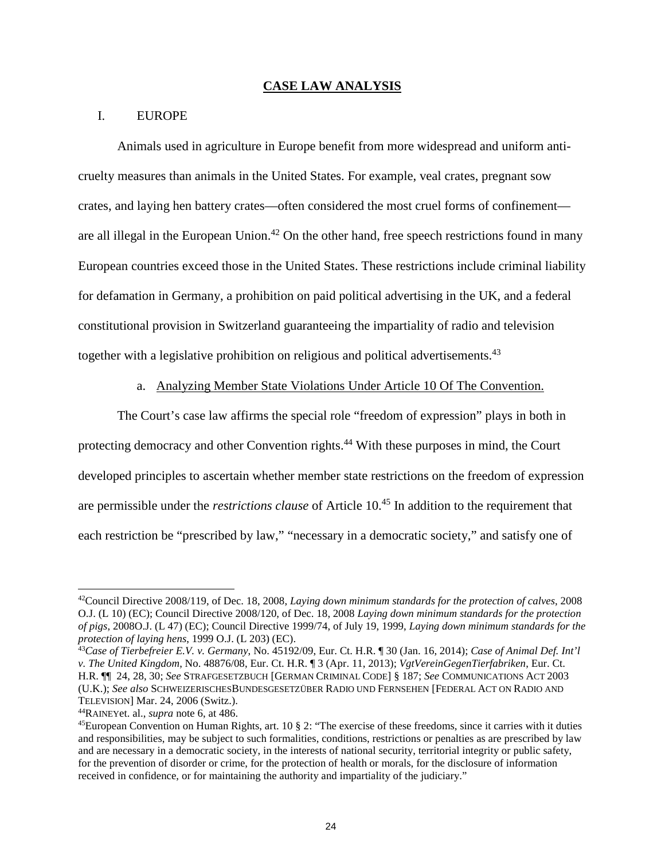#### **CASE LAW ANALYSIS**

### I. EUROPE

Animals used in agriculture in Europe benefit from more widespread and uniform anticruelty measures than animals in the United States. For example, veal crates, pregnant sow crates, and laying hen battery crates—often considered the most cruel forms of confinement are all illegal in the European Union.<sup>42</sup> On the other hand, free speech restrictions found in many European countries exceed those in the United States. These restrictions include criminal liability for defamation in Germany, a prohibition on paid political advertising in the UK, and a federal constitutional provision in Switzerland guaranteeing the impartiality of radio and television together with a legislative prohibition on religious and political advertisements.<sup>43</sup>

### a. Analyzing Member State Violations Under Article 10 Of The Convention.

The Court's case law affirms the special role "freedom of expression" plays in both in protecting democracy and other Convention rights.<sup>44</sup> With these purposes in mind, the Court developed principles to ascertain whether member state restrictions on the freedom of expression are permissible under the *restrictions clause* of Article 10.<sup>45</sup> In addition to the requirement that each restriction be "prescribed by law," "necessary in a democratic society," and satisfy one of

<sup>42</sup>Council Directive 2008/119, of Dec. 18, 2008, *Laying down minimum standards for the protection of calves*, 2008 O.J. (L 10) (EC); Council Directive 2008/120, of Dec. 18, 2008 *Laying down minimum standards for the protection of pigs*, 2008O.J. (L 47) (EC); Council Directive 1999/74, of July 19, 1999, *Laying down minimum standards for the protection of laying hens*, 1999 O.J. (L 203) (EC).

<sup>43</sup>*Case of Tierbefreier E.V. v. Germany*, No. 45192/09, Eur. Ct. H.R. ¶ 30 (Jan. 16, 2014); *Case of Animal Def. Int'l v. The United Kingdom*, No. 48876/08, Eur. Ct. H.R. ¶ 3 (Apr. 11, 2013); *VgtVereinGegenTierfabriken*, Eur. Ct. H.R. ¶¶ 24, 28, 30; *See* STRAFGESETZBUCH [GERMAN CRIMINAL CODE] § 187; *See* COMMUNICATIONS ACT 2003 (U.K.); *See also* SCHWEIZERISCHESBUNDESGESETZÜBER RADIO UND FERNSEHEN [FEDERAL ACT ON RADIO AND TELEVISION] Mar. 24, 2006 (Switz.).

<sup>44</sup>RAINEYet. al., *supra* note 6, at 486.

 $^{45}$ European Convention on Human Rights, art. 10 § 2: "The exercise of these freedoms, since it carries with it duties and responsibilities, may be subject to such formalities, conditions, restrictions or penalties as are prescribed by law and are necessary in a democratic society, in the interests of national security, territorial integrity or public safety, for the prevention of disorder or crime, for the protection of health or morals, for the disclosure of information received in confidence, or for maintaining the authority and impartiality of the judiciary."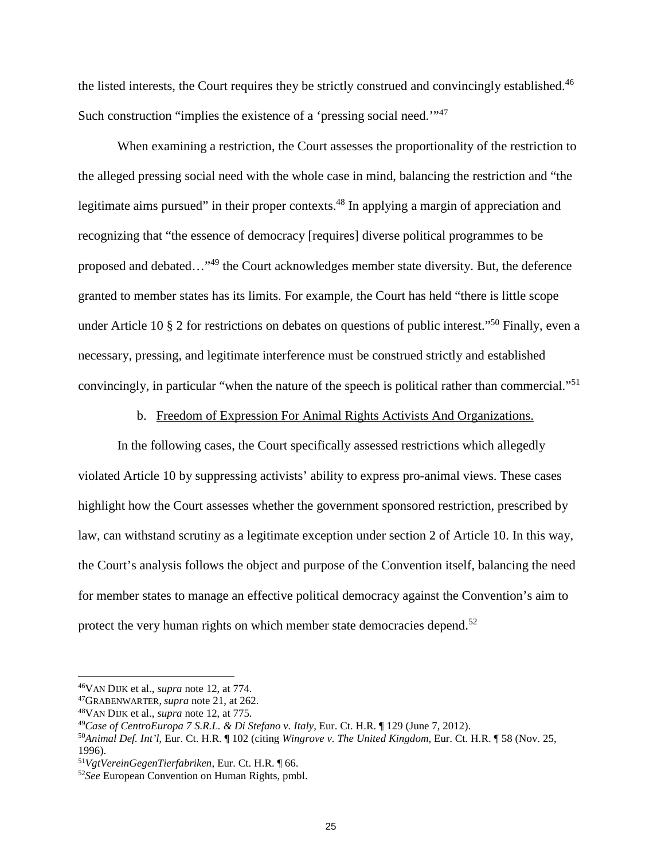the listed interests, the Court requires they be strictly construed and convincingly established.<sup>46</sup> Such construction "implies the existence of a 'pressing social need.'"<sup>47</sup>

When examining a restriction, the Court assesses the proportionality of the restriction to the alleged pressing social need with the whole case in mind, balancing the restriction and "the legitimate aims pursued" in their proper contexts.<sup>48</sup> In applying a margin of appreciation and recognizing that "the essence of democracy [requires] diverse political programmes to be proposed and debated…"<sup>49</sup> the Court acknowledges member state diversity. But, the deference granted to member states has its limits. For example, the Court has held "there is little scope under Article 10  $\S$  2 for restrictions on debates on questions of public interest."<sup>50</sup> Finally, even a necessary, pressing, and legitimate interference must be construed strictly and established convincingly, in particular "when the nature of the speech is political rather than commercial."<sup>51</sup>

b. Freedom of Expression For Animal Rights Activists And Organizations.

In the following cases, the Court specifically assessed restrictions which allegedly violated Article 10 by suppressing activists' ability to express pro-animal views. These cases highlight how the Court assesses whether the government sponsored restriction, prescribed by law, can withstand scrutiny as a legitimate exception under section 2 of Article 10. In this way, the Court's analysis follows the object and purpose of the Convention itself, balancing the need for member states to manage an effective political democracy against the Convention's aim to protect the very human rights on which member state democracies depend.<sup>52</sup>

<sup>46</sup>VAN DIJK et al., *supra* note 12, at 774.

<sup>47</sup>GRABENWARTER, *supra* note 21, at 262.

<sup>48</sup>VAN DIJK et al., *supra* note 12, at 775.

<sup>49</sup>*Case of CentroEuropa 7 S.R.L. & Di Stefano v. Italy*, Eur. Ct. H.R. ¶ 129 (June 7, 2012).

<sup>50</sup>*Animal Def. Int'l*, Eur. Ct. H.R. ¶ 102 (citing *Wingrove v. The United Kingdom*, Eur. Ct. H.R. ¶ 58 (Nov. 25, 1996).

<sup>51</sup>*VgtVereinGegenTierfabriken*, Eur. Ct. H.R. ¶ 66.

<sup>52</sup>*See* European Convention on Human Rights, pmbl.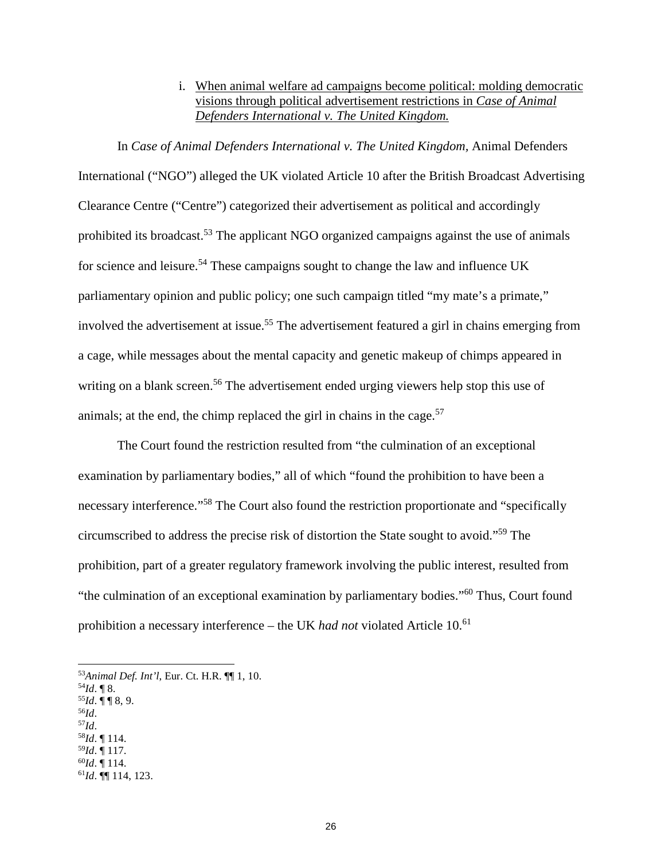### i. When animal welfare ad campaigns become political: molding democratic visions through political advertisement restrictions in *Case of Animal Defenders International v. The United Kingdom.*

In *Case of Animal Defenders International v. The United Kingdom,* Animal Defenders International ("NGO") alleged the UK violated Article 10 after the British Broadcast Advertising Clearance Centre ("Centre") categorized their advertisement as political and accordingly prohibited its broadcast.<sup>53</sup> The applicant NGO organized campaigns against the use of animals for science and leisure.<sup>54</sup> These campaigns sought to change the law and influence UK parliamentary opinion and public policy; one such campaign titled "my mate's a primate," involved the advertisement at issue.<sup>55</sup> The advertisement featured a girl in chains emerging from a cage, while messages about the mental capacity and genetic makeup of chimps appeared in writing on a blank screen.<sup>56</sup> The advertisement ended urging viewers help stop this use of animals; at the end, the chimp replaced the girl in chains in the cage.<sup>57</sup>

The Court found the restriction resulted from "the culmination of an exceptional examination by parliamentary bodies," all of which "found the prohibition to have been a necessary interference."<sup>58</sup> The Court also found the restriction proportionate and "specifically circumscribed to address the precise risk of distortion the State sought to avoid."<sup>59</sup> The prohibition, part of a greater regulatory framework involving the public interest, resulted from "the culmination of an exceptional examination by parliamentary bodies."<sup>60</sup> Thus, Court found prohibition a necessary interference – the UK had not violated Article 10.<sup>61</sup>

- $54$ *Id*. **[8.**]
- $55$ *Id*.  $\P\P$  8, 9. <sup>56</sup>*Id*.
- <sup>57</sup>*Id*.
- <sup>58</sup>*Id*. ¶ 114.
- <sup>59</sup>*Id*. ¶ 117.
- <sup>60</sup>*Id*. ¶ 114.
- <sup>61</sup>*Id*. ¶¶ 114, 123.

<sup>53</sup>*Animal Def. Int'l*, Eur. Ct. H.R. ¶¶ 1, 10.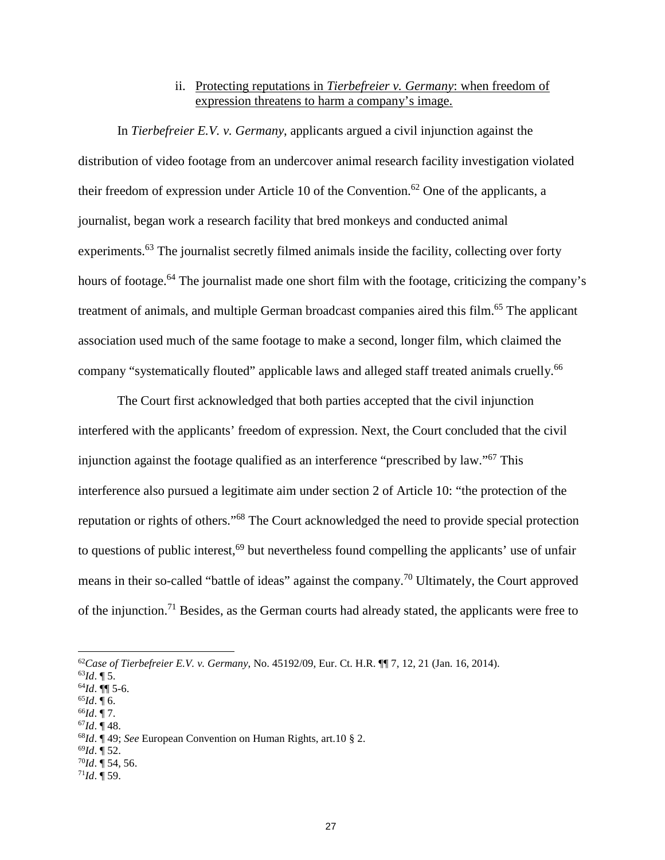### ii. Protecting reputations in *Tierbefreier v. Germany*: when freedom of expression threatens to harm a company's image.

In *Tierbefreier E.V. v. Germany*, applicants argued a civil injunction against the distribution of video footage from an undercover animal research facility investigation violated their freedom of expression under Article 10 of the Convention.<sup>62</sup> One of the applicants, a journalist, began work a research facility that bred monkeys and conducted animal experiments.<sup>63</sup> The journalist secretly filmed animals inside the facility, collecting over forty hours of footage.<sup>64</sup> The journalist made one short film with the footage, criticizing the company's treatment of animals, and multiple German broadcast companies aired this film.<sup>65</sup> The applicant association used much of the same footage to make a second, longer film, which claimed the company "systematically flouted" applicable laws and alleged staff treated animals cruelly.<sup>66</sup>

The Court first acknowledged that both parties accepted that the civil injunction interfered with the applicants' freedom of expression. Next, the Court concluded that the civil injunction against the footage qualified as an interference "prescribed by law."<sup>67</sup> This interference also pursued a legitimate aim under section 2 of Article 10: "the protection of the reputation or rights of others."<sup>68</sup> The Court acknowledged the need to provide special protection to questions of public interest,  $69$  but nevertheless found compelling the applicants' use of unfair means in their so-called "battle of ideas" against the company.<sup>70</sup> Ultimately, the Court approved of the injunction.<sup>71</sup> Besides, as the German courts had already stated, the applicants were free to

<sup>67</sup>*Id*. ¶ 48.

<sup>62</sup>*Case of Tierbefreier E.V. v. Germany*, No. 45192/09, Eur. Ct. H.R. ¶¶ 7, 12, 21 (Jan. 16, 2014).

<sup>63</sup>*Id*. ¶ 5.

<sup>64</sup>*Id*. ¶¶ 5-6.

 $^{65}Id. \overline{96}$ .

<sup>66</sup>*Id*. ¶ 7.

<sup>68</sup>*Id*. ¶ 49; *See* European Convention on Human Rights, art.10 § 2.

<sup>69</sup>*Id*. ¶ 52.

 $^{70}$ *Id*. ¶ 54, 56.

 $71$ *Id*. ¶ 59.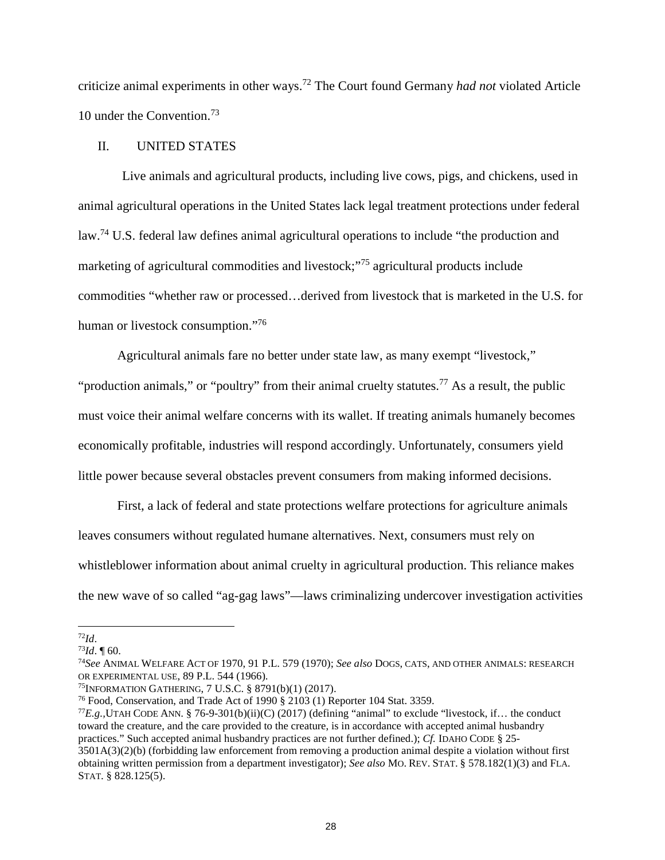criticize animal experiments in other ways.<sup>72</sup> The Court found Germany *had not* violated Article 10 under the Convention.<sup>73</sup>

### II. UNITED STATES

Live animals and agricultural products, including live cows, pigs, and chickens, used in animal agricultural operations in the United States lack legal treatment protections under federal law.<sup>74</sup> U.S. federal law defines animal agricultural operations to include "the production and marketing of agricultural commodities and livestock;"<sup>75</sup> agricultural products include commodities "whether raw or processed…derived from livestock that is marketed in the U.S. for human or livestock consumption."<sup>76</sup>

Agricultural animals fare no better under state law, as many exempt "livestock," "production animals," or "poultry" from their animal cruelty statutes.<sup>77</sup> As a result, the public must voice their animal welfare concerns with its wallet. If treating animals humanely becomes economically profitable, industries will respond accordingly. Unfortunately, consumers yield little power because several obstacles prevent consumers from making informed decisions.

First, a lack of federal and state protections welfare protections for agriculture animals leaves consumers without regulated humane alternatives. Next, consumers must rely on whistleblower information about animal cruelty in agricultural production. This reliance makes the new wave of so called "ag-gag laws"—laws criminalizing undercover investigation activities

<sup>72</sup>*Id*.

 $^{73}Id.$  ¶ 60.

<sup>74</sup>*See* ANIMAL WELFARE ACT OF 1970, 91 P.L. 579 (1970); *See also* DOGS, CATS, AND OTHER ANIMALS: RESEARCH OR EXPERIMENTAL USE, 89 P.L. 544 (1966).

<sup>75</sup>INFORMATION GATHERING, 7 U.S.C. § 8791(b)(1) (2017).

<sup>76</sup> Food, Conservation, and Trade Act of 1990 § 2103 (1) Reporter 104 Stat. 3359.

<sup>77</sup>*E.g.,*UTAH CODE ANN. § 76-9-301(b)(ii)(C) (2017) (defining "animal" to exclude "livestock, if… the conduct toward the creature, and the care provided to the creature, is in accordance with accepted animal husbandry practices." Such accepted animal husbandry practices are not further defined.); *Cf.* IDAHO CODE § 25- 3501A(3)(2)(b) (forbidding law enforcement from removing a production animal despite a violation without first obtaining written permission from a department investigator); *See also* MO. REV. STAT. § 578.182(1)(3) and FLA. STAT. § 828.125(5).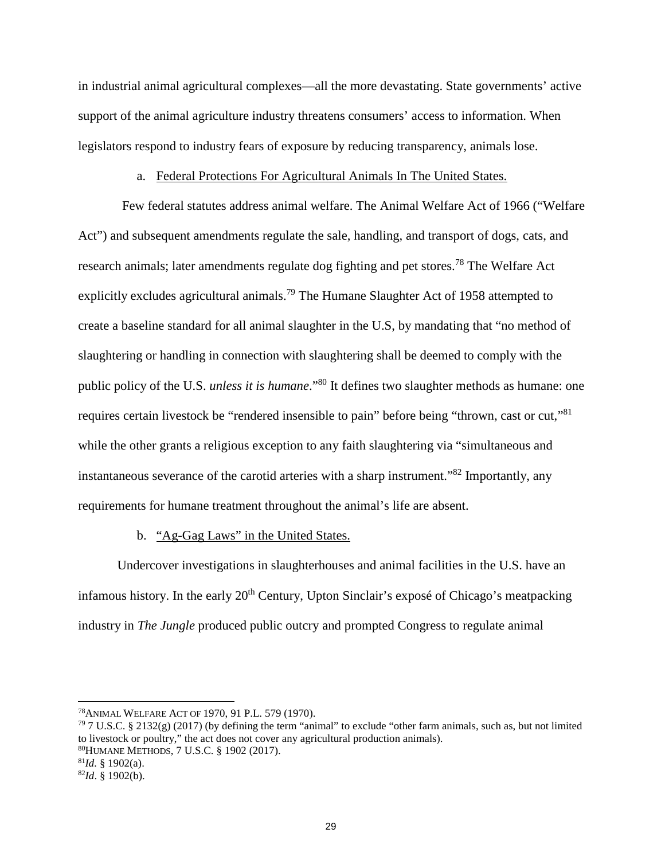in industrial animal agricultural complexes—all the more devastating. State governments' active support of the animal agriculture industry threatens consumers' access to information. When legislators respond to industry fears of exposure by reducing transparency, animals lose.

### a. Federal Protections For Agricultural Animals In The United States.

Few federal statutes address animal welfare. The Animal Welfare Act of 1966 ("Welfare Act") and subsequent amendments regulate the sale, handling, and transport of dogs, cats, and research animals; later amendments regulate dog fighting and pet stores.<sup>78</sup> The Welfare Act explicitly excludes agricultural animals.<sup>79</sup> The Humane Slaughter Act of 1958 attempted to create a baseline standard for all animal slaughter in the U.S, by mandating that "no method of slaughtering or handling in connection with slaughtering shall be deemed to comply with the public policy of the U.S. *unless it is humane*."<sup>80</sup> It defines two slaughter methods as humane: one requires certain livestock be "rendered insensible to pain" before being "thrown, cast or cut,"<sup>81</sup> while the other grants a religious exception to any faith slaughtering via "simultaneous and instantaneous severance of the carotid arteries with a sharp instrument."<sup>82</sup> Importantly, any requirements for humane treatment throughout the animal's life are absent.

#### b. "Ag-Gag Laws" in the United States.

Undercover investigations in slaughterhouses and animal facilities in the U.S. have an infamous history. In the early  $20<sup>th</sup>$  Century, Upton Sinclair's expose of Chicago's meatpacking industry in *The Jungle* produced public outcry and prompted Congress to regulate animal

<sup>78</sup>ANIMAL WELFARE ACT OF 1970, 91 P.L. 579 (1970).

 $79$  7 U.S.C. § 2132(g) (2017) (by defining the term "animal" to exclude "other farm animals, such as, but not limited to livestock or poultry," the act does not cover any agricultural production animals). <sup>80</sup>HUMANE METHODS, 7 U.S.C. § 1902 (2017).  $^{81}$ *Id.* § 1902(a).

<sup>82</sup>*Id*. § 1902(b).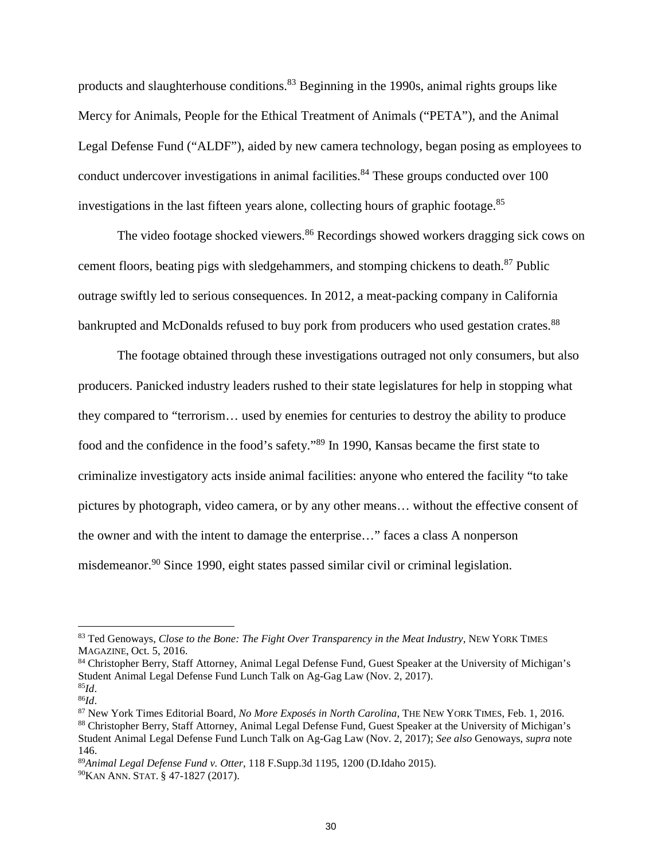products and slaughterhouse conditions.<sup>83</sup> Beginning in the 1990s, animal rights groups like Mercy for Animals, People for the Ethical Treatment of Animals ("PETA"), and the Animal Legal Defense Fund ("ALDF"), aided by new camera technology, began posing as employees to conduct undercover investigations in animal facilities.<sup>84</sup> These groups conducted over  $100$ investigations in the last fifteen years alone, collecting hours of graphic footage.<sup>85</sup>

The video footage shocked viewers.<sup>86</sup> Recordings showed workers dragging sick cows on cement floors, beating pigs with sledgehammers, and stomping chickens to death.<sup>87</sup> Public outrage swiftly led to serious consequences. In 2012, a meat-packing company in California bankrupted and McDonalds refused to buy pork from producers who used gestation crates.<sup>88</sup>

The footage obtained through these investigations outraged not only consumers, but also producers. Panicked industry leaders rushed to their state legislatures for help in stopping what they compared to "terrorism… used by enemies for centuries to destroy the ability to produce food and the confidence in the food's safety."<sup>89</sup> In 1990, Kansas became the first state to criminalize investigatory acts inside animal facilities: anyone who entered the facility "to take pictures by photograph, video camera, or by any other means… without the effective consent of the owner and with the intent to damage the enterprise…" faces a class A nonperson misdemeanor.<sup>90</sup> Since 1990, eight states passed similar civil or criminal legislation.

<sup>83</sup> Ted Genoways, *Close to the Bone: The Fight Over Transparency in the Meat Industry*, NEW YORK TIMES MAGAZINE, Oct. 5, 2016.

<sup>84</sup> Christopher Berry, Staff Attorney, Animal Legal Defense Fund, Guest Speaker at the University of Michigan's Student Animal Legal Defense Fund Lunch Talk on Ag-Gag Law (Nov. 2, 2017). <sup>85</sup>*Id*.

<sup>86</sup>*Id*.

<sup>87</sup> New York Times Editorial Board, *No More Exposés in North Carolina*, THE NEW YORK TIMES, Feb. 1, 2016. <sup>88</sup> Christopher Berry, Staff Attorney, Animal Legal Defense Fund, Guest Speaker at the University of Michigan's Student Animal Legal Defense Fund Lunch Talk on Ag-Gag Law (Nov. 2, 2017); *See also* Genoways, *supra* note 146.

<sup>89</sup>*Animal Legal Defense Fund v. Otter*, 118 F.Supp.3d 1195, 1200 (D.Idaho 2015).

<sup>90</sup>KAN ANN. STAT. § 47-1827 (2017).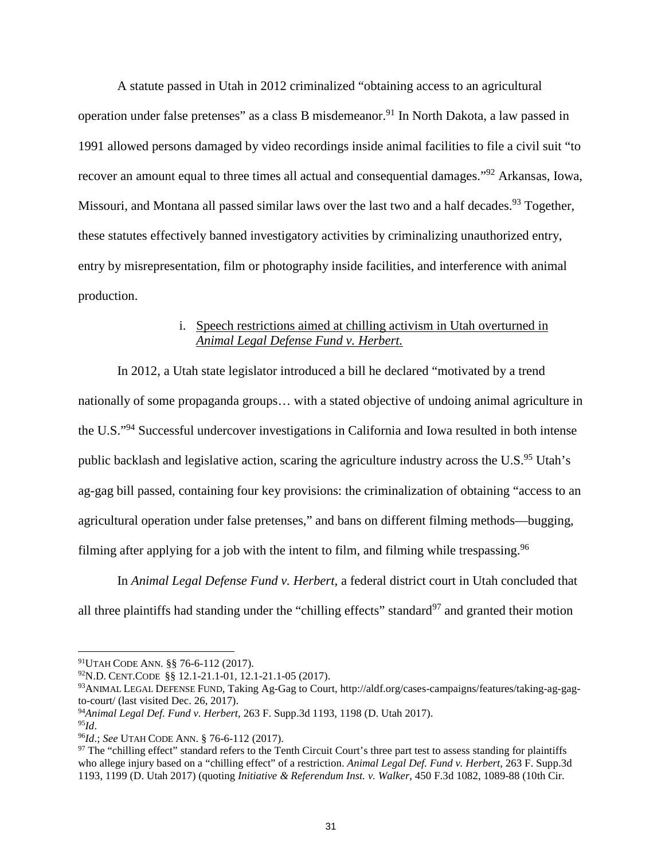A statute passed in Utah in 2012 criminalized "obtaining access to an agricultural operation under false pretenses" as a class B misdemeanor.<sup>91</sup> In North Dakota, a law passed in 1991 allowed persons damaged by video recordings inside animal facilities to file a civil suit "to recover an amount equal to three times all actual and consequential damages."<sup>92</sup> Arkansas, Iowa, Missouri, and Montana all passed similar laws over the last two and a half decades.<sup>93</sup> Together, these statutes effectively banned investigatory activities by criminalizing unauthorized entry, entry by misrepresentation, film or photography inside facilities, and interference with animal production.

### i. Speech restrictions aimed at chilling activism in Utah overturned in *Animal Legal Defense Fund v. Herbert.*

In 2012, a Utah state legislator introduced a bill he declared "motivated by a trend nationally of some propaganda groups… with a stated objective of undoing animal agriculture in the U.S."<sup>94</sup> Successful undercover investigations in California and Iowa resulted in both intense public backlash and legislative action, scaring the agriculture industry across the U.S.<sup>95</sup> Utah's ag-gag bill passed, containing four key provisions: the criminalization of obtaining "access to an agricultural operation under false pretenses," and bans on different filming methods—bugging, filming after applying for a job with the intent to film, and filming while trespassing.<sup>96</sup>

In *Animal Legal Defense Fund v. Herbert*, a federal district court in Utah concluded that all three plaintiffs had standing under the "chilling effects" standard<sup>97</sup> and granted their motion

<sup>91</sup>UTAH CODE ANN. §§ 76-6-112 (2017).

<sup>92</sup>N.D. CENT.CODE §§ 12.1-21.1-01, 12.1-21.1-05 (2017).

<sup>93</sup>ANIMAL LEGAL DEFENSE FUND, Taking Ag-Gag to Court, http://aldf.org/cases-campaigns/features/taking-ag-gagto-court/ (last visited Dec. 26, 2017).

<sup>94</sup>*Animal Legal Def. Fund v. Herbert*, 263 F. Supp.3d 1193, 1198 (D. Utah 2017).

<sup>95</sup>*Id*.

<sup>96</sup>*Id*.; *See* UTAH CODE ANN. § 76-6-112 (2017).

 $97$  The "chilling effect" standard refers to the Tenth Circuit Court's three part test to assess standing for plaintiffs who allege injury based on a "chilling effect" of a restriction. *Animal Legal Def. Fund v. Herbert*, 263 F. Supp.3d 1193, 1199 (D. Utah 2017) (quoting *Initiative & Referendum Inst. v. Walker*, 450 F.3d 1082, 1089-88 (10th Cir.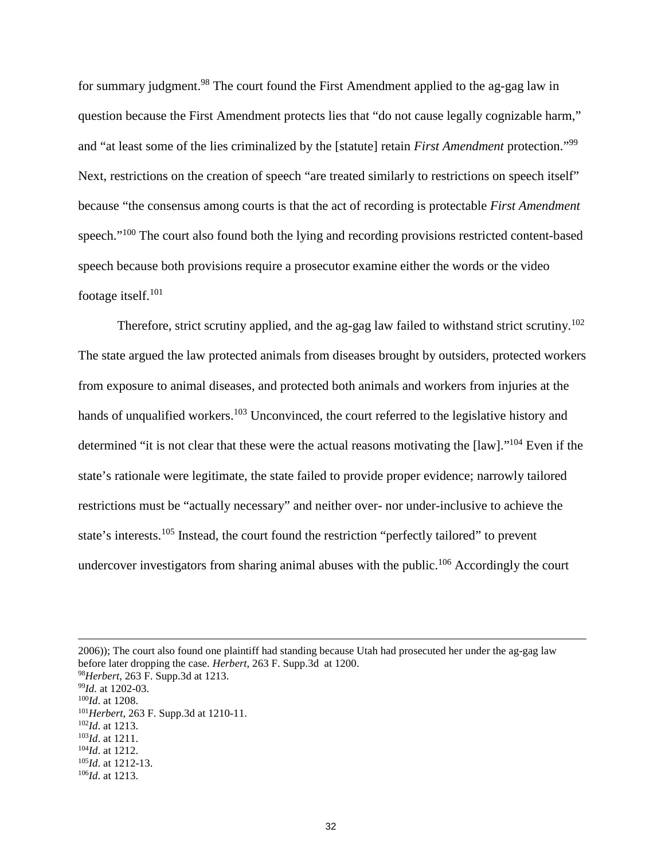for summary judgment.<sup>98</sup> The court found the First Amendment applied to the ag-gag law in question because the First Amendment protects lies that "do not cause legally cognizable harm," and "at least some of the lies criminalized by the [statute] retain *First Amendment* protection."<sup>99</sup> Next, restrictions on the creation of speech "are treated similarly to restrictions on speech itself" because "the consensus among courts is that the act of recording is protectable *First Amendment* speech."<sup>100</sup> The court also found both the lying and recording provisions restricted content-based speech because both provisions require a prosecutor examine either the words or the video footage itself.<sup>101</sup>

Therefore, strict scrutiny applied, and the ag-gag law failed to withstand strict scrutiny.<sup>102</sup> The state argued the law protected animals from diseases brought by outsiders, protected workers from exposure to animal diseases, and protected both animals and workers from injuries at the hands of unqualified workers.<sup>103</sup> Unconvinced, the court referred to the legislative history and determined "it is not clear that these were the actual reasons motivating the [law]."<sup>104</sup> Even if the state's rationale were legitimate, the state failed to provide proper evidence; narrowly tailored restrictions must be "actually necessary" and neither over- nor under-inclusive to achieve the state's interests.<sup>105</sup> Instead, the court found the restriction "perfectly tailored" to prevent undercover investigators from sharing animal abuses with the public.<sup>106</sup> Accordingly the court

2006)); The court also found one plaintiff had standing because Utah had prosecuted her under the ag-gag law before later dropping the case. *Herbert*, 263 F. Supp.3d at 1200. *Herbert*, 263 F. Supp.3d at 1213. *Id.* at 1202-03. *Id*. at 1208. *Herbert*, 263 F. Supp.3d at 1210-11. *Id*. at 1213. *Id*. at 1211. *Id*. at 1212. *Id*. at 1212-13.

<sup>106</sup>*Id*. at 1213.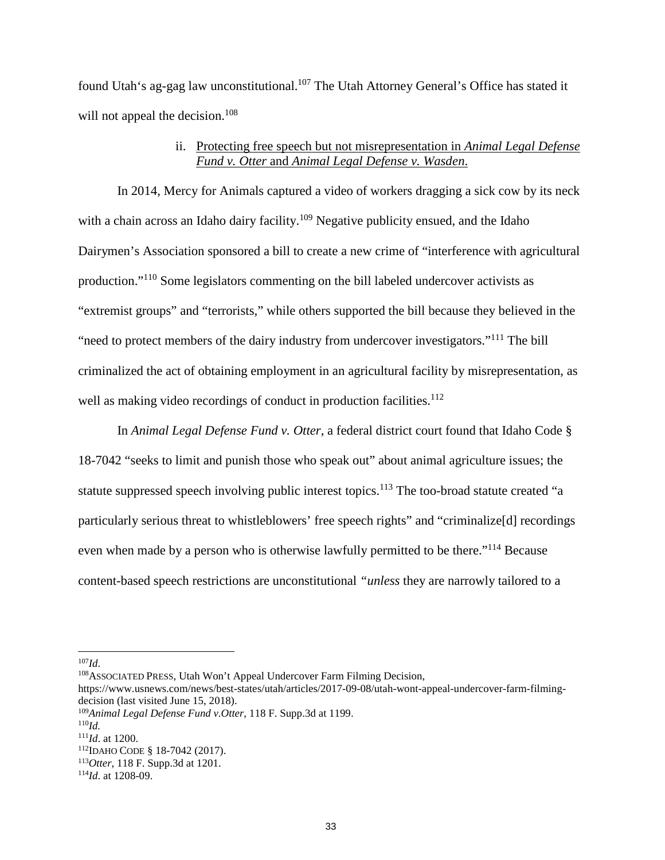found Utah's ag-gag law unconstitutional.<sup>107</sup> The Utah Attorney General's Office has stated it will not appeal the decision.<sup>108</sup>

### ii. Protecting free speech but not misrepresentation in *Animal Legal Defense Fund v. Otter* and *Animal Legal Defense v. Wasden*.

In 2014, Mercy for Animals captured a video of workers dragging a sick cow by its neck with a chain across an Idaho dairy facility.<sup>109</sup> Negative publicity ensued, and the Idaho Dairymen's Association sponsored a bill to create a new crime of "interference with agricultural production."<sup>110</sup> Some legislators commenting on the bill labeled undercover activists as "extremist groups" and "terrorists," while others supported the bill because they believed in the "need to protect members of the dairy industry from undercover investigators."<sup>111</sup> The bill criminalized the act of obtaining employment in an agricultural facility by misrepresentation, as well as making video recordings of conduct in production facilities.<sup>112</sup>

In *Animal Legal Defense Fund v. Otter*, a federal district court found that Idaho Code § 18-7042 "seeks to limit and punish those who speak out" about animal agriculture issues; the statute suppressed speech involving public interest topics.<sup>113</sup> The too-broad statute created "a particularly serious threat to whistleblowers' free speech rights" and "criminalize[d] recordings even when made by a person who is otherwise lawfully permitted to be there."<sup>114</sup> Because content-based speech restrictions are unconstitutional *"unless* they are narrowly tailored to a

<sup>108</sup>ASSOCIATED PRESS, Utah Won't Appeal Undercover Farm Filming Decision,

<sup>107</sup>*Id*.

https://www.usnews.com/news/best-states/utah/articles/2017-09-08/utah-wont-appeal-undercover-farm-filmingdecision (last visited June 15, 2018).

<sup>109</sup>*Animal Legal Defense Fund v.Otter*, 118 F. Supp.3d at 1199.

<sup>110</sup>*Id.*

<sup>111</sup>*Id*. at 1200.

<sup>112</sup>IDAHO CODE § 18-7042 (2017).

<sup>113</sup>*Otter*, 118 F. Supp.3d at 1201.

<sup>114</sup>*Id*. at 1208-09.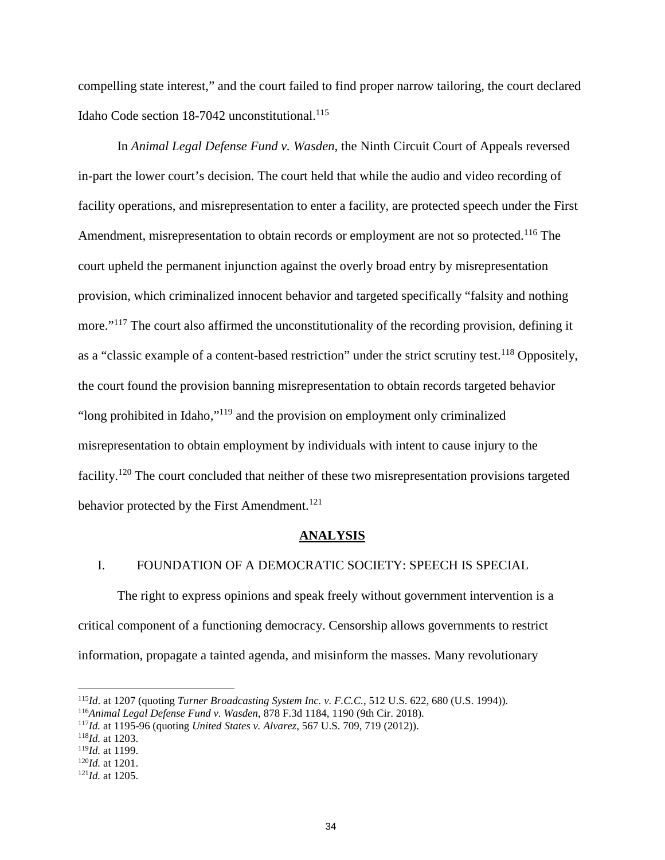compelling state interest," and the court failed to find proper narrow tailoring, the court declared Idaho Code section 18-7042 unconstitutional. $^{115}$ 

In *Animal Legal Defense Fund v. Wasden*, the Ninth Circuit Court of Appeals reversed in-part the lower court's decision. The court held that while the audio and video recording of facility operations, and misrepresentation to enter a facility, are protected speech under the First Amendment, misrepresentation to obtain records or employment are not so protected.<sup>116</sup> The court upheld the permanent injunction against the overly broad entry by misrepresentation provision, which criminalized innocent behavior and targeted specifically "falsity and nothing more."<sup>117</sup> The court also affirmed the unconstitutionality of the recording provision, defining it as a "classic example of a content-based restriction" under the strict scrutiny test.<sup>118</sup> Oppositely, the court found the provision banning misrepresentation to obtain records targeted behavior "long prohibited in Idaho,"<sup>119</sup> and the provision on employment only criminalized misrepresentation to obtain employment by individuals with intent to cause injury to the facility.<sup>120</sup> The court concluded that neither of these two misrepresentation provisions targeted behavior protected by the First Amendment.<sup>121</sup>

#### **ANALYSIS**

### I. FOUNDATION OF A DEMOCRATIC SOCIETY: SPEECH IS SPECIAL

The right to express opinions and speak freely without government intervention is a critical component of a functioning democracy. Censorship allows governments to restrict information, propagate a tainted agenda, and misinform the masses. Many revolutionary

<sup>115</sup>*Id*. at 1207 (quoting *Turner Broadcasting System Inc. v. F.C.C.*, 512 U.S. 622, 680 (U.S. 1994)).

<sup>116</sup>*Animal Legal Defense Fund v. Wasden*, 878 F.3d 1184, 1190 (9th Cir. 2018).

<sup>117</sup>*Id.* at 1195-96 (quoting *United States v. Alvarez*, 567 U.S. 709, 719 (2012)).

<sup>118</sup>*Id.* at 1203.

<sup>119</sup>*Id.* at 1199.

<sup>120</sup>*Id.* at 1201.

<sup>121</sup>*Id.* at 1205.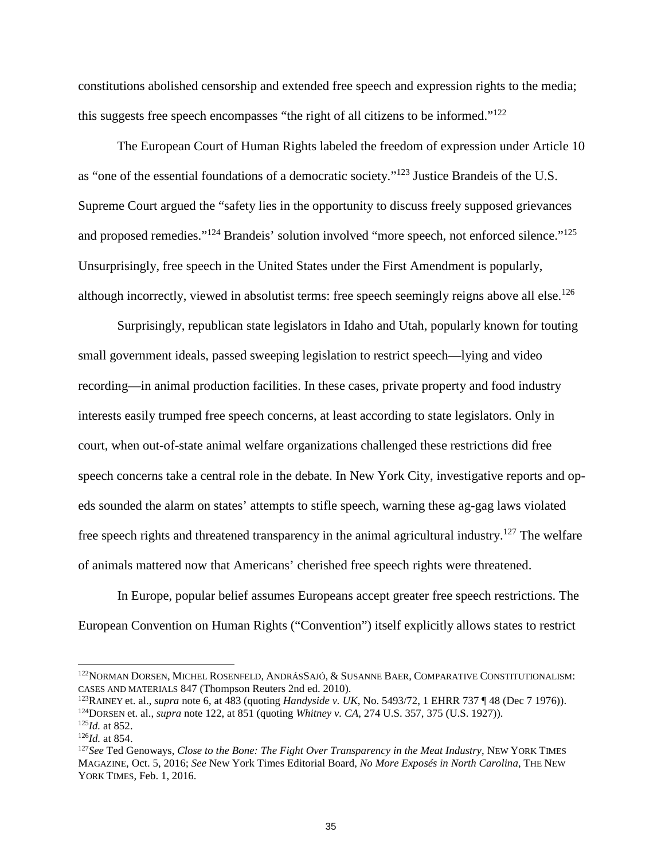constitutions abolished censorship and extended free speech and expression rights to the media; this suggests free speech encompasses "the right of all citizens to be informed."<sup>122</sup>

The European Court of Human Rights labeled the freedom of expression under Article 10 as "one of the essential foundations of a democratic society."<sup>123</sup> Justice Brandeis of the U.S. Supreme Court argued the "safety lies in the opportunity to discuss freely supposed grievances and proposed remedies."<sup>124</sup> Brandeis' solution involved "more speech, not enforced silence."<sup>125</sup> Unsurprisingly, free speech in the United States under the First Amendment is popularly, although incorrectly, viewed in absolutist terms: free speech seemingly reigns above all else.<sup>126</sup>

Surprisingly, republican state legislators in Idaho and Utah, popularly known for touting small government ideals, passed sweeping legislation to restrict speech—lying and video recording—in animal production facilities. In these cases, private property and food industry interests easily trumped free speech concerns, at least according to state legislators. Only in court, when out-of-state animal welfare organizations challenged these restrictions did free speech concerns take a central role in the debate. In New York City, investigative reports and opeds sounded the alarm on states' attempts to stifle speech, warning these ag-gag laws violated free speech rights and threatened transparency in the animal agricultural industry.<sup>127</sup> The welfare of animals mattered now that Americans' cherished free speech rights were threatened.

In Europe, popular belief assumes Europeans accept greater free speech restrictions. The European Convention on Human Rights ("Convention") itself explicitly allows states to restrict

<sup>&</sup>lt;sup>122</sup>NORMAN DORSEN, MICHEL ROSENFELD, ANDRÁSSAJÓ, & SUSANNE BAER, COMPARATIVE CONSTITUTIONALISM: CASES AND MATERIALS 847 (Thompson Reuters 2nd ed. 2010).

<sup>123</sup>RAINEY et. al., *supra* note 6, at 483 (quoting *Handyside v. UK*, No. 5493/72, 1 EHRR 737 ¶ 48 (Dec 7 1976)). <sup>124</sup>DORSEN et. al., *supra* note 122, at 851 (quoting *Whitney v. CA*, 274 U.S. 357, 375 (U.S. 1927)). <sup>125</sup>*Id.* at 852.

<sup>126</sup>*Id.* at 854.

<sup>127</sup>*See* Ted Genoways, *Close to the Bone: The Fight Over Transparency in the Meat Industry*, NEW YORK TIMES MAGAZINE, Oct. 5, 2016; *See* New York Times Editorial Board, *No More Exposés in North Carolina*, THE NEW YORK TIMES, Feb. 1, 2016.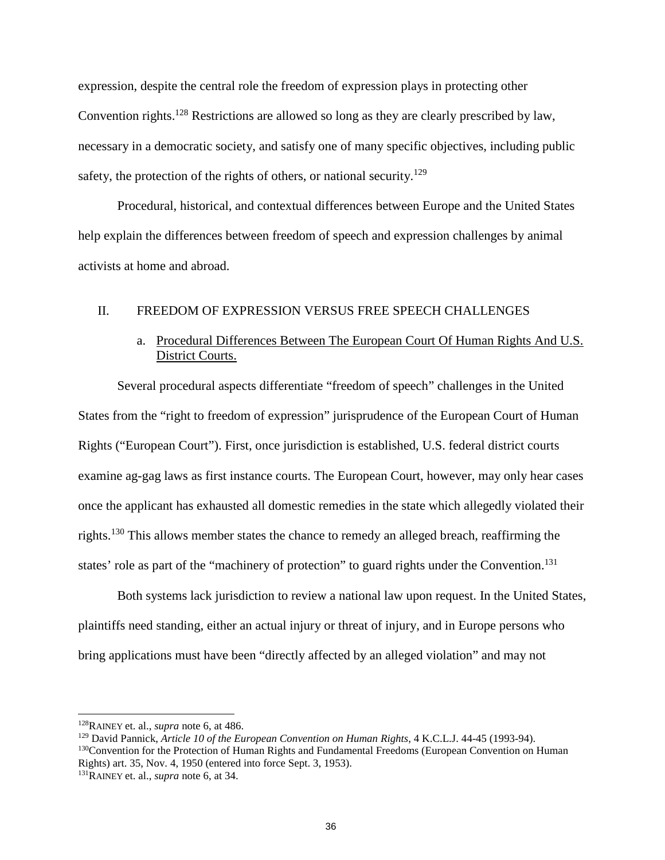expression, despite the central role the freedom of expression plays in protecting other Convention rights.<sup>128</sup> Restrictions are allowed so long as they are clearly prescribed by law, necessary in a democratic society, and satisfy one of many specific objectives, including public safety, the protection of the rights of others, or national security.<sup>129</sup>

Procedural, historical, and contextual differences between Europe and the United States help explain the differences between freedom of speech and expression challenges by animal activists at home and abroad.

### II. FREEDOM OF EXPRESSION VERSUS FREE SPEECH CHALLENGES

### a. Procedural Differences Between The European Court Of Human Rights And U.S. District Courts.

Several procedural aspects differentiate "freedom of speech" challenges in the United States from the "right to freedom of expression" jurisprudence of the European Court of Human Rights ("European Court"). First, once jurisdiction is established, U.S. federal district courts examine ag-gag laws as first instance courts. The European Court, however, may only hear cases once the applicant has exhausted all domestic remedies in the state which allegedly violated their rights.<sup>130</sup> This allows member states the chance to remedy an alleged breach, reaffirming the states' role as part of the "machinery of protection" to guard rights under the Convention.<sup>131</sup>

Both systems lack jurisdiction to review a national law upon request. In the United States, plaintiffs need standing, either an actual injury or threat of injury, and in Europe persons who bring applications must have been "directly affected by an alleged violation" and may not

<sup>128</sup>RAINEY et. al., *supra* note 6, at 486.

<sup>129</sup> David Pannick, *Article 10 of the European Convention on Human Rights*, 4 K.C.L.J. 44-45 (1993-94). <sup>130</sup>Convention for the Protection of Human Rights and Fundamental Freedoms (European Convention on Human Rights) art. 35, Nov. 4, 1950 (entered into force Sept. 3, 1953).

<sup>131</sup>RAINEY et. al., *supra* note 6, at 34.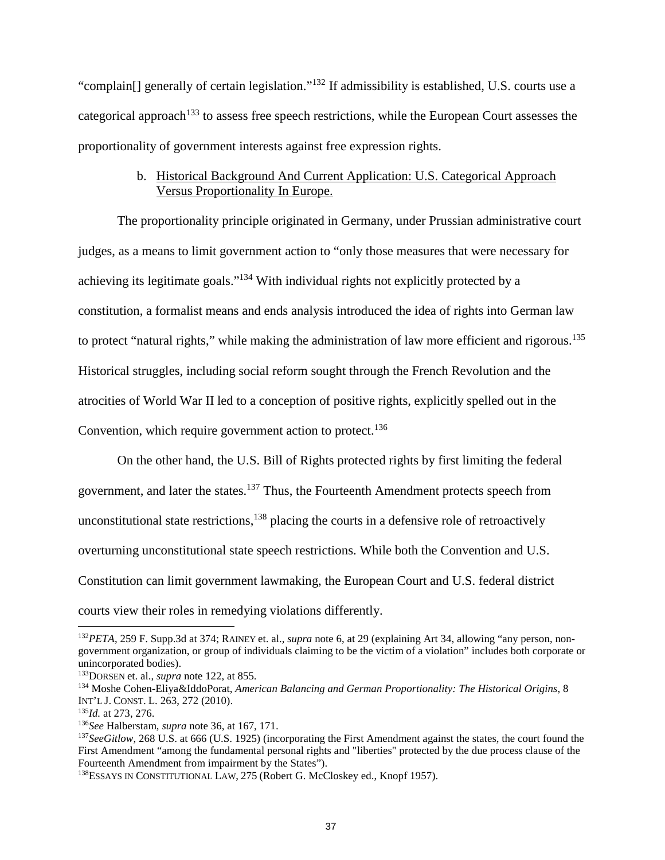"complain[] generally of certain legislation."<sup>132</sup> If admissibility is established, U.S. courts use a categorical approach<sup>133</sup> to assess free speech restrictions, while the European Court assesses the proportionality of government interests against free expression rights.

### b. Historical Background And Current Application: U.S. Categorical Approach Versus Proportionality In Europe.

The proportionality principle originated in Germany, under Prussian administrative court judges, as a means to limit government action to "only those measures that were necessary for achieving its legitimate goals."<sup>134</sup> With individual rights not explicitly protected by a constitution, a formalist means and ends analysis introduced the idea of rights into German law to protect "natural rights," while making the administration of law more efficient and rigorous.<sup>135</sup> Historical struggles, including social reform sought through the French Revolution and the atrocities of World War II led to a conception of positive rights, explicitly spelled out in the Convention, which require government action to protect.<sup>136</sup>

On the other hand, the U.S. Bill of Rights protected rights by first limiting the federal government, and later the states.<sup>137</sup> Thus, the Fourteenth Amendment protects speech from unconstitutional state restrictions,  $138$  placing the courts in a defensive role of retroactively overturning unconstitutional state speech restrictions. While both the Convention and U.S. Constitution can limit government lawmaking, the European Court and U.S. federal district courts view their roles in remedying violations differently.

<sup>132</sup>*PETA*, 259 F. Supp.3d at 374; RAINEY et. al., *supra* note 6, at 29 (explaining Art 34, allowing "any person, nongovernment organization, or group of individuals claiming to be the victim of a violation" includes both corporate or unincorporated bodies).

<sup>133</sup>DORSEN et. al., *supra* note 122, at 855.

<sup>134</sup> Moshe Cohen-Eliya&IddoPorat, *American Balancing and German Proportionality: The Historical Origins*, 8 INT'L J. CONST. L. 263, 272 (2010).

<sup>135</sup>*Id.* at 273, 276.

<sup>136</sup>*See* Halberstam, *supra* note 36, at 167, 171.

<sup>&</sup>lt;sup>137</sup>*SeeGitlow*, 268 U.S. at 666 (U.S. 1925) (incorporating the First Amendment against the states, the court found the First Amendment "among the fundamental personal rights and "liberties" protected by the due process clause of the Fourteenth Amendment from impairment by the States").

<sup>138</sup>ESSAYS IN CONSTITUTIONAL LAW, 275 (Robert G. McCloskey ed., Knopf 1957).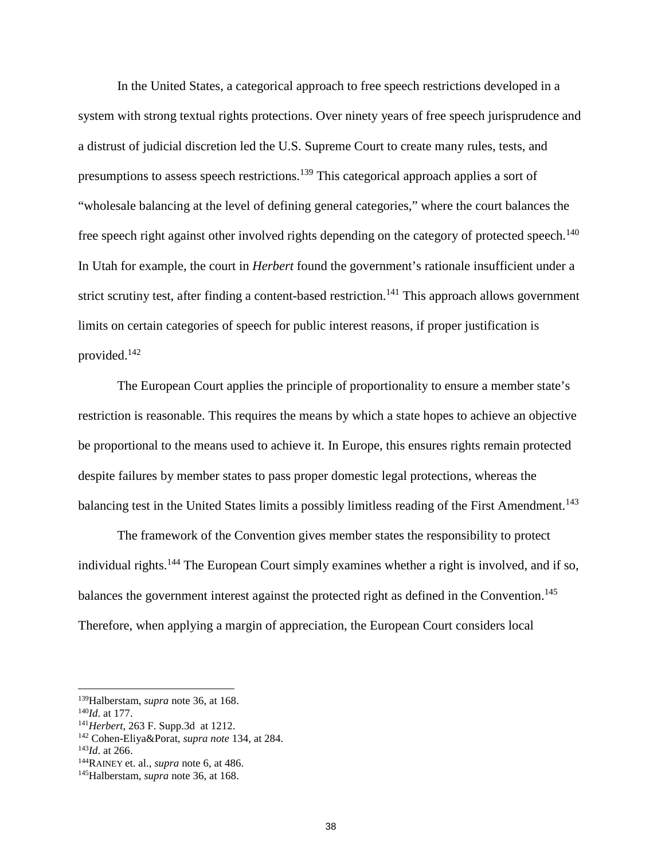In the United States, a categorical approach to free speech restrictions developed in a system with strong textual rights protections. Over ninety years of free speech jurisprudence and a distrust of judicial discretion led the U.S. Supreme Court to create many rules, tests, and presumptions to assess speech restrictions.<sup>139</sup> This categorical approach applies a sort of "wholesale balancing at the level of defining general categories," where the court balances the free speech right against other involved rights depending on the category of protected speech.<sup>140</sup> In Utah for example, the court in *Herbert* found the government's rationale insufficient under a strict scrutiny test, after finding a content-based restriction.<sup>141</sup> This approach allows government limits on certain categories of speech for public interest reasons, if proper justification is provided.<sup>142</sup>

The European Court applies the principle of proportionality to ensure a member state's restriction is reasonable. This requires the means by which a state hopes to achieve an objective be proportional to the means used to achieve it. In Europe, this ensures rights remain protected despite failures by member states to pass proper domestic legal protections, whereas the balancing test in the United States limits a possibly limitless reading of the First Amendment.<sup>143</sup>

The framework of the Convention gives member states the responsibility to protect individual rights.<sup>144</sup> The European Court simply examines whether a right is involved, and if so, balances the government interest against the protected right as defined in the Convention.<sup>145</sup> Therefore, when applying a margin of appreciation, the European Court considers local

<sup>139</sup>Halberstam, *supra* note 36, at 168.

<sup>140</sup>*Id*. at 177.

<sup>141</sup>*Herbert*, 263 F. Supp.3d at 1212.

<sup>142</sup> Cohen-Eliya&Porat, *supra note* 134, at 284.

<sup>143</sup>*Id*. at 266.

<sup>144</sup>RAINEY et. al., *supra* note 6, at 486.

<sup>145</sup>Halberstam, *supra* note 36, at 168.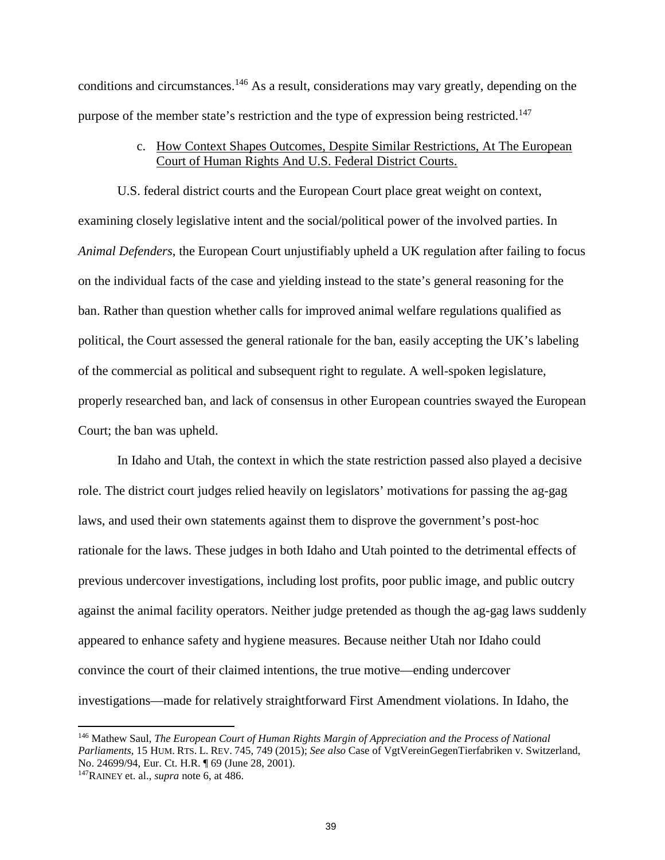conditions and circumstances.<sup>146</sup> As a result, considerations may vary greatly, depending on the purpose of the member state's restriction and the type of expression being restricted.<sup>147</sup>

### c. How Context Shapes Outcomes, Despite Similar Restrictions, At The European Court of Human Rights And U.S. Federal District Courts.

U.S. federal district courts and the European Court place great weight on context, examining closely legislative intent and the social/political power of the involved parties. In *Animal Defenders*, the European Court unjustifiably upheld a UK regulation after failing to focus on the individual facts of the case and yielding instead to the state's general reasoning for the ban. Rather than question whether calls for improved animal welfare regulations qualified as political, the Court assessed the general rationale for the ban, easily accepting the UK's labeling of the commercial as political and subsequent right to regulate. A well-spoken legislature, properly researched ban, and lack of consensus in other European countries swayed the European Court; the ban was upheld.

In Idaho and Utah, the context in which the state restriction passed also played a decisive role. The district court judges relied heavily on legislators' motivations for passing the ag-gag laws, and used their own statements against them to disprove the government's post-hoc rationale for the laws. These judges in both Idaho and Utah pointed to the detrimental effects of previous undercover investigations, including lost profits, poor public image, and public outcry against the animal facility operators. Neither judge pretended as though the ag-gag laws suddenly appeared to enhance safety and hygiene measures. Because neither Utah nor Idaho could convince the court of their claimed intentions, the true motive—ending undercover investigations—made for relatively straightforward First Amendment violations. In Idaho, the

<sup>146</sup> Mathew Saul, *The European Court of Human Rights Margin of Appreciation and the Process of National Parliaments*, 15 HUM. RTS. L. REV. 745, 749 (2015); *See also* Case of VgtVereinGegenTierfabriken v. Switzerland, No. 24699/94, Eur. Ct. H.R. ¶ 69 (June 28, 2001).

<sup>147</sup>RAINEY et. al., *supra* note 6, at 486.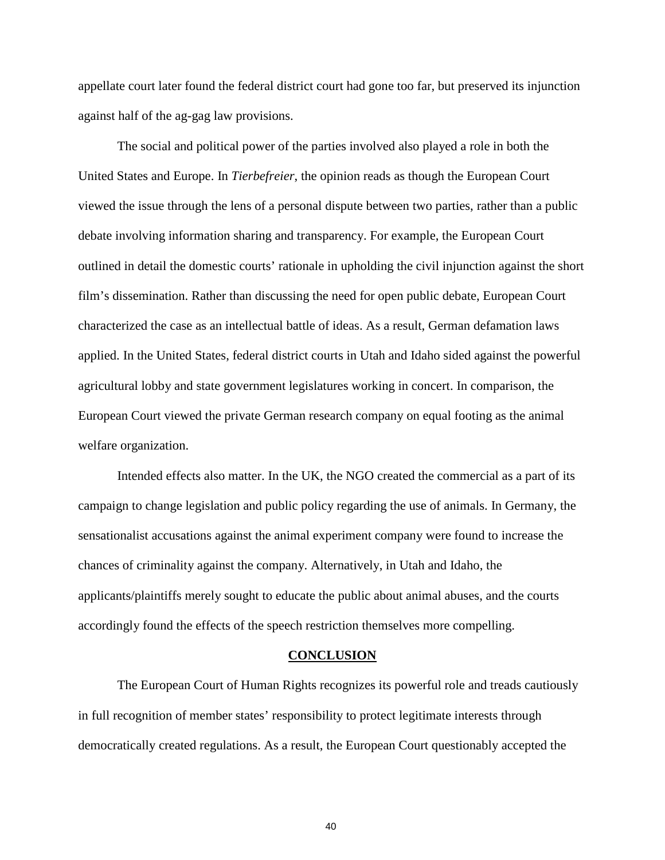appellate court later found the federal district court had gone too far, but preserved its injunction against half of the ag-gag law provisions.

The social and political power of the parties involved also played a role in both the United States and Europe. In *Tierbefreier*, the opinion reads as though the European Court viewed the issue through the lens of a personal dispute between two parties, rather than a public debate involving information sharing and transparency. For example, the European Court outlined in detail the domestic courts' rationale in upholding the civil injunction against the short film's dissemination. Rather than discussing the need for open public debate, European Court characterized the case as an intellectual battle of ideas. As a result, German defamation laws applied. In the United States, federal district courts in Utah and Idaho sided against the powerful agricultural lobby and state government legislatures working in concert. In comparison, the European Court viewed the private German research company on equal footing as the animal welfare organization.

Intended effects also matter. In the UK, the NGO created the commercial as a part of its campaign to change legislation and public policy regarding the use of animals. In Germany, the sensationalist accusations against the animal experiment company were found to increase the chances of criminality against the company. Alternatively, in Utah and Idaho, the applicants/plaintiffs merely sought to educate the public about animal abuses, and the courts accordingly found the effects of the speech restriction themselves more compelling.

#### **CONCLUSION**

The European Court of Human Rights recognizes its powerful role and treads cautiously in full recognition of member states' responsibility to protect legitimate interests through democratically created regulations. As a result, the European Court questionably accepted the

40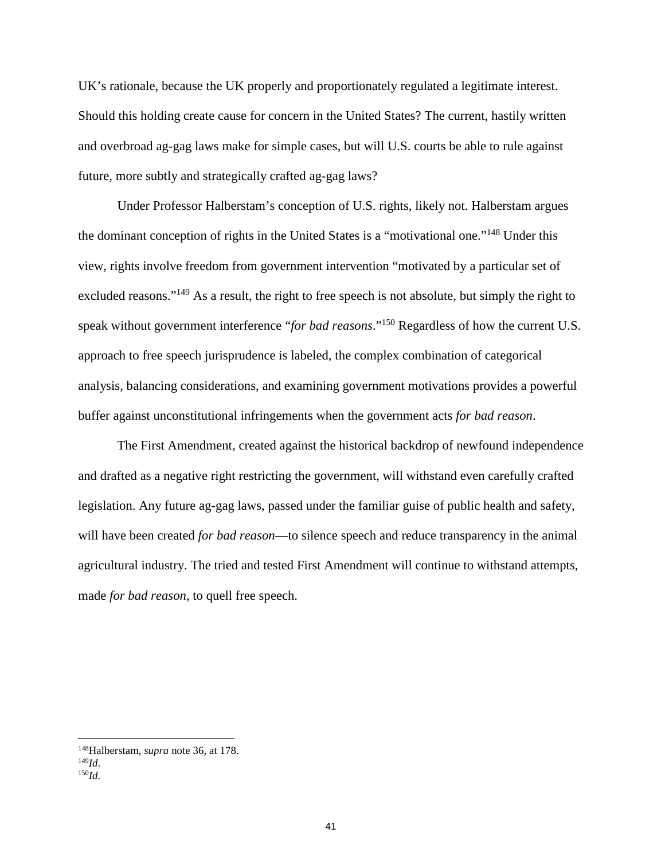UK's rationale, because the UK properly and proportionately regulated a legitimate interest. Should this holding create cause for concern in the United States? The current, hastily written and overbroad ag-gag laws make for simple cases, but will U.S. courts be able to rule against future, more subtly and strategically crafted ag-gag laws?

Under Professor Halberstam's conception of U.S. rights, likely not. Halberstam argues the dominant conception of rights in the United States is a "motivational one."<sup>148</sup> Under this view, rights involve freedom from government intervention "motivated by a particular set of excluded reasons."<sup>149</sup> As a result, the right to free speech is not absolute, but simply the right to speak without government interference "*for bad reasons*."<sup>150</sup> Regardless of how the current U.S. approach to free speech jurisprudence is labeled, the complex combination of categorical analysis, balancing considerations, and examining government motivations provides a powerful buffer against unconstitutional infringements when the government acts *for bad reason*.

The First Amendment, created against the historical backdrop of newfound independence and drafted as a negative right restricting the government, will withstand even carefully crafted legislation. Any future ag-gag laws, passed under the familiar guise of public health and safety, will have been created *for bad reason*—to silence speech and reduce transparency in the animal agricultural industry. The tried and tested First Amendment will continue to withstand attempts, made *for bad reason*, to quell free speech.

<sup>148</sup>Halberstam, *supra* note 36, at 178.

<sup>149</sup>*Id*. <sup>150</sup>*Id*.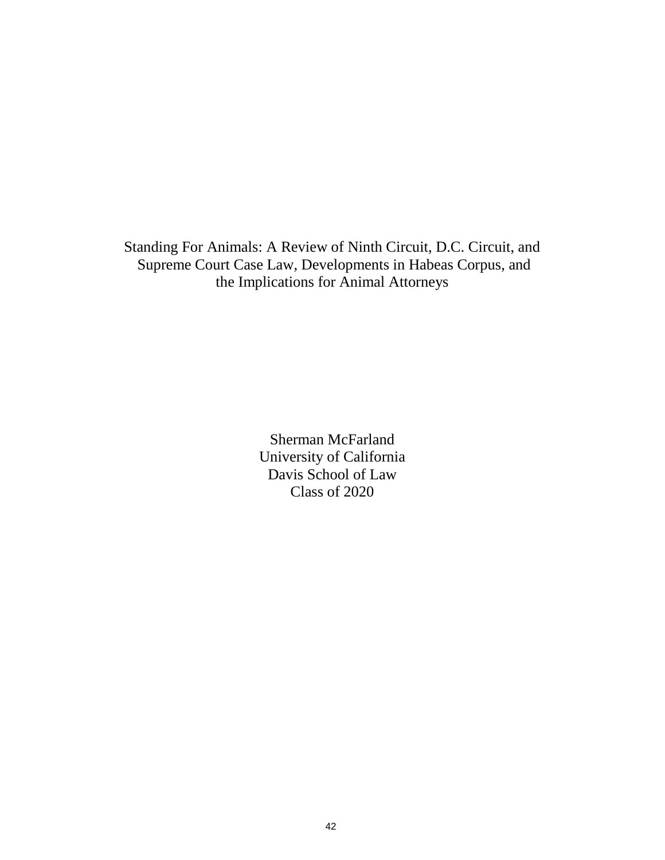Standing For Animals: A Review of Ninth Circuit, D.C. Circuit, and Supreme Court Case Law, Developments in Habeas Corpus, and the Implications for Animal Attorneys

> Sherman McFarland University of California Davis School of Law Class of 2020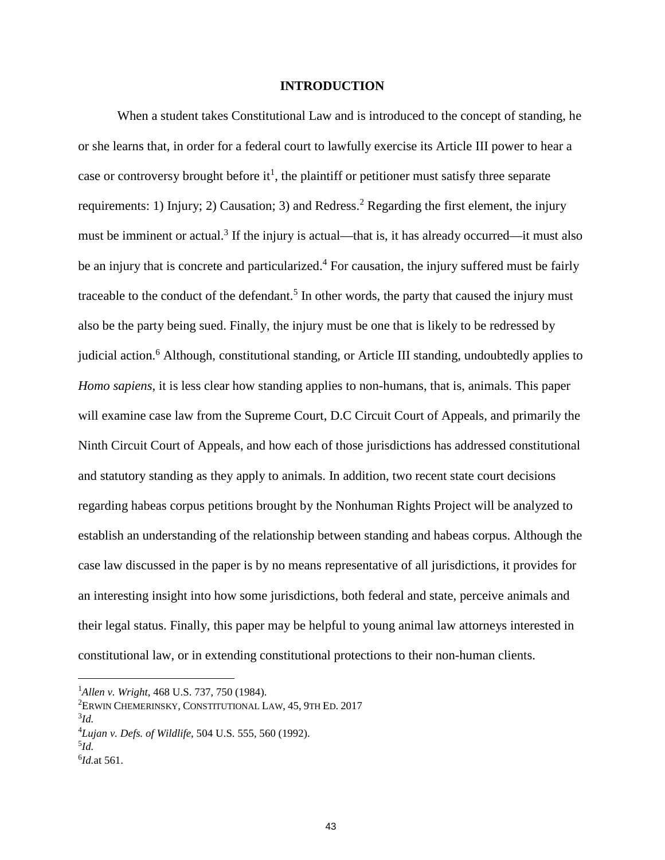#### **INTRODUCTION**

When a student takes Constitutional Law and is introduced to the concept of standing, he or she learns that, in order for a federal court to lawfully exercise its Article III power to hear a case or controversy brought before it<sup>1</sup>, the plaintiff or petitioner must satisfy three separate requirements: 1) Injury; 2) Causation; 3) and Redress.<sup>2</sup> Regarding the first element, the injury must be imminent or actual.<sup>3</sup> If the injury is actual—that is, it has already occurred—it must also be an injury that is concrete and particularized.<sup>4</sup> For causation, the injury suffered must be fairly traceable to the conduct of the defendant.<sup>5</sup> In other words, the party that caused the injury must also be the party being sued. Finally, the injury must be one that is likely to be redressed by judicial action.<sup>6</sup> Although, constitutional standing, or Article III standing, undoubtedly applies to *Homo sapiens*, it is less clear how standing applies to non-humans, that is, animals. This paper will examine case law from the Supreme Court, D.C Circuit Court of Appeals, and primarily the Ninth Circuit Court of Appeals, and how each of those jurisdictions has addressed constitutional and statutory standing as they apply to animals. In addition, two recent state court decisions regarding habeas corpus petitions brought by the Nonhuman Rights Project will be analyzed to establish an understanding of the relationship between standing and habeas corpus. Although the case law discussed in the paper is by no means representative of all jurisdictions, it provides for an interesting insight into how some jurisdictions, both federal and state, perceive animals and their legal status. Finally, this paper may be helpful to young animal law attorneys interested in constitutional law, or in extending constitutional protections to their non-human clients.

<sup>1</sup>*Allen v. Wright*, 468 U.S. 737, 750 (1984).

<sup>2</sup>ERWIN CHEMERINSKY, CONSTITUTIONAL LAW, 45, 9TH ED. 2017

<sup>3</sup> *Id.*

<sup>4</sup>*Lujan v. Defs. of Wildlife*, 504 U.S. 555, 560 (1992).

<sup>5</sup> *Id.*

<sup>6</sup> *Id.*at 561.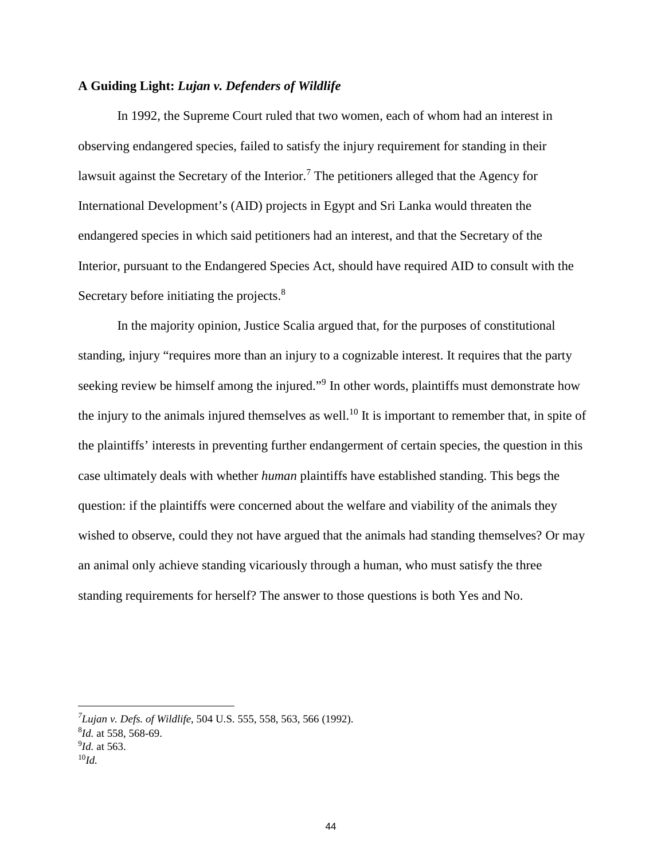### **A Guiding Light:** *Lujan v. Defenders of Wildlife*

In 1992, the Supreme Court ruled that two women, each of whom had an interest in observing endangered species, failed to satisfy the injury requirement for standing in their lawsuit against the Secretary of the Interior.<sup>7</sup> The petitioners alleged that the Agency for International Development's (AID) projects in Egypt and Sri Lanka would threaten the endangered species in which said petitioners had an interest, and that the Secretary of the Interior, pursuant to the Endangered Species Act, should have required AID to consult with the Secretary before initiating the projects.<sup>8</sup>

In the majority opinion, Justice Scalia argued that, for the purposes of constitutional standing, injury "requires more than an injury to a cognizable interest. It requires that the party seeking review be himself among the injured."<sup>9</sup> In other words, plaintiffs must demonstrate how the injury to the animals injured themselves as well.<sup>10</sup> It is important to remember that, in spite of the plaintiffs' interests in preventing further endangerment of certain species, the question in this case ultimately deals with whether *human* plaintiffs have established standing. This begs the question: if the plaintiffs were concerned about the welfare and viability of the animals they wished to observe, could they not have argued that the animals had standing themselves? Or may an animal only achieve standing vicariously through a human, who must satisfy the three standing requirements for herself? The answer to those questions is both Yes and No.

*<sup>7</sup> Lujan v. Defs. of Wildlife*, 504 U.S. 555, 558, 563, 566 (1992).

<sup>8</sup> *Id.* at 558, 568-69.

<sup>9</sup> *Id.* at 563.

<sup>10</sup>*Id.*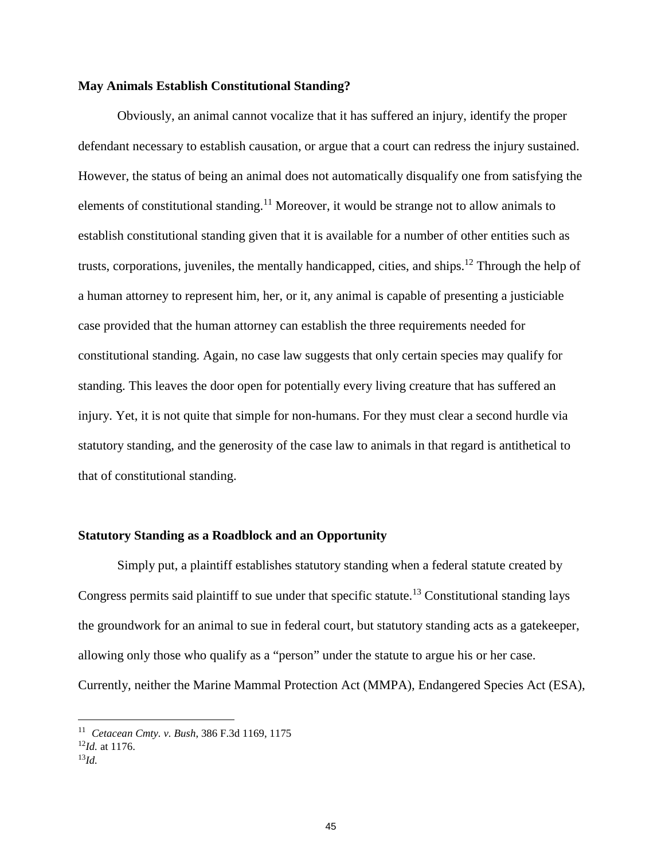#### **May Animals Establish Constitutional Standing?**

Obviously, an animal cannot vocalize that it has suffered an injury, identify the proper defendant necessary to establish causation, or argue that a court can redress the injury sustained. However, the status of being an animal does not automatically disqualify one from satisfying the elements of constitutional standing.<sup>11</sup> Moreover, it would be strange not to allow animals to establish constitutional standing given that it is available for a number of other entities such as trusts, corporations, juveniles, the mentally handicapped, cities, and ships.<sup>12</sup> Through the help of a human attorney to represent him, her, or it, any animal is capable of presenting a justiciable case provided that the human attorney can establish the three requirements needed for constitutional standing. Again, no case law suggests that only certain species may qualify for standing. This leaves the door open for potentially every living creature that has suffered an injury. Yet, it is not quite that simple for non-humans. For they must clear a second hurdle via statutory standing, and the generosity of the case law to animals in that regard is antithetical to that of constitutional standing.

### **Statutory Standing as a Roadblock and an Opportunity**

Simply put, a plaintiff establishes statutory standing when a federal statute created by Congress permits said plaintiff to sue under that specific statute.<sup>13</sup> Constitutional standing lays the groundwork for an animal to sue in federal court, but statutory standing acts as a gatekeeper, allowing only those who qualify as a "person" under the statute to argue his or her case. Currently, neither the Marine Mammal Protection Act (MMPA), Endangered Species Act (ESA),

<sup>11</sup> *Cetacean Cmty. v. Bush*, 386 F.3d 1169, 1175

 $^{12}$ *Id.* at 1176.

<sup>13</sup>*Id.*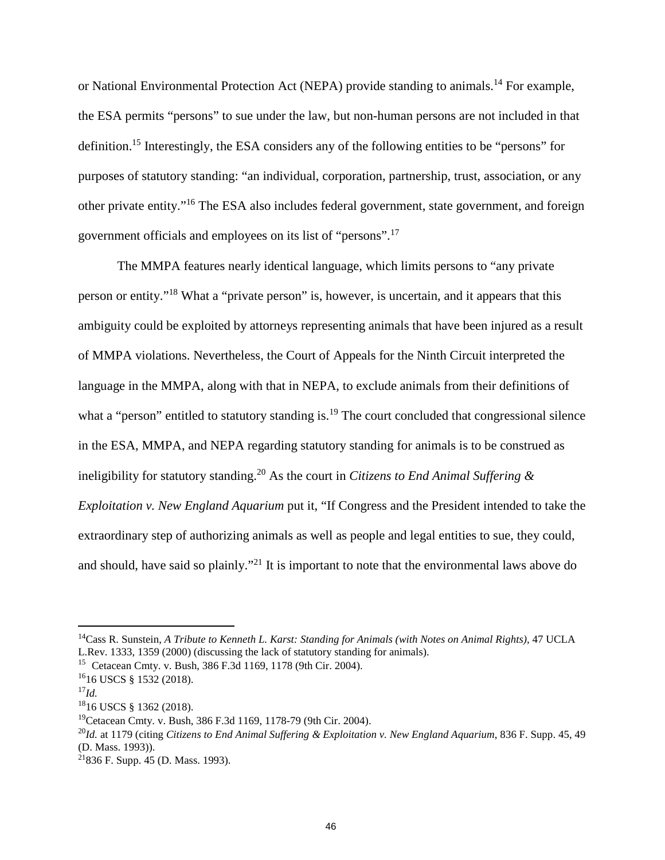or National Environmental Protection Act (NEPA) provide standing to animals.<sup>14</sup> For example, the ESA permits "persons" to sue under the law, but non-human persons are not included in that definition.<sup>15</sup> Interestingly, the ESA considers any of the following entities to be "persons" for purposes of statutory standing: "an individual, corporation, partnership, trust, association, or any other private entity."<sup>16</sup> The ESA also includes federal government, state government, and foreign government officials and employees on its list of "persons".<sup>17</sup>

The MMPA features nearly identical language, which limits persons to "any private person or entity."<sup>18</sup> What a "private person" is, however, is uncertain, and it appears that this ambiguity could be exploited by attorneys representing animals that have been injured as a result of MMPA violations. Nevertheless, the Court of Appeals for the Ninth Circuit interpreted the language in the MMPA, along with that in NEPA, to exclude animals from their definitions of what a "person" entitled to statutory standing is.<sup>19</sup> The court concluded that congressional silence in the ESA, MMPA, and NEPA regarding statutory standing for animals is to be construed as ineligibility for statutory standing.<sup>20</sup> As the court in *Citizens to End Animal Suffering & Exploitation v. New England Aquarium* put it, "If Congress and the President intended to take the extraordinary step of authorizing animals as well as people and legal entities to sue, they could, and should, have said so plainly."<sup>21</sup> It is important to note that the environmental laws above do

<sup>14</sup>Cass R. Sunstein, *A Tribute to Kenneth L. Karst: Standing for Animals (with Notes on Animal Rights)*, 47 UCLA L.Rev. 1333, 1359 (2000) (discussing the lack of statutory standing for animals).

<sup>15</sup> Cetacean Cmty. v. Bush, 386 F.3d 1169, 1178 (9th Cir. 2004).

<sup>16</sup>16 USCS § 1532 (2018).

<sup>17</sup>*Id.*

<sup>18</sup>16 USCS § 1362 (2018).

<sup>19</sup>Cetacean Cmty. v. Bush, 386 F.3d 1169, 1178-79 (9th Cir. 2004).

<sup>20</sup>*Id.* at 1179 (citing *Citizens to End Animal Suffering & Exploitation v. New England Aquarium*, 836 F. Supp. 45, 49 (D. Mass. 1993)).

<sup>21</sup>836 F. Supp. 45 (D. Mass. 1993).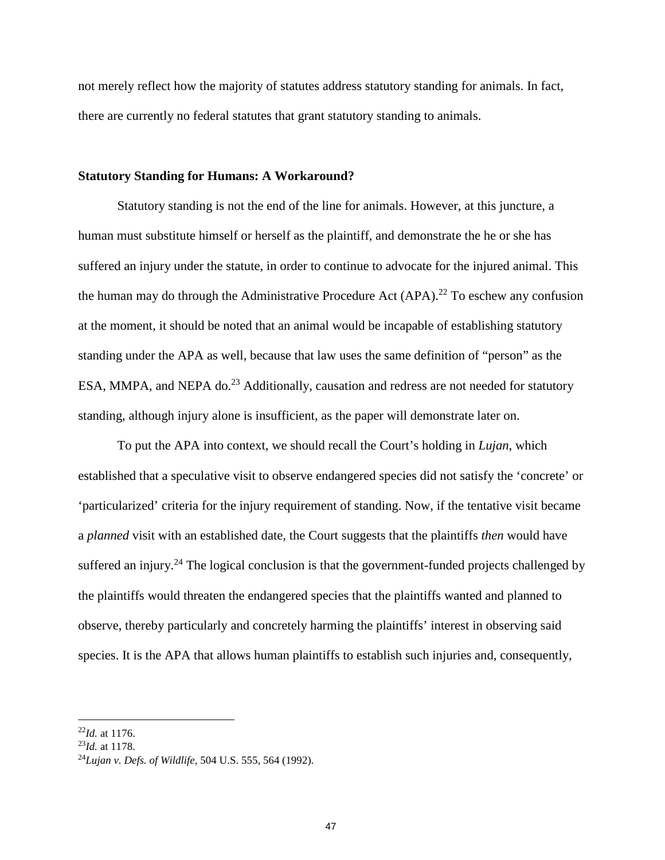not merely reflect how the majority of statutes address statutory standing for animals. In fact, there are currently no federal statutes that grant statutory standing to animals.

#### **Statutory Standing for Humans: A Workaround?**

Statutory standing is not the end of the line for animals. However, at this juncture, a human must substitute himself or herself as the plaintiff, and demonstrate the he or she has suffered an injury under the statute, in order to continue to advocate for the injured animal. This the human may do through the Administrative Procedure Act  $(APA)$ .<sup>22</sup> To eschew any confusion at the moment, it should be noted that an animal would be incapable of establishing statutory standing under the APA as well, because that law uses the same definition of "person" as the ESA, MMPA, and NEPA do.<sup>23</sup> Additionally, causation and redress are not needed for statutory standing, although injury alone is insufficient, as the paper will demonstrate later on.

To put the APA into context, we should recall the Court's holding in *Lujan*, which established that a speculative visit to observe endangered species did not satisfy the 'concrete' or 'particularized' criteria for the injury requirement of standing. Now, if the tentative visit became a *planned* visit with an established date, the Court suggests that the plaintiffs *then* would have suffered an injury.<sup>24</sup> The logical conclusion is that the government-funded projects challenged by the plaintiffs would threaten the endangered species that the plaintiffs wanted and planned to observe, thereby particularly and concretely harming the plaintiffs' interest in observing said species. It is the APA that allows human plaintiffs to establish such injuries and, consequently,

<sup>22</sup>*Id.* at 1176.

<sup>23</sup>*Id.* at 1178.

<sup>24</sup>*Lujan v. Defs. of Wildlife*, 504 U.S. 555, 564 (1992).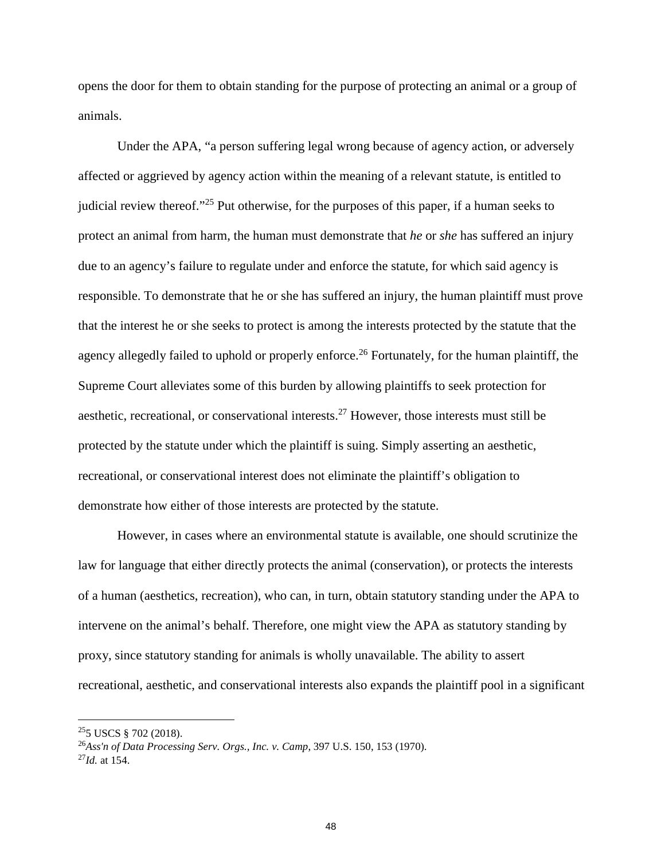opens the door for them to obtain standing for the purpose of protecting an animal or a group of animals.

Under the APA, "a person suffering legal wrong because of agency action, or adversely affected or aggrieved by agency action within the meaning of a relevant statute, is entitled to judicial review thereof."<sup>25</sup> Put otherwise, for the purposes of this paper, if a human seeks to protect an animal from harm, the human must demonstrate that *he* or *she* has suffered an injury due to an agency's failure to regulate under and enforce the statute, for which said agency is responsible. To demonstrate that he or she has suffered an injury, the human plaintiff must prove that the interest he or she seeks to protect is among the interests protected by the statute that the agency allegedly failed to uphold or properly enforce.<sup>26</sup> Fortunately, for the human plaintiff, the Supreme Court alleviates some of this burden by allowing plaintiffs to seek protection for aesthetic, recreational, or conservational interests.<sup>27</sup> However, those interests must still be protected by the statute under which the plaintiff is suing. Simply asserting an aesthetic, recreational, or conservational interest does not eliminate the plaintiff's obligation to demonstrate how either of those interests are protected by the statute.

However, in cases where an environmental statute is available, one should scrutinize the law for language that either directly protects the animal (conservation), or protects the interests of a human (aesthetics, recreation), who can, in turn, obtain statutory standing under the APA to intervene on the animal's behalf. Therefore, one might view the APA as statutory standing by proxy, since statutory standing for animals is wholly unavailable. The ability to assert recreational, aesthetic, and conservational interests also expands the plaintiff pool in a significant

<sup>25</sup>5 USCS § 702 (2018).

<sup>26</sup>*Ass'n of Data Processing Serv. Orgs., Inc. v. Camp*, 397 U.S. 150, 153 (1970). <sup>27</sup>*Id.* at 154.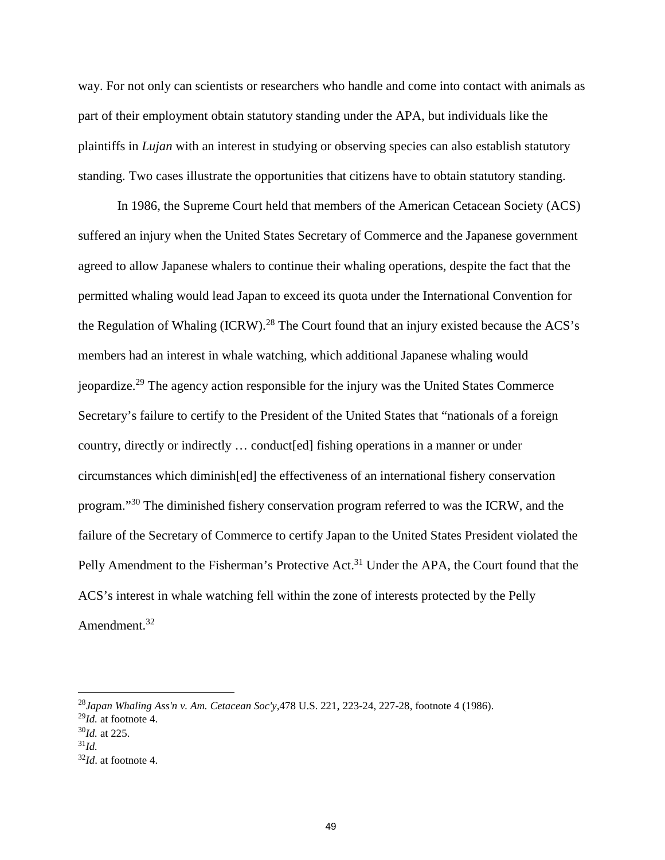way. For not only can scientists or researchers who handle and come into contact with animals as part of their employment obtain statutory standing under the APA, but individuals like the plaintiffs in *Lujan* with an interest in studying or observing species can also establish statutory standing. Two cases illustrate the opportunities that citizens have to obtain statutory standing.

In 1986, the Supreme Court held that members of the American Cetacean Society (ACS) suffered an injury when the United States Secretary of Commerce and the Japanese government agreed to allow Japanese whalers to continue their whaling operations, despite the fact that the permitted whaling would lead Japan to exceed its quota under the International Convention for the Regulation of Whaling (ICRW).<sup>28</sup> The Court found that an injury existed because the ACS's members had an interest in whale watching, which additional Japanese whaling would jeopardize.<sup>29</sup> The agency action responsible for the injury was the United States Commerce Secretary's failure to certify to the President of the United States that "nationals of a foreign country, directly or indirectly … conduct[ed] fishing operations in a manner or under circumstances which diminish[ed] the effectiveness of an international fishery conservation program."<sup>30</sup> The diminished fishery conservation program referred to was the ICRW, and the failure of the Secretary of Commerce to certify Japan to the United States President violated the Pelly Amendment to the Fisherman's Protective Act.<sup>31</sup> Under the APA, the Court found that the ACS's interest in whale watching fell within the zone of interests protected by the Pelly Amendment.<sup>32</sup>

<sup>28</sup>*Japan Whaling Ass'n v. Am. Cetacean Soc'y,*478 U.S. 221, 223-24, 227-28, footnote 4 (1986).

<sup>29</sup>*Id.* at footnote 4.

<sup>30</sup>*Id.* at 225.

<sup>31</sup>*Id.*

<sup>32</sup>*Id*. at footnote 4.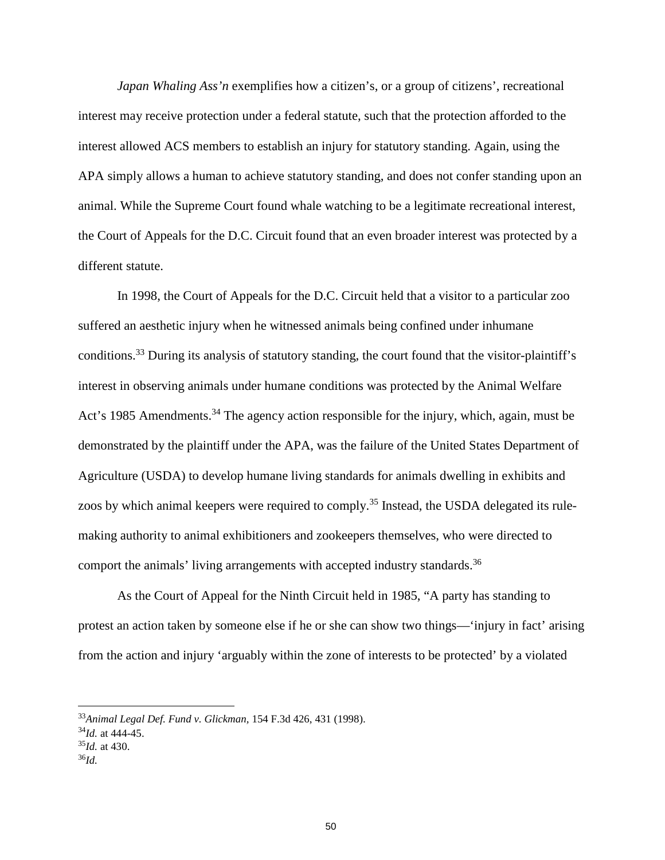*Japan Whaling Ass'n* exemplifies how a citizen's, or a group of citizens', recreational interest may receive protection under a federal statute, such that the protection afforded to the interest allowed ACS members to establish an injury for statutory standing. Again, using the APA simply allows a human to achieve statutory standing, and does not confer standing upon an animal. While the Supreme Court found whale watching to be a legitimate recreational interest, the Court of Appeals for the D.C. Circuit found that an even broader interest was protected by a different statute.

In 1998, the Court of Appeals for the D.C. Circuit held that a visitor to a particular zoo suffered an aesthetic injury when he witnessed animals being confined under inhumane conditions.<sup>33</sup> During its analysis of statutory standing, the court found that the visitor-plaintiff's interest in observing animals under humane conditions was protected by the Animal Welfare Act's 1985 Amendments.<sup>34</sup> The agency action responsible for the injury, which, again, must be demonstrated by the plaintiff under the APA, was the failure of the United States Department of Agriculture (USDA) to develop humane living standards for animals dwelling in exhibits and zoos by which animal keepers were required to comply.<sup>35</sup> Instead, the USDA delegated its rulemaking authority to animal exhibitioners and zookeepers themselves, who were directed to comport the animals' living arrangements with accepted industry standards.<sup>36</sup>

As the Court of Appeal for the Ninth Circuit held in 1985, "A party has standing to protest an action taken by someone else if he or she can show two things—'injury in fact' arising from the action and injury 'arguably within the zone of interests to be protected' by a violated

<sup>33</sup>*Animal Legal Def. Fund v. Glickman,* 154 F.3d 426, 431 (1998).

<sup>34</sup>*Id.* at 444-45.

 $^{35}$ *Id.* at 430.

<sup>36</sup>*Id.*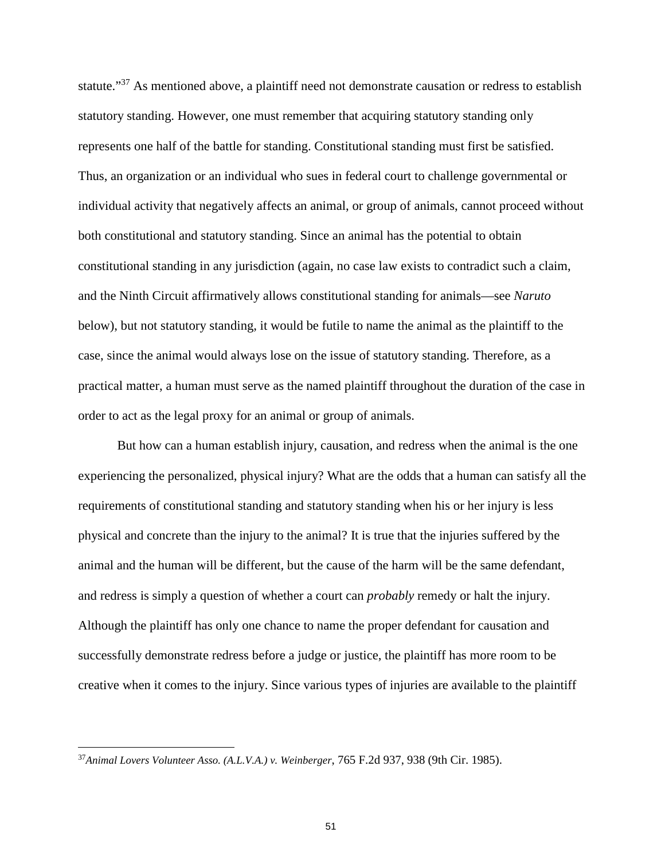statute."<sup>37</sup> As mentioned above, a plaintiff need not demonstrate causation or redress to establish statutory standing. However, one must remember that acquiring statutory standing only represents one half of the battle for standing. Constitutional standing must first be satisfied. Thus, an organization or an individual who sues in federal court to challenge governmental or individual activity that negatively affects an animal, or group of animals, cannot proceed without both constitutional and statutory standing. Since an animal has the potential to obtain constitutional standing in any jurisdiction (again, no case law exists to contradict such a claim, and the Ninth Circuit affirmatively allows constitutional standing for animals—see *Naruto* below), but not statutory standing, it would be futile to name the animal as the plaintiff to the case, since the animal would always lose on the issue of statutory standing. Therefore, as a practical matter, a human must serve as the named plaintiff throughout the duration of the case in order to act as the legal proxy for an animal or group of animals.

But how can a human establish injury, causation, and redress when the animal is the one experiencing the personalized, physical injury? What are the odds that a human can satisfy all the requirements of constitutional standing and statutory standing when his or her injury is less physical and concrete than the injury to the animal? It is true that the injuries suffered by the animal and the human will be different, but the cause of the harm will be the same defendant, and redress is simply a question of whether a court can *probably* remedy or halt the injury. Although the plaintiff has only one chance to name the proper defendant for causation and successfully demonstrate redress before a judge or justice, the plaintiff has more room to be creative when it comes to the injury. Since various types of injuries are available to the plaintiff

<sup>37</sup>*Animal Lovers Volunteer Asso. (A.L.V.A.) v. Weinberger*, 765 F.2d 937, 938 (9th Cir. 1985).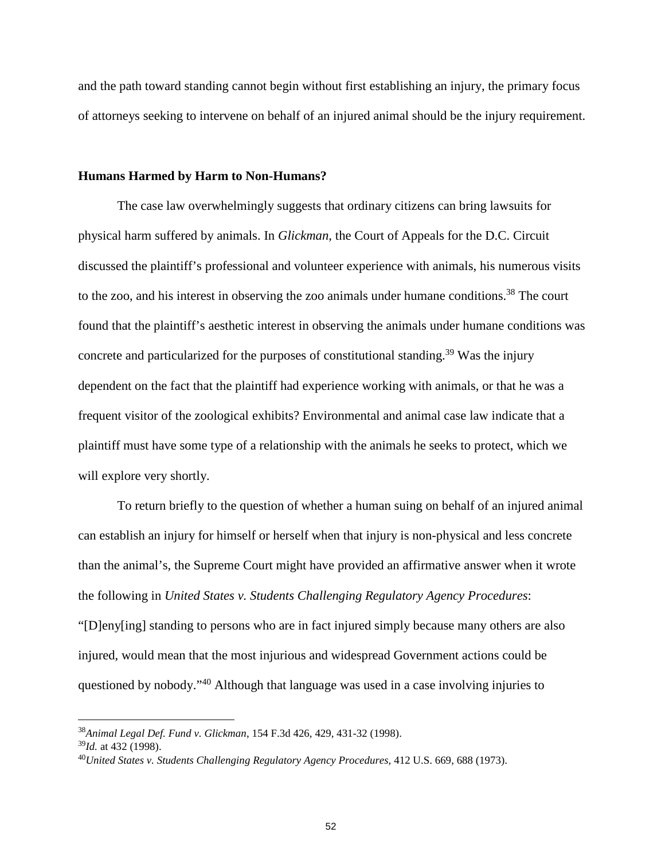and the path toward standing cannot begin without first establishing an injury, the primary focus of attorneys seeking to intervene on behalf of an injured animal should be the injury requirement.

#### **Humans Harmed by Harm to Non-Humans?**

The case law overwhelmingly suggests that ordinary citizens can bring lawsuits for physical harm suffered by animals. In *Glickman*, the Court of Appeals for the D.C. Circuit discussed the plaintiff's professional and volunteer experience with animals, his numerous visits to the zoo, and his interest in observing the zoo animals under humane conditions.<sup>38</sup> The court found that the plaintiff's aesthetic interest in observing the animals under humane conditions was concrete and particularized for the purposes of constitutional standing.<sup>39</sup> Was the injury dependent on the fact that the plaintiff had experience working with animals, or that he was a frequent visitor of the zoological exhibits? Environmental and animal case law indicate that a plaintiff must have some type of a relationship with the animals he seeks to protect, which we will explore very shortly.

To return briefly to the question of whether a human suing on behalf of an injured animal can establish an injury for himself or herself when that injury is non-physical and less concrete than the animal's, the Supreme Court might have provided an affirmative answer when it wrote the following in *United States v. Students Challenging Regulatory Agency Procedures*: "[D]eny[ing] standing to persons who are in fact injured simply because many others are also injured, would mean that the most injurious and widespread Government actions could be questioned by nobody."<sup>40</sup> Although that language was used in a case involving injuries to

<sup>38</sup>*Animal Legal Def. Fund v. Glickman*, 154 F.3d 426, 429, 431-32 (1998).

<sup>39</sup>*Id.* at 432 (1998).

<sup>40</sup>*United States v. Students Challenging Regulatory Agency Procedures,* 412 U.S. 669, 688 (1973).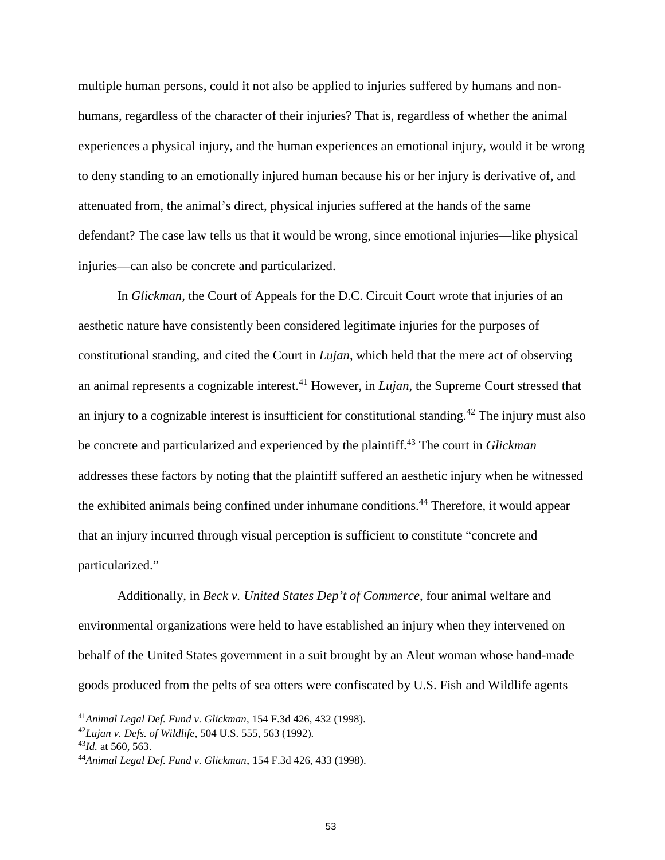multiple human persons, could it not also be applied to injuries suffered by humans and nonhumans, regardless of the character of their injuries? That is, regardless of whether the animal experiences a physical injury, and the human experiences an emotional injury, would it be wrong to deny standing to an emotionally injured human because his or her injury is derivative of, and attenuated from, the animal's direct, physical injuries suffered at the hands of the same defendant? The case law tells us that it would be wrong, since emotional injuries—like physical injuries—can also be concrete and particularized.

In *Glickman,* the Court of Appeals for the D.C. Circuit Court wrote that injuries of an aesthetic nature have consistently been considered legitimate injuries for the purposes of constitutional standing, and cited the Court in *Lujan*, which held that the mere act of observing an animal represents a cognizable interest.<sup>41</sup> However, in *Lujan*, the Supreme Court stressed that an injury to a cognizable interest is insufficient for constitutional standing.<sup>42</sup> The injury must also be concrete and particularized and experienced by the plaintiff.<sup>43</sup> The court in *Glickman* addresses these factors by noting that the plaintiff suffered an aesthetic injury when he witnessed the exhibited animals being confined under inhumane conditions.<sup>44</sup> Therefore, it would appear that an injury incurred through visual perception is sufficient to constitute "concrete and particularized."

Additionally, in *Beck v. United States Dep't of Commerce*, four animal welfare and environmental organizations were held to have established an injury when they intervened on behalf of the United States government in a suit brought by an Aleut woman whose hand-made goods produced from the pelts of sea otters were confiscated by U.S. Fish and Wildlife agents

<sup>41</sup>*Animal Legal Def. Fund v. Glickman*, 154 F.3d 426, 432 (1998).

<sup>42</sup>*Lujan v. Defs. of Wildlife*, 504 U.S. 555, 563 (1992).

<sup>43</sup>*Id.* at 560, 563.

<sup>44</sup>*Animal Legal Def. Fund v. Glickman*, 154 F.3d 426, 433 (1998).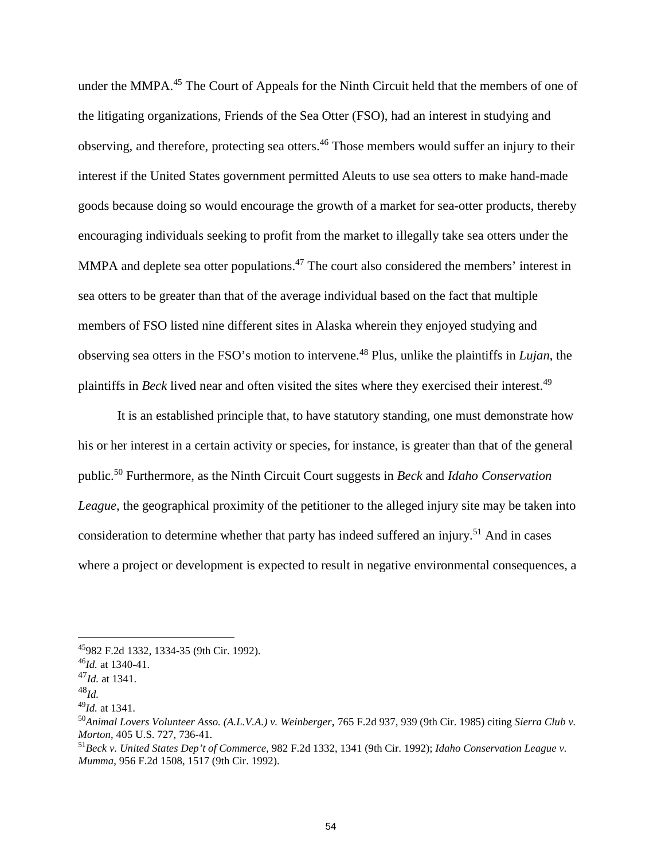under the MMPA.<sup>45</sup> The Court of Appeals for the Ninth Circuit held that the members of one of the litigating organizations, Friends of the Sea Otter (FSO), had an interest in studying and observing, and therefore, protecting sea otters.<sup>46</sup> Those members would suffer an injury to their interest if the United States government permitted Aleuts to use sea otters to make hand-made goods because doing so would encourage the growth of a market for sea-otter products, thereby encouraging individuals seeking to profit from the market to illegally take sea otters under the MMPA and deplete sea otter populations.<sup>47</sup> The court also considered the members' interest in sea otters to be greater than that of the average individual based on the fact that multiple members of FSO listed nine different sites in Alaska wherein they enjoyed studying and observing sea otters in the FSO's motion to intervene.<sup>48</sup> Plus, unlike the plaintiffs in *Lujan*, the plaintiffs in *Beck* lived near and often visited the sites where they exercised their interest.<sup>49</sup>

It is an established principle that, to have statutory standing, one must demonstrate how his or her interest in a certain activity or species, for instance, is greater than that of the general public.<sup>50</sup> Furthermore, as the Ninth Circuit Court suggests in *Beck* and *Idaho Conservation League*, the geographical proximity of the petitioner to the alleged injury site may be taken into consideration to determine whether that party has indeed suffered an injury.<sup>51</sup> And in cases where a project or development is expected to result in negative environmental consequences, a

<sup>45</sup>982 F.2d 1332, 1334-35 (9th Cir. 1992).

<sup>46</sup>*Id.* at 1340-41.

<sup>47</sup>*Id.* at 1341.

<sup>48</sup>*Id.*

<sup>49</sup>*Id.* at 1341.

<sup>50</sup>*Animal Lovers Volunteer Asso. (A.L.V.A.) v. Weinberger*, 765 F.2d 937, 939 (9th Cir. 1985) citing *Sierra Club v. Morton*, 405 U.S. 727, 736-41.

<sup>51</sup>*Beck v. United States Dep't of Commerce*, 982 F.2d 1332, 1341 (9th Cir. 1992); *Idaho Conservation League v. Mumma*, 956 F.2d 1508, 1517 (9th Cir. 1992).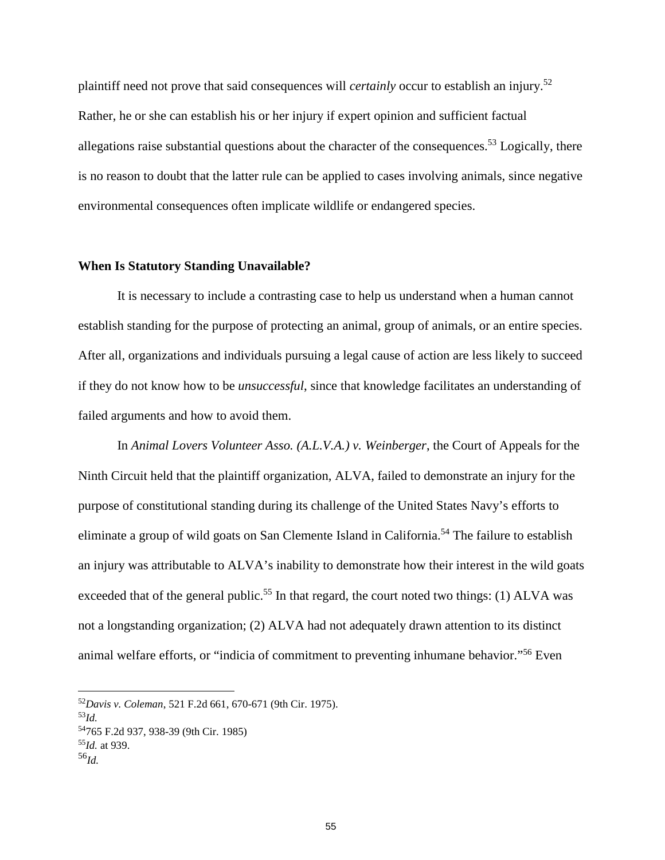plaintiff need not prove that said consequences will *certainly* occur to establish an injury.<sup>52</sup> Rather, he or she can establish his or her injury if expert opinion and sufficient factual allegations raise substantial questions about the character of the consequences.<sup>53</sup> Logically, there is no reason to doubt that the latter rule can be applied to cases involving animals, since negative environmental consequences often implicate wildlife or endangered species.

### **When Is Statutory Standing Unavailable?**

It is necessary to include a contrasting case to help us understand when a human cannot establish standing for the purpose of protecting an animal, group of animals, or an entire species. After all, organizations and individuals pursuing a legal cause of action are less likely to succeed if they do not know how to be *unsuccessful*, since that knowledge facilitates an understanding of failed arguments and how to avoid them.

In *Animal Lovers Volunteer Asso. (A.L.V.A.) v. Weinberger*, the Court of Appeals for the Ninth Circuit held that the plaintiff organization, ALVA, failed to demonstrate an injury for the purpose of constitutional standing during its challenge of the United States Navy's efforts to eliminate a group of wild goats on San Clemente Island in California.<sup>54</sup> The failure to establish an injury was attributable to ALVA's inability to demonstrate how their interest in the wild goats exceeded that of the general public.<sup>55</sup> In that regard, the court noted two things: (1) ALVA was not a longstanding organization; (2) ALVA had not adequately drawn attention to its distinct animal welfare efforts, or "indicia of commitment to preventing inhumane behavior."<sup>56</sup> Even

<sup>52</sup>*Davis v. Coleman*, 521 F.2d 661, 670-671 (9th Cir. 1975).

<sup>53</sup>*Id.*

<sup>54</sup>765 F.2d 937, 938-39 (9th Cir. 1985) <sup>55</sup>*Id.* at 939.

<sup>56</sup>*Id.*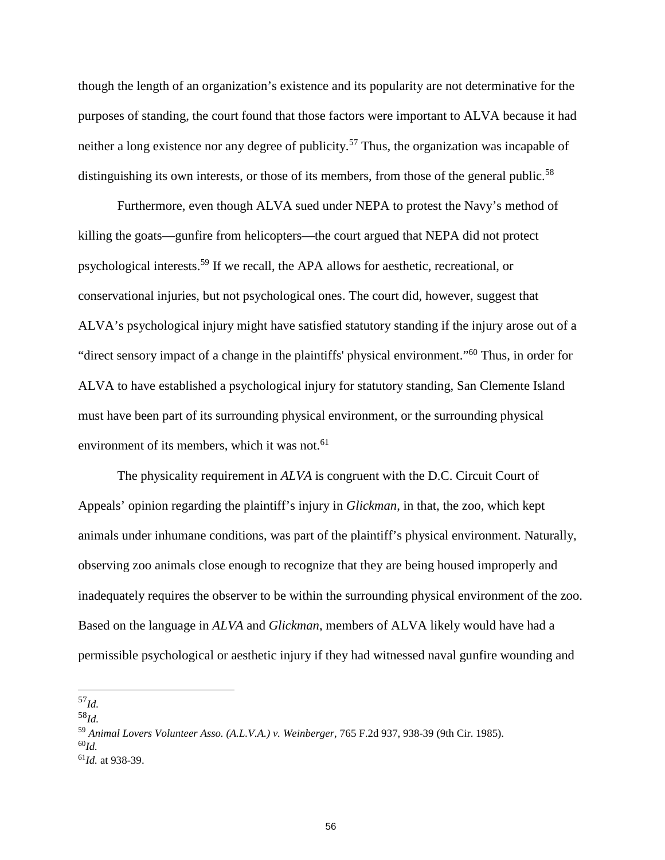though the length of an organization's existence and its popularity are not determinative for the purposes of standing, the court found that those factors were important to ALVA because it had neither a long existence nor any degree of publicity.<sup>57</sup> Thus, the organization was incapable of distinguishing its own interests, or those of its members, from those of the general public.<sup>58</sup>

Furthermore, even though ALVA sued under NEPA to protest the Navy's method of killing the goats—gunfire from helicopters—the court argued that NEPA did not protect psychological interests.<sup>59</sup> If we recall, the APA allows for aesthetic, recreational, or conservational injuries, but not psychological ones. The court did, however, suggest that ALVA's psychological injury might have satisfied statutory standing if the injury arose out of a "direct sensory impact of a change in the plaintiffs' physical environment."<sup>60</sup> Thus, in order for ALVA to have established a psychological injury for statutory standing, San Clemente Island must have been part of its surrounding physical environment, or the surrounding physical environment of its members, which it was not.<sup>61</sup>

The physicality requirement in *ALVA* is congruent with the D.C. Circuit Court of Appeals' opinion regarding the plaintiff's injury in *Glickman*, in that, the zoo, which kept animals under inhumane conditions, was part of the plaintiff's physical environment. Naturally, observing zoo animals close enough to recognize that they are being housed improperly and inadequately requires the observer to be within the surrounding physical environment of the zoo. Based on the language in *ALVA* and *Glickman*, members of ALVA likely would have had a permissible psychological or aesthetic injury if they had witnessed naval gunfire wounding and

<sup>58</sup>*Id.*

<sup>57</sup>*Id.*

<sup>59</sup> *Animal Lovers Volunteer Asso. (A.L.V.A.) v. Weinberger*, 765 F.2d 937, 938-39 (9th Cir. 1985). <sup>60</sup>*Id.* <sup>61</sup>*Id.* at 938-39.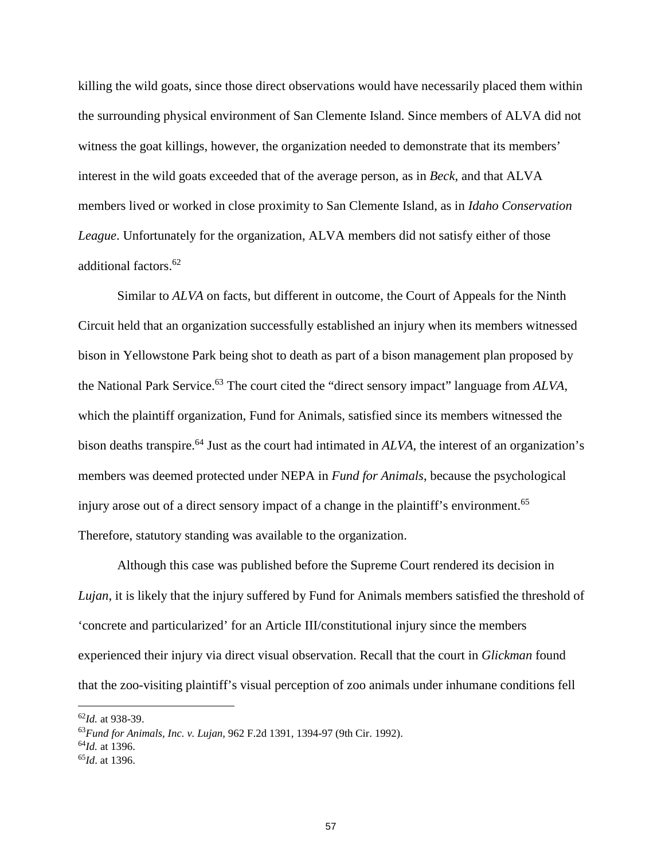killing the wild goats, since those direct observations would have necessarily placed them within the surrounding physical environment of San Clemente Island. Since members of ALVA did not witness the goat killings, however, the organization needed to demonstrate that its members' interest in the wild goats exceeded that of the average person, as in *Beck*, and that ALVA members lived or worked in close proximity to San Clemente Island, as in *Idaho Conservation League*. Unfortunately for the organization, ALVA members did not satisfy either of those additional factors.<sup>62</sup>

Similar to *ALVA* on facts, but different in outcome, the Court of Appeals for the Ninth Circuit held that an organization successfully established an injury when its members witnessed bison in Yellowstone Park being shot to death as part of a bison management plan proposed by the National Park Service.<sup>63</sup> The court cited the "direct sensory impact" language from *ALVA*, which the plaintiff organization, Fund for Animals, satisfied since its members witnessed the bison deaths transpire.<sup>64</sup> Just as the court had intimated in *ALVA*, the interest of an organization's members was deemed protected under NEPA in *Fund for Animals*, because the psychological injury arose out of a direct sensory impact of a change in the plaintiff's environment.<sup>65</sup> Therefore, statutory standing was available to the organization.

Although this case was published before the Supreme Court rendered its decision in *Lujan*, it is likely that the injury suffered by Fund for Animals members satisfied the threshold of 'concrete and particularized' for an Article III/constitutional injury since the members experienced their injury via direct visual observation. Recall that the court in *Glickman* found that the zoo-visiting plaintiff's visual perception of zoo animals under inhumane conditions fell

<sup>62</sup>*Id.* at 938-39.

<sup>63</sup>*Fund for Animals, Inc. v. Lujan*, 962 F.2d 1391, 1394-97 (9th Cir. 1992). <sup>64</sup>*Id.* at 1396. <sup>65</sup>*Id*. at 1396.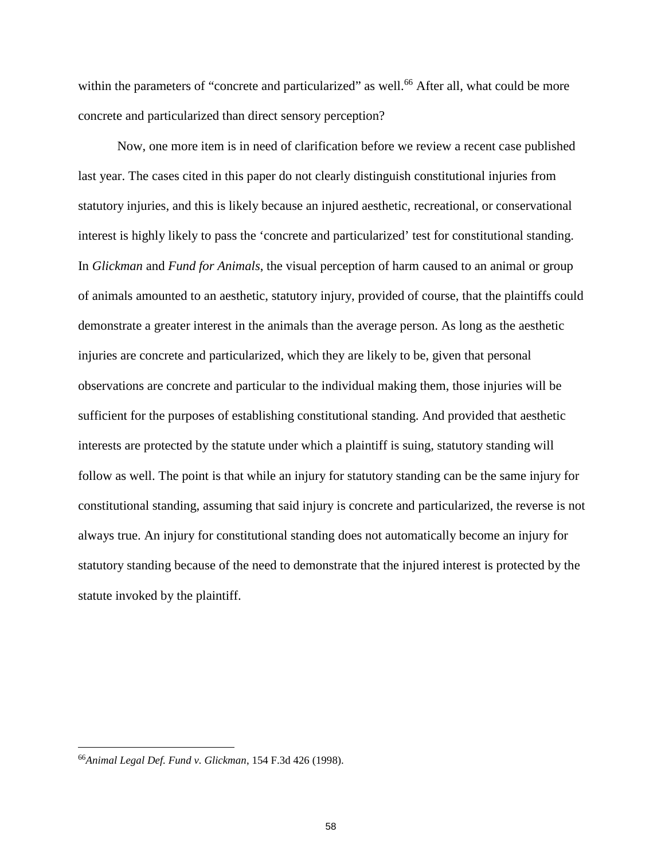within the parameters of "concrete and particularized" as well.<sup>66</sup> After all, what could be more concrete and particularized than direct sensory perception?

Now, one more item is in need of clarification before we review a recent case published last year. The cases cited in this paper do not clearly distinguish constitutional injuries from statutory injuries, and this is likely because an injured aesthetic, recreational, or conservational interest is highly likely to pass the 'concrete and particularized' test for constitutional standing. In *Glickman* and *Fund for Animals*, the visual perception of harm caused to an animal or group of animals amounted to an aesthetic, statutory injury, provided of course, that the plaintiffs could demonstrate a greater interest in the animals than the average person. As long as the aesthetic injuries are concrete and particularized, which they are likely to be, given that personal observations are concrete and particular to the individual making them, those injuries will be sufficient for the purposes of establishing constitutional standing. And provided that aesthetic interests are protected by the statute under which a plaintiff is suing, statutory standing will follow as well. The point is that while an injury for statutory standing can be the same injury for constitutional standing, assuming that said injury is concrete and particularized, the reverse is not always true. An injury for constitutional standing does not automatically become an injury for statutory standing because of the need to demonstrate that the injured interest is protected by the statute invoked by the plaintiff.

<sup>66</sup>*Animal Legal Def. Fund v. Glickman*, 154 F.3d 426 (1998).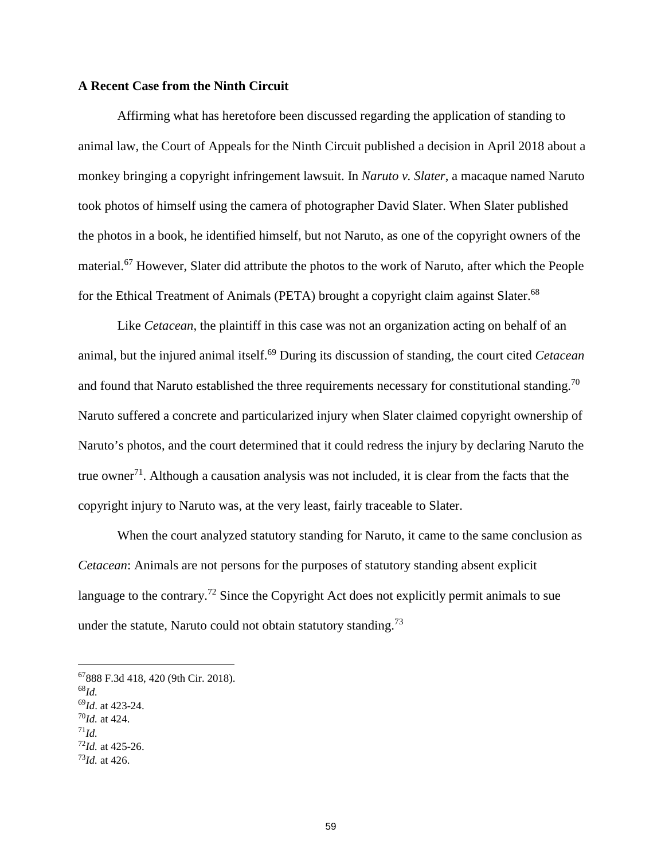### **A Recent Case from the Ninth Circuit**

Affirming what has heretofore been discussed regarding the application of standing to animal law, the Court of Appeals for the Ninth Circuit published a decision in April 2018 about a monkey bringing a copyright infringement lawsuit. In *Naruto v. Slater*, a macaque named Naruto took photos of himself using the camera of photographer David Slater. When Slater published the photos in a book, he identified himself, but not Naruto, as one of the copyright owners of the material.<sup>67</sup> However, Slater did attribute the photos to the work of Naruto, after which the People for the Ethical Treatment of Animals (PETA) brought a copyright claim against Slater.<sup>68</sup>

Like *Cetacean*, the plaintiff in this case was not an organization acting on behalf of an animal, but the injured animal itself.<sup>69</sup> During its discussion of standing, the court cited *Cetacean* and found that Naruto established the three requirements necessary for constitutional standing.<sup>70</sup> Naruto suffered a concrete and particularized injury when Slater claimed copyright ownership of Naruto's photos, and the court determined that it could redress the injury by declaring Naruto the true owner<sup>71</sup>. Although a causation analysis was not included, it is clear from the facts that the copyright injury to Naruto was, at the very least, fairly traceable to Slater.

When the court analyzed statutory standing for Naruto, it came to the same conclusion as *Cetacean*: Animals are not persons for the purposes of statutory standing absent explicit language to the contrary.<sup>72</sup> Since the Copyright Act does not explicitly permit animals to sue under the statute, Naruto could not obtain statutory standing.<sup>73</sup>

<sup>67</sup>888 F.3d 418, 420 (9th Cir. 2018). <sup>68</sup>*Id.* <sup>69</sup>*Id*. at 423-24. <sup>70</sup>*Id.* at 424.  $^{71}Id.$  $^{72}$ *Id.* at 425-26. <sup>73</sup>*Id.* at 426.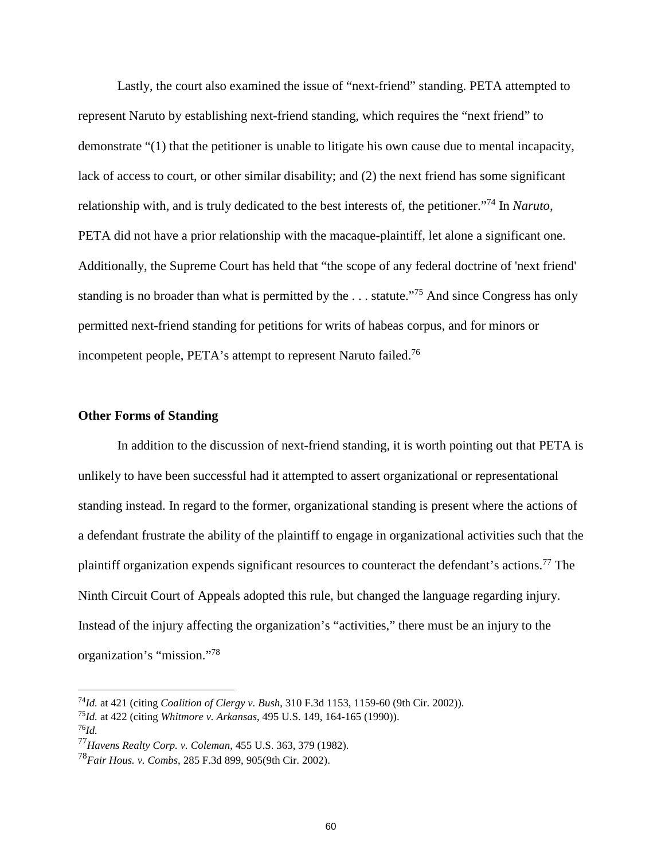Lastly, the court also examined the issue of "next-friend" standing. PETA attempted to represent Naruto by establishing next-friend standing, which requires the "next friend" to demonstrate "(1) that the petitioner is unable to litigate his own cause due to mental incapacity, lack of access to court, or other similar disability; and (2) the next friend has some significant relationship with, and is truly dedicated to the best interests of, the petitioner."<sup>74</sup> In *Naruto*, PETA did not have a prior relationship with the macaque-plaintiff, let alone a significant one. Additionally, the Supreme Court has held that "the scope of any federal doctrine of 'next friend' standing is no broader than what is permitted by the ... statute."<sup>75</sup> And since Congress has only permitted next-friend standing for petitions for writs of habeas corpus, and for minors or incompetent people, PETA's attempt to represent Naruto failed.<sup>76</sup>

### **Other Forms of Standing**

In addition to the discussion of next-friend standing, it is worth pointing out that PETA is unlikely to have been successful had it attempted to assert organizational or representational standing instead. In regard to the former, organizational standing is present where the actions of a defendant frustrate the ability of the plaintiff to engage in organizational activities such that the plaintiff organization expends significant resources to counteract the defendant's actions.<sup>77</sup> The Ninth Circuit Court of Appeals adopted this rule, but changed the language regarding injury. Instead of the injury affecting the organization's "activities," there must be an injury to the organization's "mission."<sup>78</sup>

<sup>74</sup>*Id.* at 421 (citing *Coalition of Clergy v. Bush*, 310 F.3d 1153, 1159-60 (9th Cir. 2002)).

<sup>75</sup>*Id.* at 422 (citing *Whitmore v. Arkansas*, 495 U.S. 149, 164-165 (1990)). <sup>76</sup>*Id.*

<sup>77</sup>*Havens Realty Corp. v. Coleman*, 455 U.S. 363, 379 (1982).

<sup>78</sup>*Fair Hous. v. Combs*, 285 F.3d 899, 905(9th Cir. 2002).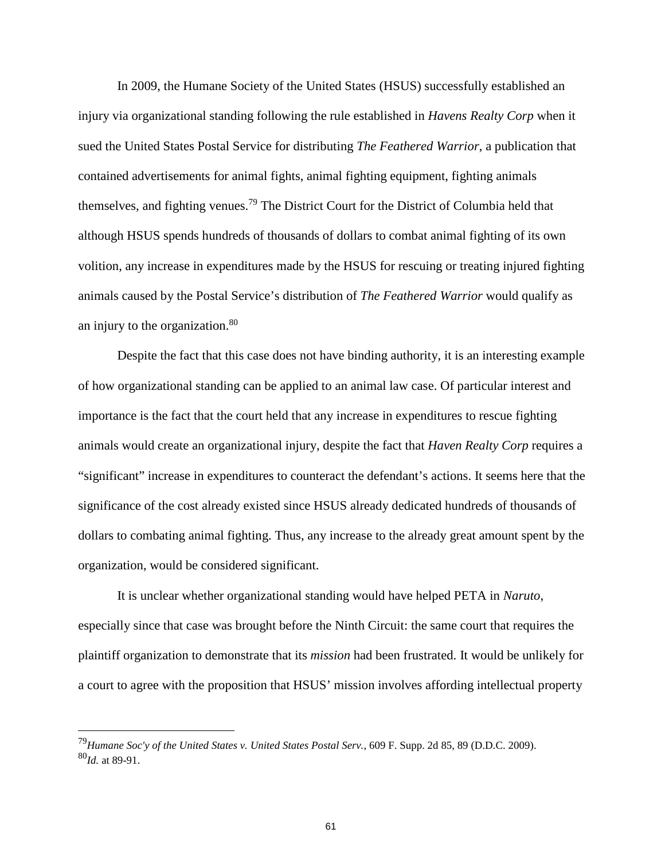In 2009, the Humane Society of the United States (HSUS) successfully established an injury via organizational standing following the rule established in *Havens Realty Corp* when it sued the United States Postal Service for distributing *The Feathered Warrior*, a publication that contained advertisements for animal fights, animal fighting equipment, fighting animals themselves, and fighting venues.<sup>79</sup> The District Court for the District of Columbia held that although HSUS spends hundreds of thousands of dollars to combat animal fighting of its own volition, any increase in expenditures made by the HSUS for rescuing or treating injured fighting animals caused by the Postal Service's distribution of *The Feathered Warrior* would qualify as an injury to the organization.<sup>80</sup>

Despite the fact that this case does not have binding authority, it is an interesting example of how organizational standing can be applied to an animal law case. Of particular interest and importance is the fact that the court held that any increase in expenditures to rescue fighting animals would create an organizational injury, despite the fact that *Haven Realty Corp* requires a "significant" increase in expenditures to counteract the defendant's actions. It seems here that the significance of the cost already existed since HSUS already dedicated hundreds of thousands of dollars to combating animal fighting. Thus, any increase to the already great amount spent by the organization, would be considered significant.

It is unclear whether organizational standing would have helped PETA in *Naruto*, especially since that case was brought before the Ninth Circuit: the same court that requires the plaintiff organization to demonstrate that its *mission* had been frustrated. It would be unlikely for a court to agree with the proposition that HSUS' mission involves affording intellectual property

<sup>79</sup>*Humane Soc'y of the United States v. United States Postal Serv.*, 609 F. Supp. 2d 85, 89 (D.D.C. 2009). <sup>80</sup>*Id.* at 89-91.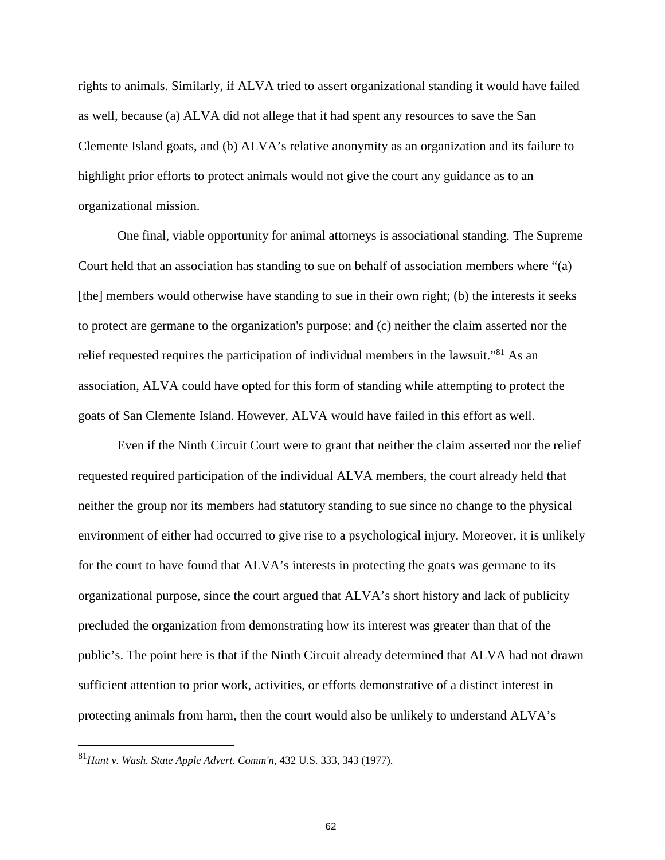rights to animals. Similarly, if ALVA tried to assert organizational standing it would have failed as well, because (a) ALVA did not allege that it had spent any resources to save the San Clemente Island goats, and (b) ALVA's relative anonymity as an organization and its failure to highlight prior efforts to protect animals would not give the court any guidance as to an organizational mission.

One final, viable opportunity for animal attorneys is associational standing. The Supreme Court held that an association has standing to sue on behalf of association members where "(a) [the] members would otherwise have standing to sue in their own right; (b) the interests it seeks to protect are germane to the organization's purpose; and (c) neither the claim asserted nor the relief requested requires the participation of individual members in the lawsuit."<sup>81</sup> As an association, ALVA could have opted for this form of standing while attempting to protect the goats of San Clemente Island. However, ALVA would have failed in this effort as well.

Even if the Ninth Circuit Court were to grant that neither the claim asserted nor the relief requested required participation of the individual ALVA members, the court already held that neither the group nor its members had statutory standing to sue since no change to the physical environment of either had occurred to give rise to a psychological injury. Moreover, it is unlikely for the court to have found that ALVA's interests in protecting the goats was germane to its organizational purpose, since the court argued that ALVA's short history and lack of publicity precluded the organization from demonstrating how its interest was greater than that of the public's. The point here is that if the Ninth Circuit already determined that ALVA had not drawn sufficient attention to prior work, activities, or efforts demonstrative of a distinct interest in protecting animals from harm, then the court would also be unlikely to understand ALVA's

<sup>81</sup>*Hunt v. Wash. State Apple Advert. Comm'n*, 432 U.S. 333, 343 (1977).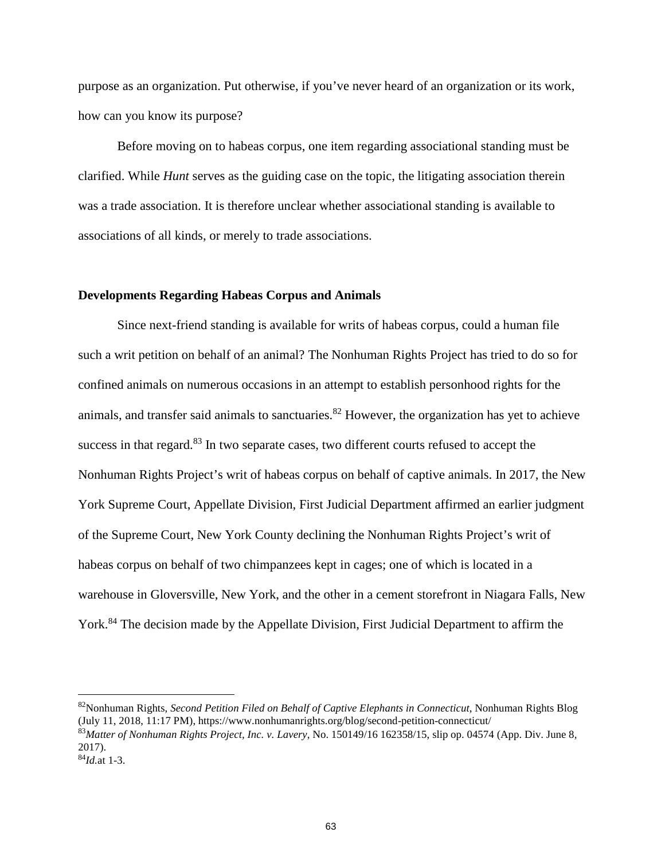purpose as an organization. Put otherwise, if you've never heard of an organization or its work, how can you know its purpose?

Before moving on to habeas corpus, one item regarding associational standing must be clarified. While *Hunt* serves as the guiding case on the topic, the litigating association therein was a trade association. It is therefore unclear whether associational standing is available to associations of all kinds, or merely to trade associations.

### **Developments Regarding Habeas Corpus and Animals**

Since next-friend standing is available for writs of habeas corpus, could a human file such a writ petition on behalf of an animal? The Nonhuman Rights Project has tried to do so for confined animals on numerous occasions in an attempt to establish personhood rights for the animals, and transfer said animals to sanctuaries.<sup>82</sup> However, the organization has yet to achieve success in that regard.<sup>83</sup> In two separate cases, two different courts refused to accept the Nonhuman Rights Project's writ of habeas corpus on behalf of captive animals. In 2017, the New York Supreme Court, Appellate Division, First Judicial Department affirmed an earlier judgment of the Supreme Court, New York County declining the Nonhuman Rights Project's writ of habeas corpus on behalf of two chimpanzees kept in cages; one of which is located in a warehouse in Gloversville, New York, and the other in a cement storefront in Niagara Falls, New York.<sup>84</sup> The decision made by the Appellate Division, First Judicial Department to affirm the

<sup>82</sup>Nonhuman Rights, *Second Petition Filed on Behalf of Captive Elephants in Connecticut*, Nonhuman Rights Blog (July 11, 2018, 11:17 PM), https://www.nonhumanrights.org/blog/second-petition-connecticut/ <sup>83</sup>*Matter of Nonhuman Rights Project, Inc. v. Lavery*, No. 150149/16 162358/15, slip op. 04574 (App. Div. June 8, 2017).

<sup>84</sup>*Id.*at 1-3.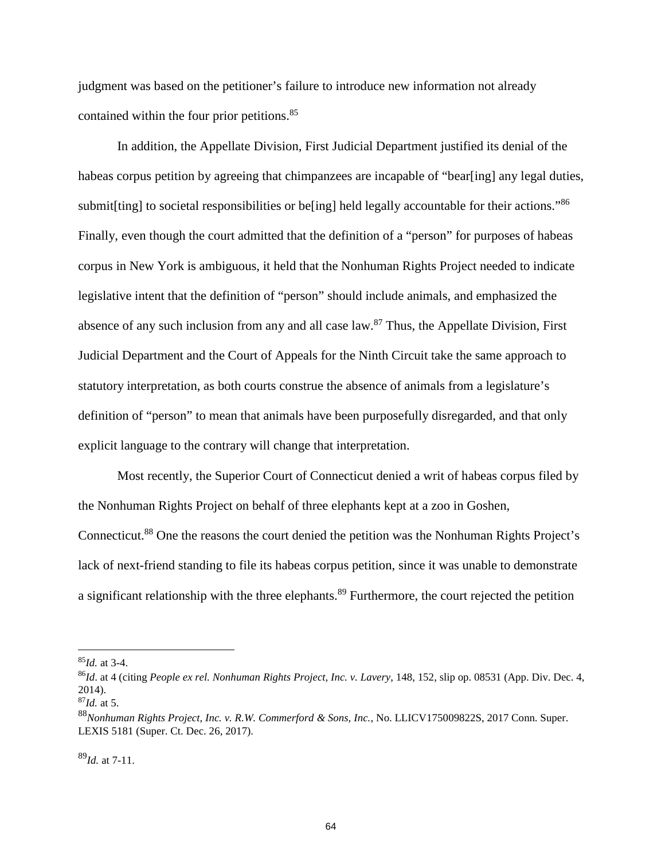judgment was based on the petitioner's failure to introduce new information not already contained within the four prior petitions.<sup>85</sup>

In addition, the Appellate Division, First Judicial Department justified its denial of the habeas corpus petition by agreeing that chimpanzees are incapable of "bear[ing] any legal duties, submit [ting] to societal responsibilities or be<sup>[ing]</sup> held legally accountable for their actions.<sup>86</sup> Finally, even though the court admitted that the definition of a "person" for purposes of habeas corpus in New York is ambiguous, it held that the Nonhuman Rights Project needed to indicate legislative intent that the definition of "person" should include animals, and emphasized the absence of any such inclusion from any and all case law.<sup>87</sup> Thus, the Appellate Division, First Judicial Department and the Court of Appeals for the Ninth Circuit take the same approach to statutory interpretation, as both courts construe the absence of animals from a legislature's definition of "person" to mean that animals have been purposefully disregarded, and that only explicit language to the contrary will change that interpretation.

Most recently, the Superior Court of Connecticut denied a writ of habeas corpus filed by the Nonhuman Rights Project on behalf of three elephants kept at a zoo in Goshen, Connecticut.<sup>88</sup> One the reasons the court denied the petition was the Nonhuman Rights Project's lack of next-friend standing to file its habeas corpus petition, since it was unable to demonstrate a significant relationship with the three elephants.<sup>89</sup> Furthermore, the court rejected the petition

<sup>89</sup>*Id.* at 7-11.

<sup>85</sup>*Id.* at 3-4.

<sup>86</sup>*Id*. at 4 (citing *People ex rel. Nonhuman Rights Project, Inc. v. Lavery*, 148, 152, slip op. 08531 (App. Div. Dec. 4, 2014).

<sup>87</sup>*Id.* at 5.

<sup>88</sup>*Nonhuman Rights Project, Inc. v. R.W. Commerford & Sons, Inc.*, No. LLICV175009822S, 2017 Conn. Super. LEXIS 5181 (Super. Ct. Dec. 26, 2017).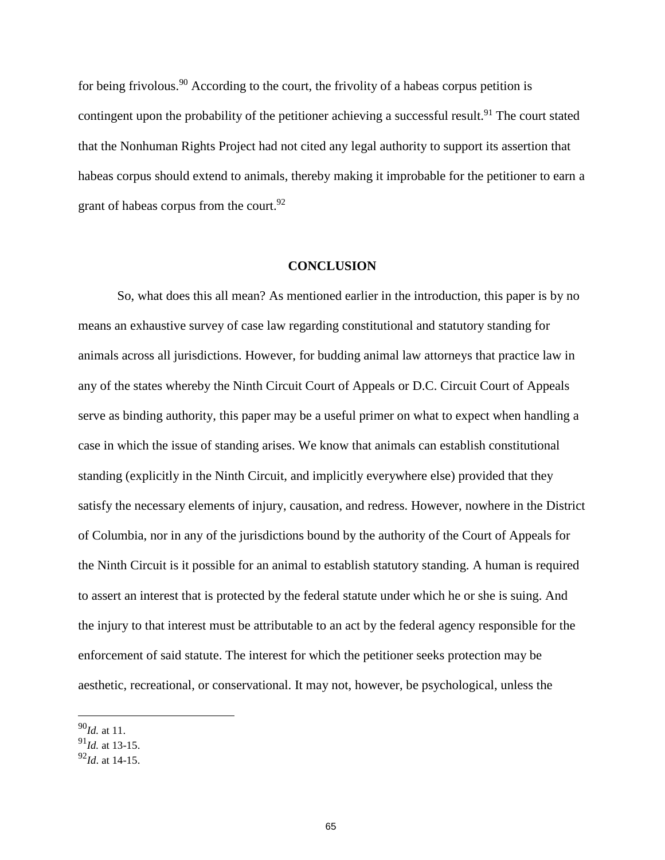for being frivolous.<sup>90</sup> According to the court, the frivolity of a habeas corpus petition is contingent upon the probability of the petitioner achieving a successful result.<sup>91</sup> The court stated that the Nonhuman Rights Project had not cited any legal authority to support its assertion that habeas corpus should extend to animals, thereby making it improbable for the petitioner to earn a grant of habeas corpus from the court.  $92$ 

#### **CONCLUSION**

So, what does this all mean? As mentioned earlier in the introduction, this paper is by no means an exhaustive survey of case law regarding constitutional and statutory standing for animals across all jurisdictions. However, for budding animal law attorneys that practice law in any of the states whereby the Ninth Circuit Court of Appeals or D.C. Circuit Court of Appeals serve as binding authority, this paper may be a useful primer on what to expect when handling a case in which the issue of standing arises. We know that animals can establish constitutional standing (explicitly in the Ninth Circuit, and implicitly everywhere else) provided that they satisfy the necessary elements of injury, causation, and redress. However, nowhere in the District of Columbia, nor in any of the jurisdictions bound by the authority of the Court of Appeals for the Ninth Circuit is it possible for an animal to establish statutory standing. A human is required to assert an interest that is protected by the federal statute under which he or she is suing. And the injury to that interest must be attributable to an act by the federal agency responsible for the enforcement of said statute. The interest for which the petitioner seeks protection may be aesthetic, recreational, or conservational. It may not, however, be psychological, unless the

<sup>90</sup>*Id.* at 11.

<sup>91</sup>*Id.* at 13-15.

<sup>92</sup>*Id*. at 14-15.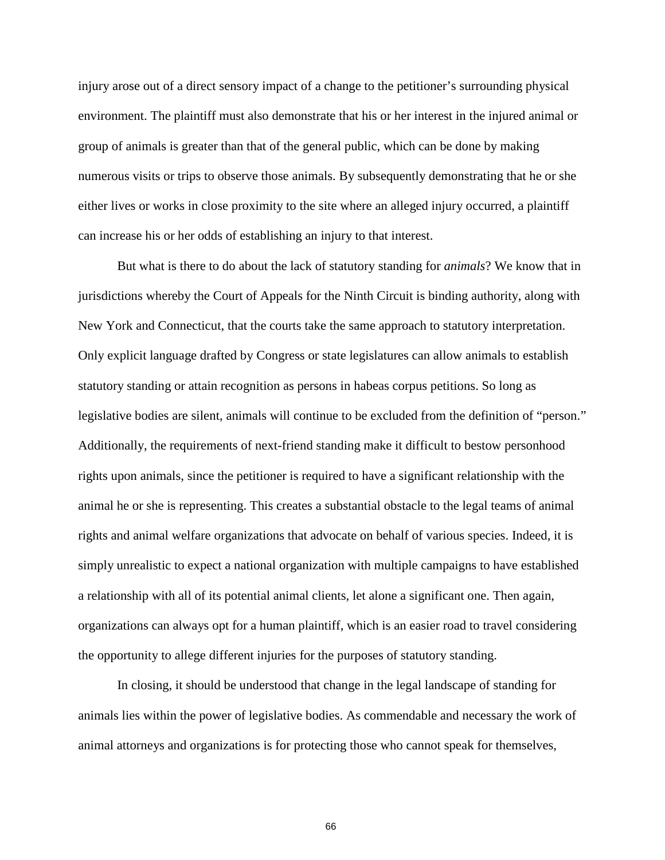injury arose out of a direct sensory impact of a change to the petitioner's surrounding physical environment. The plaintiff must also demonstrate that his or her interest in the injured animal or group of animals is greater than that of the general public, which can be done by making numerous visits or trips to observe those animals. By subsequently demonstrating that he or she either lives or works in close proximity to the site where an alleged injury occurred, a plaintiff can increase his or her odds of establishing an injury to that interest.

But what is there to do about the lack of statutory standing for *animals*? We know that in jurisdictions whereby the Court of Appeals for the Ninth Circuit is binding authority, along with New York and Connecticut, that the courts take the same approach to statutory interpretation. Only explicit language drafted by Congress or state legislatures can allow animals to establish statutory standing or attain recognition as persons in habeas corpus petitions. So long as legislative bodies are silent, animals will continue to be excluded from the definition of "person." Additionally, the requirements of next-friend standing make it difficult to bestow personhood rights upon animals, since the petitioner is required to have a significant relationship with the animal he or she is representing. This creates a substantial obstacle to the legal teams of animal rights and animal welfare organizations that advocate on behalf of various species. Indeed, it is simply unrealistic to expect a national organization with multiple campaigns to have established a relationship with all of its potential animal clients, let alone a significant one. Then again, organizations can always opt for a human plaintiff, which is an easier road to travel considering the opportunity to allege different injuries for the purposes of statutory standing.

In closing, it should be understood that change in the legal landscape of standing for animals lies within the power of legislative bodies. As commendable and necessary the work of animal attorneys and organizations is for protecting those who cannot speak for themselves,

66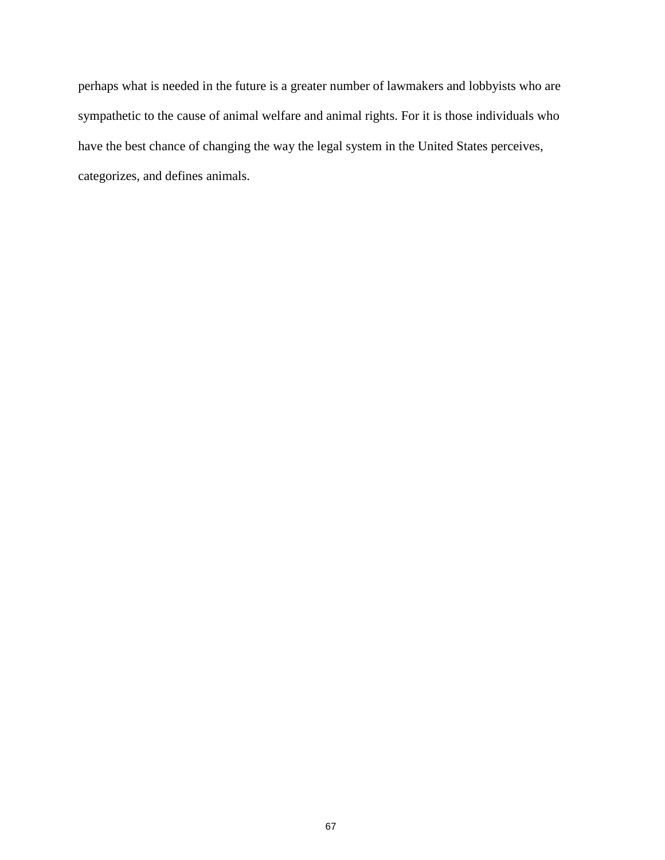perhaps what is needed in the future is a greater number of lawmakers and lobbyists who are sympathetic to the cause of animal welfare and animal rights. For it is those individuals who have the best chance of changing the way the legal system in the United States perceives, categorizes, and defines animals.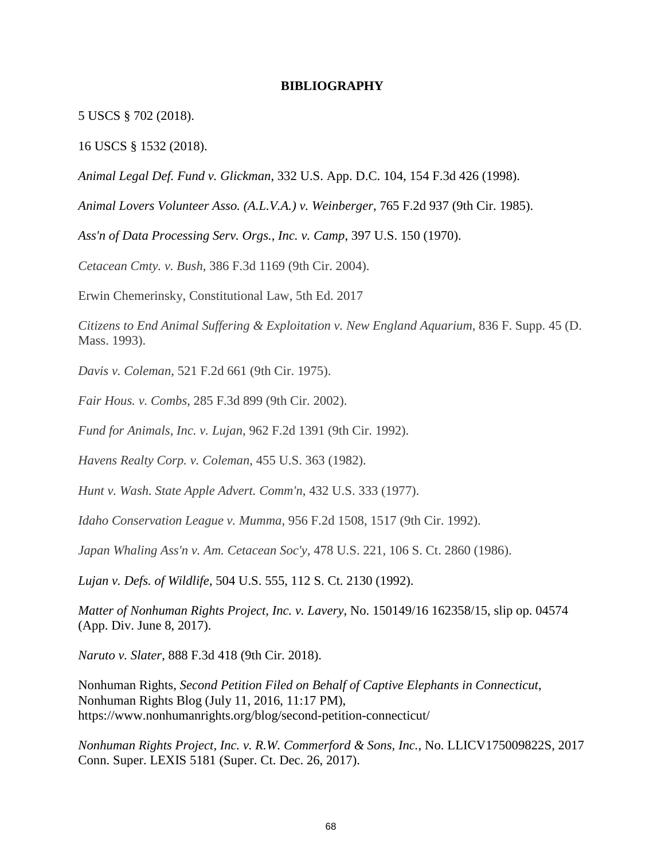### **BIBLIOGRAPHY**

5 USCS § 702 (2018).

16 USCS § 1532 (2018).

*Animal Legal Def. Fund v. Glickman*, 332 U.S. App. D.C. 104, 154 F.3d 426 (1998).

*Animal Lovers Volunteer Asso. (A.L.V.A.) v. Weinberger*, 765 F.2d 937 (9th Cir. 1985).

*Ass'n of Data Processing Serv. Orgs., Inc. v. Camp*, 397 U.S. 150 (1970).

*Cetacean Cmty. v. Bush*, 386 F.3d 1169 (9th Cir. 2004).

Erwin Chemerinsky, Constitutional Law, 5th Ed. 2017

*Citizens to End Animal Suffering & Exploitation v. New England Aquarium*, 836 F. Supp. 45 (D. Mass. 1993).

*Davis v. Coleman*, 521 F.2d 661 (9th Cir. 1975).

*Fair Hous. v. Combs*, 285 F.3d 899 (9th Cir. 2002).

*Fund for Animals, Inc. v. Lujan*, 962 F.2d 1391 (9th Cir. 1992).

*Havens Realty Corp. v. Coleman*, 455 U.S. 363 (1982).

*Hunt v. Wash. State Apple Advert. Comm'n*, 432 U.S. 333 (1977).

*Idaho Conservation League v. Mumma*, 956 F.2d 1508, 1517 (9th Cir. 1992).

*Japan Whaling Ass'n v. Am. Cetacean Soc'y,* 478 U.S. 221, 106 S. Ct. 2860 (1986).

*Lujan v. Defs. of Wildlife*, 504 U.S. 555, 112 S. Ct. 2130 (1992).

*Matter of Nonhuman Rights Project, Inc. v. Lavery*, No. 150149/16 162358/15, slip op. 04574 (App. Div. June 8, 2017).

*Naruto v. Slater*, 888 F.3d 418 (9th Cir. 2018).

Nonhuman Rights, *Second Petition Filed on Behalf of Captive Elephants in Connecticut*, Nonhuman Rights Blog (July 11, 2016, 11:17 PM), https://www.nonhumanrights.org/blog/second-petition-connecticut/

*Nonhuman Rights Project, Inc. v. R.W. Commerford & Sons, Inc.*, No. LLICV175009822S, 2017 Conn. Super. LEXIS 5181 (Super. Ct. Dec. 26, 2017).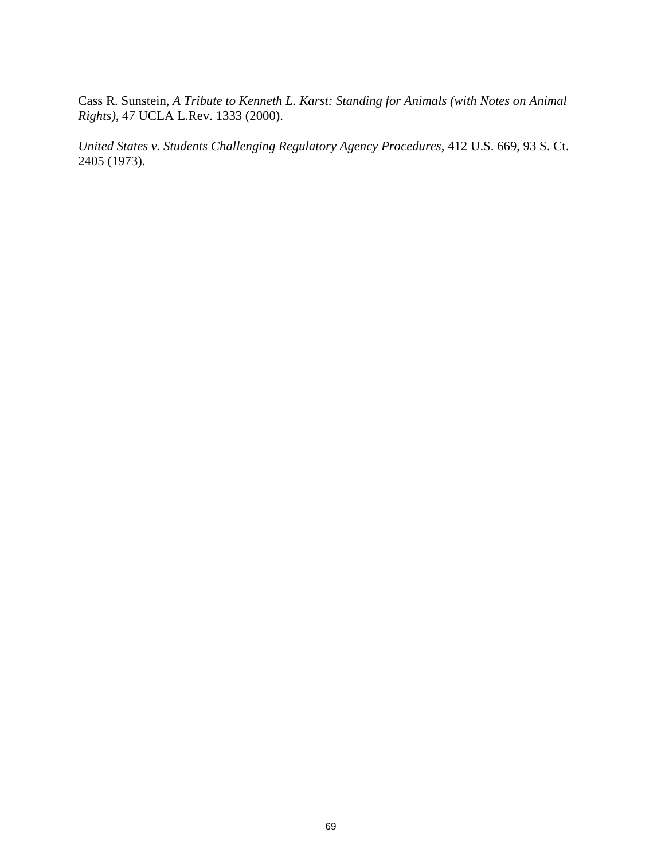Cass R. Sunstein, *A Tribute to Kenneth L. Karst: Standing for Animals (with Notes on Animal Rights)*, 47 UCLA L.Rev. 1333 (2000).

*United States v. Students Challenging Regulatory Agency Procedures*, 412 U.S. 669, 93 S. Ct. 2405 (1973).